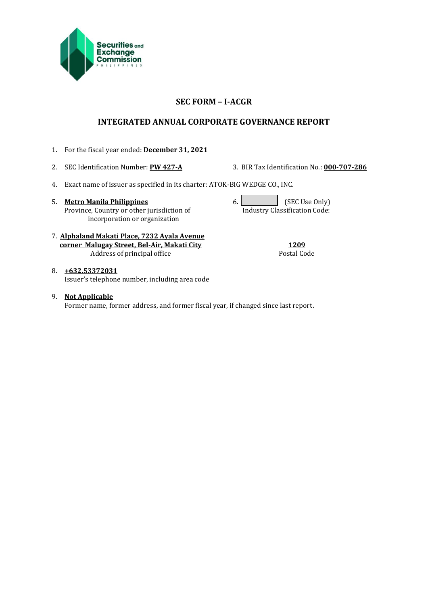

## **SEC FORM – I-ACGR**

## **INTEGRATED ANNUAL CORPORATE GOVERNANCE REPORT**

- 1. For the fiscal year ended: **December 31, 2021**
- 

2. SEC Identification Number: **PW 427-A** 3. BIR Tax Identification No.: **000-707-286**

- 4. Exact name of issuer as specified in its charter: ATOK-BIG WEDGE CO., INC.
- 5. **Metro Manila Philippines** 6. **(SEC Use Only)** 6. Province, Country or other jurisdiction of incorporation or organization

Industry Classification Code:

7. **Alphaland Makati Place, 7232 Ayala Avenue corner Malugay Street, Bel-Air, Makati City 1209** Address of principal office Postal Code Postal Code

- 8. **+632.53372031** Issuer's telephone number, including area code
- 9. **Not Applicable** Former name, former address, and former fiscal year, if changed since last report.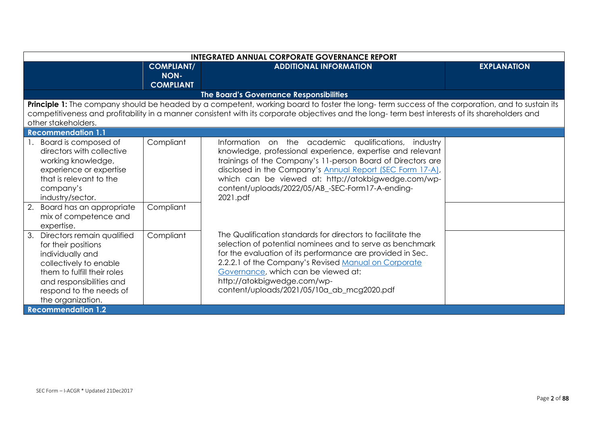| <b>INTEGRATED ANNUAL CORPORATE GOVERNANCE REPORT</b>                                                                                                                                                                                          |                                  |                                                                                                                                                                                                                                                                                                                                                                             |                    |
|-----------------------------------------------------------------------------------------------------------------------------------------------------------------------------------------------------------------------------------------------|----------------------------------|-----------------------------------------------------------------------------------------------------------------------------------------------------------------------------------------------------------------------------------------------------------------------------------------------------------------------------------------------------------------------------|--------------------|
|                                                                                                                                                                                                                                               | <b>COMPLIANT/</b><br><b>NON-</b> | <b>ADDITIONAL INFORMATION</b>                                                                                                                                                                                                                                                                                                                                               | <b>EXPLANATION</b> |
|                                                                                                                                                                                                                                               | <b>COMPLIANT</b>                 |                                                                                                                                                                                                                                                                                                                                                                             |                    |
|                                                                                                                                                                                                                                               |                                  | The Board's Governance Responsibilities                                                                                                                                                                                                                                                                                                                                     |                    |
| other stakeholders.                                                                                                                                                                                                                           |                                  | Principle 1: The company should be headed by a competent, working board to foster the long-term success of the corporation, and to sustain its<br>competitiveness and profitability in a manner consistent with its corporate objectives and the long-term best interests of its shareholders and                                                                           |                    |
| <b>Recommendation 1.1</b>                                                                                                                                                                                                                     |                                  |                                                                                                                                                                                                                                                                                                                                                                             |                    |
| Board is composed of<br>directors with collective<br>working knowledge,<br>experience or expertise<br>that is relevant to the<br>company's<br>industry/sector.<br>2.<br>Board has an appropriate<br>mix of competence and<br>expertise.       | Compliant<br>Compliant           | Information on the academic<br>qualifications,<br>industry<br>knowledge, professional experience, expertise and relevant<br>trainings of the Company's 11-person Board of Directors are<br>disclosed in the Company's Annual Report (SEC Form 17-A),<br>which can be viewed at: http://atokbigwedge.com/wp-<br>content/uploads/2022/05/AB_-SEC-Form17-A-ending-<br>2021.pdf |                    |
| Directors remain qualified<br>3.<br>for their positions<br>individually and<br>collectively to enable<br>them to fulfill their roles<br>and responsibilities and<br>respond to the needs of<br>the organization.<br><b>Recommendation 1.2</b> | Compliant                        | The Qualification standards for directors to facilitate the<br>selection of potential nominees and to serve as benchmark<br>for the evaluation of its performance are provided in Sec.<br>2.2.2.1 of the Company's Revised Manual on Corporate<br>Governance, which can be viewed at:<br>http://atokbigwedge.com/wp-<br>content/uploads/2021/05/10a_ab_mcg2020.pdf          |                    |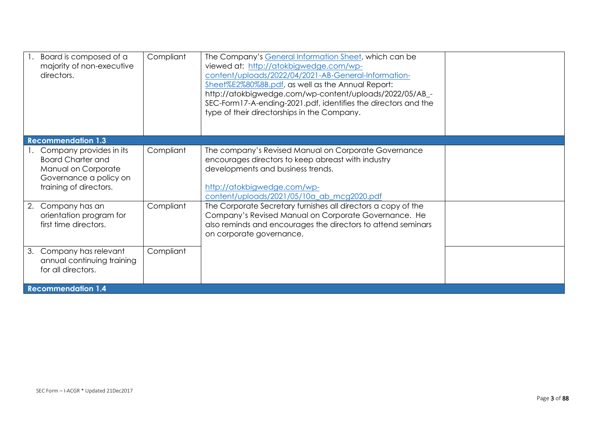| Board is composed of a<br>majority of non-executive<br>directors.                                                              | Compliant | The Company's General Information Sheet, which can be<br>viewed at: http://atokbigwedge.com/wp-<br>content/uploads/2022/04/2021-AB-General-Information-<br>Sheet%E2%80%8B.pdf, as well as the Annual Report:<br>http://atokbigwedge.com/wp-content/uploads/2022/05/AB_-<br>SEC-Form17-A-ending-2021.pdf, identifies the directors and the<br>type of their directorships in the Company. |  |
|--------------------------------------------------------------------------------------------------------------------------------|-----------|------------------------------------------------------------------------------------------------------------------------------------------------------------------------------------------------------------------------------------------------------------------------------------------------------------------------------------------------------------------------------------------|--|
| <b>Recommendation 1.3</b>                                                                                                      |           |                                                                                                                                                                                                                                                                                                                                                                                          |  |
| Company provides in its<br><b>Board Charter and</b><br>Manual on Corporate<br>Governance a policy on<br>training of directors. | Compliant | The company's Revised Manual on Corporate Governance<br>encourages directors to keep abreast with industry<br>developments and business trends.<br>http://atokbigwedge.com/wp-<br>content/uploads/2021/05/10a ab mcg2020.pdf                                                                                                                                                             |  |
| Company has an<br>2.<br>orientation program for<br>first time directors.                                                       | Compliant | The Corporate Secretary furnishes all directors a copy of the<br>Company's Revised Manual on Corporate Governance. He<br>also reminds and encourages the directors to attend seminars<br>on corporate governance.                                                                                                                                                                        |  |
| Company has relevant<br>3.<br>annual continuing training<br>for all directors.                                                 | Compliant |                                                                                                                                                                                                                                                                                                                                                                                          |  |
| <b>Recommendation 1.4</b>                                                                                                      |           |                                                                                                                                                                                                                                                                                                                                                                                          |  |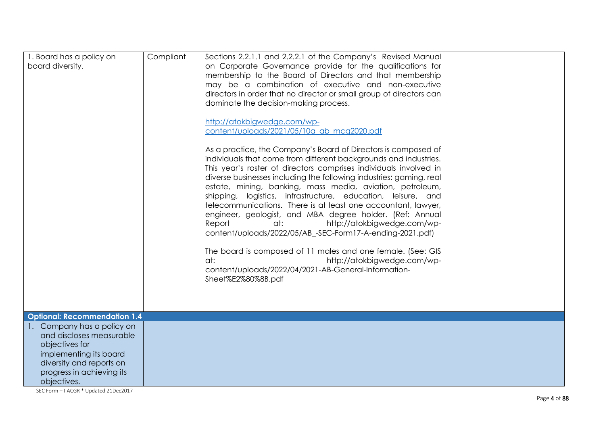| 1. Board has a policy on<br>board diversity.                                                                                                                               | Compliant | Sections 2.2.1.1 and 2.2.2.1 of the Company's Revised Manual<br>on Corporate Governance provide for the qualifications for<br>membership to the Board of Directors and that membership<br>may be a combination of executive and non-executive<br>directors in order that no director or small group of directors can<br>dominate the decision-making process.<br>http://atokbigwedge.com/wp-<br>content/uploads/2021/05/10a_ab_mcg2020.pdf<br>As a practice, the Company's Board of Directors is composed of<br>individuals that come from different backgrounds and industries.<br>This year's roster of directors comprises individuals involved in<br>diverse businesses including the following industries: gaming, real<br>estate, mining, banking, mass media, aviation, petroleum,<br>shipping, logistics, infrastructure, education, leisure, and<br>telecommunications. There is at least one accountant, lawyer,<br>engineer, geologist, and MBA degree holder. (Ref: Annual<br>http://atokbigwedge.com/wp-<br>Report<br>at:<br>content/uploads/2022/05/AB_-SEC-Form17-A-ending-2021.pdf)<br>The board is composed of 11 males and one female. (See: GIS<br>at:<br>http://atokbigwedge.com/wp-<br>content/uploads/2022/04/2021-AB-General-Information-<br>Sheet%E2%80%8B.pdf |  |
|----------------------------------------------------------------------------------------------------------------------------------------------------------------------------|-----------|----------------------------------------------------------------------------------------------------------------------------------------------------------------------------------------------------------------------------------------------------------------------------------------------------------------------------------------------------------------------------------------------------------------------------------------------------------------------------------------------------------------------------------------------------------------------------------------------------------------------------------------------------------------------------------------------------------------------------------------------------------------------------------------------------------------------------------------------------------------------------------------------------------------------------------------------------------------------------------------------------------------------------------------------------------------------------------------------------------------------------------------------------------------------------------------------------------------------------------------------------------------------------------------|--|
| <b>Optional: Recommendation 1.4</b>                                                                                                                                        |           |                                                                                                                                                                                                                                                                                                                                                                                                                                                                                                                                                                                                                                                                                                                                                                                                                                                                                                                                                                                                                                                                                                                                                                                                                                                                                        |  |
| 1. Company has a policy on<br>and discloses measurable<br>objectives for<br>implementing its board<br>diversity and reports on<br>progress in achieving its<br>objectives. |           |                                                                                                                                                                                                                                                                                                                                                                                                                                                                                                                                                                                                                                                                                                                                                                                                                                                                                                                                                                                                                                                                                                                                                                                                                                                                                        |  |

SEC Form – I-ACGR \* Updated 21Dec2017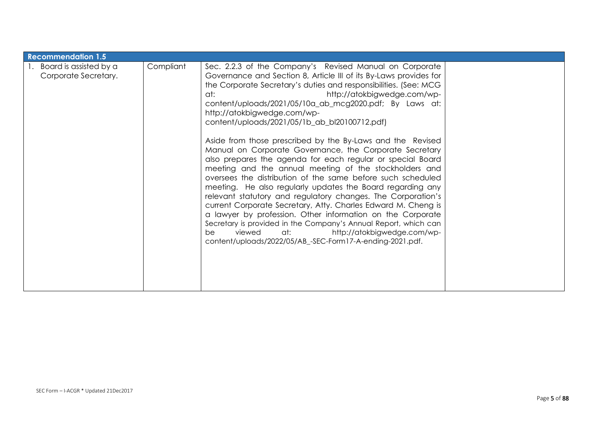| <b>Recommendation 1.5</b>                      |           |                                                                                                                                                                                                                                                                                                                                                                                                                                                                                                                                                                                                                                                                                                                                                                                                                                                                                                                                                                                                                                                                                                                                                   |  |
|------------------------------------------------|-----------|---------------------------------------------------------------------------------------------------------------------------------------------------------------------------------------------------------------------------------------------------------------------------------------------------------------------------------------------------------------------------------------------------------------------------------------------------------------------------------------------------------------------------------------------------------------------------------------------------------------------------------------------------------------------------------------------------------------------------------------------------------------------------------------------------------------------------------------------------------------------------------------------------------------------------------------------------------------------------------------------------------------------------------------------------------------------------------------------------------------------------------------------------|--|
| Board is assisted by a<br>Corporate Secretary. | Compliant | Sec. 2.2.3 of the Company's Revised Manual on Corporate<br>Governance and Section 8, Article III of its By-Laws provides for<br>the Corporate Secretary's duties and responsibilities. (See: MCG<br>http://atokbigwedge.com/wp-<br>at:<br>content/uploads/2021/05/10a_ab_mcg2020.pdf; By Laws at:<br>http://atokbigwedge.com/wp-<br>content/uploads/2021/05/1b_ab_bl20100712.pdf)<br>Aside from those prescribed by the By-Laws and the Revised<br>Manual on Corporate Governance, the Corporate Secretary<br>also prepares the agenda for each regular or special Board<br>meeting and the annual meeting of the stockholders and<br>oversees the distribution of the same before such scheduled<br>meeting. He also regularly updates the Board regarding any<br>relevant statutory and regulatory changes. The Corporation's<br>current Corporate Secretary, Atty. Charles Edward M. Cheng is<br>a lawyer by profession. Other information on the Corporate<br>Secretary is provided in the Company's Annual Report, which can<br>viewed<br>at: http://atokbigwedge.com/wp-<br>be<br>content/uploads/2022/05/AB_-SEC-Form17-A-ending-2021.pdf. |  |
|                                                |           |                                                                                                                                                                                                                                                                                                                                                                                                                                                                                                                                                                                                                                                                                                                                                                                                                                                                                                                                                                                                                                                                                                                                                   |  |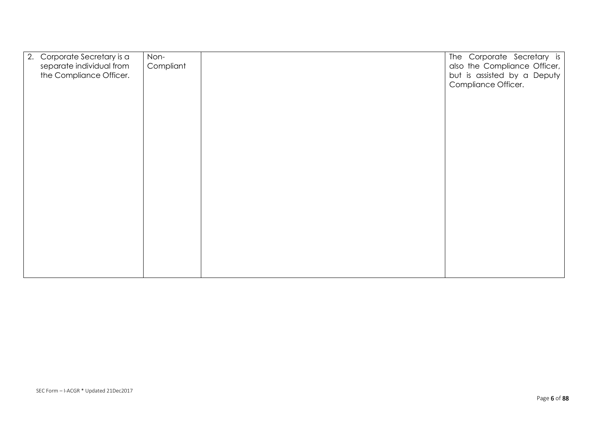| 2.<br>Corporate Secretary is a | Non-      | The Corporate Secretary is   |
|--------------------------------|-----------|------------------------------|
| separate individual from       | Compliant | also the Compliance Officer, |
| the Compliance Officer.        |           | but is assisted by a Deputy  |
|                                |           | Compliance Officer.          |
|                                |           |                              |
|                                |           |                              |
|                                |           |                              |
|                                |           |                              |
|                                |           |                              |
|                                |           |                              |
|                                |           |                              |
|                                |           |                              |
|                                |           |                              |
|                                |           |                              |
|                                |           |                              |
|                                |           |                              |
|                                |           |                              |
|                                |           |                              |
|                                |           |                              |
|                                |           |                              |
|                                |           |                              |
|                                |           |                              |
|                                |           |                              |
|                                |           |                              |
|                                |           |                              |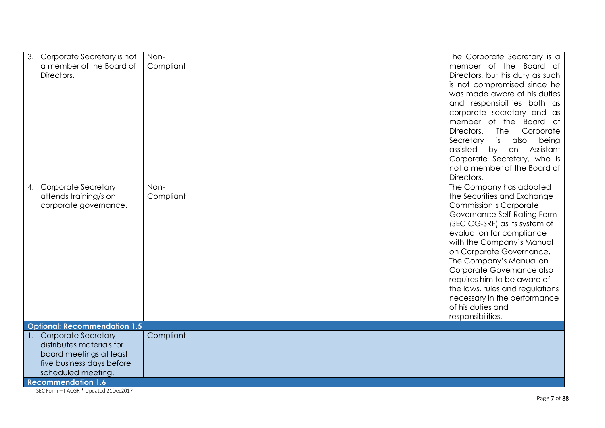| 3.<br>Corporate Secretary is not<br>a member of the Board of<br>Directors.                                                           | Non-<br>Compliant | The Corporate Secretary is a<br>member of the Board of<br>Directors, but his duty as such<br>is not compromised since he<br>was made aware of his duties<br>and responsibilities both as<br>corporate secretary and as<br>member of the Board of<br>Directors.<br>The<br>Corporate<br>Secretary<br>is<br>also<br>being<br>Assistant<br>assisted<br>by<br>an<br>Corporate Secretary, who is                                                                                                      |
|--------------------------------------------------------------------------------------------------------------------------------------|-------------------|-------------------------------------------------------------------------------------------------------------------------------------------------------------------------------------------------------------------------------------------------------------------------------------------------------------------------------------------------------------------------------------------------------------------------------------------------------------------------------------------------|
| <b>Corporate Secretary</b><br>4.<br>attends training/s on<br>corporate governance.<br><b>Optional: Recommendation 1.5</b>            | Non-<br>Compliant | not a member of the Board of<br>Directors.<br>The Company has adopted<br>the Securities and Exchange<br><b>Commission's Corporate</b><br>Governance Self-Rating Form<br>(SEC CG-SRF) as its system of<br>evaluation for compliance<br>with the Company's Manual<br>on Corporate Governance.<br>The Company's Manual on<br>Corporate Governance also<br>requires him to be aware of<br>the laws, rules and regulations<br>necessary in the performance<br>of his duties and<br>responsibilities. |
| 1. Corporate Secretary                                                                                                               | Compliant         |                                                                                                                                                                                                                                                                                                                                                                                                                                                                                                 |
| distributes materials for<br>board meetings at least<br>five business days before<br>scheduled meeting.<br><b>Recommendation 1.6</b> |                   |                                                                                                                                                                                                                                                                                                                                                                                                                                                                                                 |

SEC Form – I-ACGR \* Updated 21Dec2017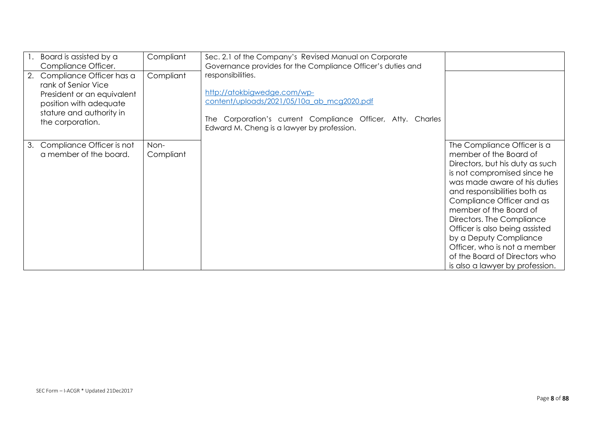| 1.<br>2. | Board is assisted by a<br>Compliance Officer.<br>Compliance Officer has a<br>rank of Senior Vice<br>President or an equivalent<br>position with adequate<br>stature and authority in<br>the corporation. | Compliant<br>Compliant | Sec. 2.1 of the Company's Revised Manual on Corporate<br>Governance provides for the Compliance Officer's duties and<br>responsibilities.<br>http://atokbigwedge.com/wp-<br>content/uploads/2021/05/10a_ab_mcg2020.pdf<br>The Corporation's current Compliance Officer, Atty. Charles<br>Edward M. Cheng is a lawyer by profession. |                                                                                                                                                                                                                                                                                                                                                                                                                                             |
|----------|----------------------------------------------------------------------------------------------------------------------------------------------------------------------------------------------------------|------------------------|-------------------------------------------------------------------------------------------------------------------------------------------------------------------------------------------------------------------------------------------------------------------------------------------------------------------------------------|---------------------------------------------------------------------------------------------------------------------------------------------------------------------------------------------------------------------------------------------------------------------------------------------------------------------------------------------------------------------------------------------------------------------------------------------|
| 3.       | Compliance Officer is not<br>a member of the board.                                                                                                                                                      | Non-<br>Compliant      |                                                                                                                                                                                                                                                                                                                                     | The Compliance Officer is a<br>member of the Board of<br>Directors, but his duty as such<br>is not compromised since he<br>was made aware of his duties<br>and responsibilities both as<br>Compliance Officer and as<br>member of the Board of<br>Directors. The Compliance<br>Officer is also being assisted<br>by a Deputy Compliance<br>Officer, who is not a member<br>of the Board of Directors who<br>is also a lawyer by profession. |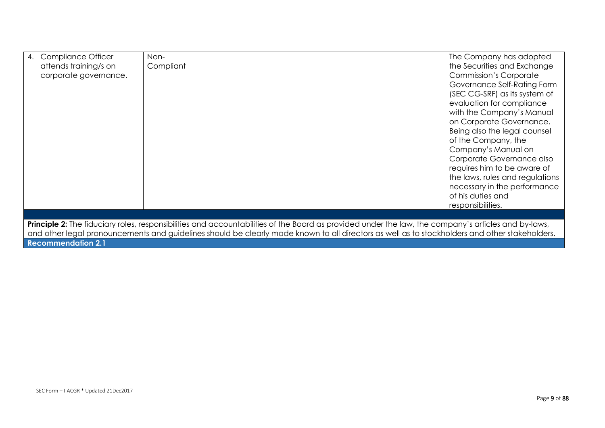| <b>Compliance Officer</b><br>4.                                                                                                                            | Non-      | The Company has adopted         |  |  |  |  |
|------------------------------------------------------------------------------------------------------------------------------------------------------------|-----------|---------------------------------|--|--|--|--|
| attends training/s on                                                                                                                                      | Compliant | the Securities and Exchange     |  |  |  |  |
| corporate governance.                                                                                                                                      |           | <b>Commission's Corporate</b>   |  |  |  |  |
|                                                                                                                                                            |           | Governance Self-Rating Form     |  |  |  |  |
|                                                                                                                                                            |           | (SEC CG-SRF) as its system of   |  |  |  |  |
|                                                                                                                                                            |           | evaluation for compliance       |  |  |  |  |
|                                                                                                                                                            |           | with the Company's Manual       |  |  |  |  |
|                                                                                                                                                            |           | on Corporate Governance.        |  |  |  |  |
|                                                                                                                                                            |           | Being also the legal counsel    |  |  |  |  |
|                                                                                                                                                            |           | of the Company, the             |  |  |  |  |
|                                                                                                                                                            |           | Company's Manual on             |  |  |  |  |
|                                                                                                                                                            |           | Corporate Governance also       |  |  |  |  |
|                                                                                                                                                            |           | requires him to be aware of     |  |  |  |  |
|                                                                                                                                                            |           | the laws, rules and regulations |  |  |  |  |
|                                                                                                                                                            |           | necessary in the performance    |  |  |  |  |
|                                                                                                                                                            |           | of his duties and               |  |  |  |  |
|                                                                                                                                                            |           | responsibilities.               |  |  |  |  |
|                                                                                                                                                            |           |                                 |  |  |  |  |
| <b>Principle 2:</b> The fiduciary roles, responsibilities and accountabilities of the Board as provided under the law, the company's articles and by-laws, |           |                                 |  |  |  |  |

and other legal pronouncements and guidelines should be clearly made known to all directors as well as to stockholders and other stakeholders. **Recommendation 2.1**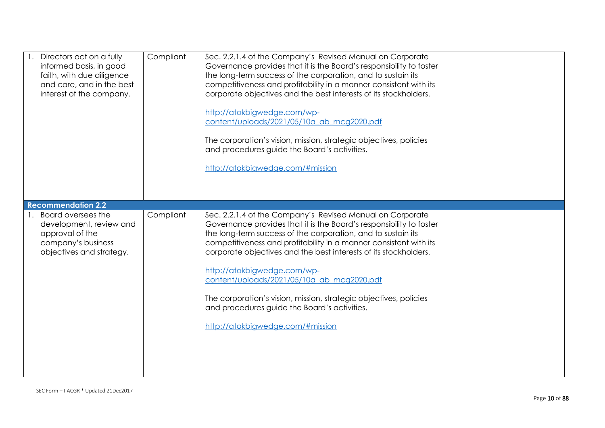| Directors act on a fully<br>informed basis, in good<br>faith, with due diligence<br>and care, and in the best<br>interest of the company. | Compliant | Sec. 2.2.1.4 of the Company's Revised Manual on Corporate<br>Governance provides that it is the Board's responsibility to foster<br>the long-term success of the corporation, and to sustain its<br>competitiveness and profitability in a manner consistent with its<br>corporate objectives and the best interests of its stockholders.<br>http://atokbigwedge.com/wp-<br>content/uploads/2021/05/10a ab mcq2020.pdf<br>The corporation's vision, mission, strategic objectives, policies<br>and procedures guide the Board's activities.<br>http://atokbigwedge.com/#mission |  |
|-------------------------------------------------------------------------------------------------------------------------------------------|-----------|---------------------------------------------------------------------------------------------------------------------------------------------------------------------------------------------------------------------------------------------------------------------------------------------------------------------------------------------------------------------------------------------------------------------------------------------------------------------------------------------------------------------------------------------------------------------------------|--|
| <b>Recommendation 2.2</b>                                                                                                                 |           |                                                                                                                                                                                                                                                                                                                                                                                                                                                                                                                                                                                 |  |
| Board oversees the<br>development, review and<br>approval of the<br>company's business<br>objectives and strategy.                        | Compliant | Sec. 2.2.1.4 of the Company's Revised Manual on Corporate<br>Governance provides that it is the Board's responsibility to foster<br>the long-term success of the corporation, and to sustain its<br>competitiveness and profitability in a manner consistent with its<br>corporate objectives and the best interests of its stockholders.<br>http://atokbigwedge.com/wp-<br>content/uploads/2021/05/10a ab mcg2020.pdf<br>The corporation's vision, mission, strategic objectives, policies<br>and procedures guide the Board's activities.<br>http://atokbigwedge.com/#mission |  |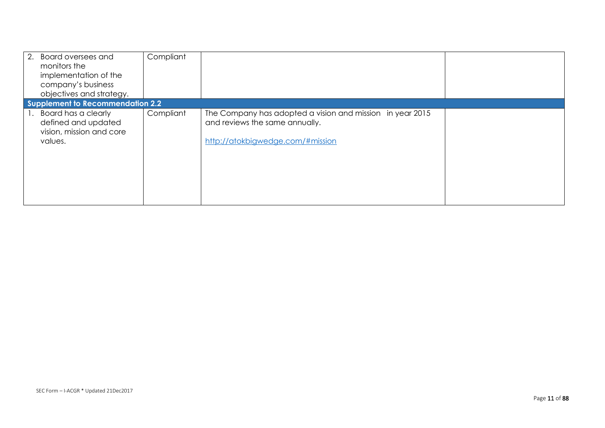| 2. Board oversees and<br>monitors the<br>implementation of the<br>company's business<br>objectives and strategy. | Compliant |                                                                                                                                 |  |
|------------------------------------------------------------------------------------------------------------------|-----------|---------------------------------------------------------------------------------------------------------------------------------|--|
| Supplement to Recommendation 2.2                                                                                 |           |                                                                                                                                 |  |
| 1. Board has a clearly<br>defined and updated<br>vision, mission and core<br>values.                             | Compliant | The Company has adopted a vision and mission in year 2015<br>and reviews the same annually.<br>http://atokbigwedge.com/#mission |  |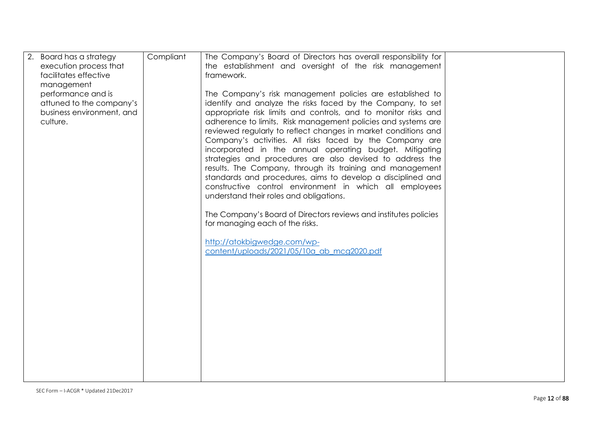| 2. Board has a strategy<br>execution process that<br>facilitates effective<br>management<br>performance and is<br>attuned to the company's<br>business environment, and<br>culture. | Compliant | The Company's Board of Directors has overall responsibility for<br>the establishment and oversight of the risk management<br>framework.<br>The Company's risk management policies are established to<br>identify and analyze the risks faced by the Company, to set<br>appropriate risk limits and controls, and to monitor risks and<br>adherence to limits. Risk management policies and systems are<br>reviewed regularly to reflect changes in market conditions and<br>Company's activities. All risks faced by the Company are<br>incorporated in the annual operating budget. Mitigating<br>strategies and procedures are also devised to address the |  |
|-------------------------------------------------------------------------------------------------------------------------------------------------------------------------------------|-----------|--------------------------------------------------------------------------------------------------------------------------------------------------------------------------------------------------------------------------------------------------------------------------------------------------------------------------------------------------------------------------------------------------------------------------------------------------------------------------------------------------------------------------------------------------------------------------------------------------------------------------------------------------------------|--|
|                                                                                                                                                                                     |           | results. The Company, through its training and management<br>standards and procedures, aims to develop a disciplined and<br>constructive control environment in which all employees<br>understand their roles and obligations.<br>The Company's Board of Directors reviews and institutes policies<br>for managing each of the risks.<br>http://atokbigwedge.com/wp-<br>content/uploads/2021/05/10a ab mcg2020.pdf                                                                                                                                                                                                                                           |  |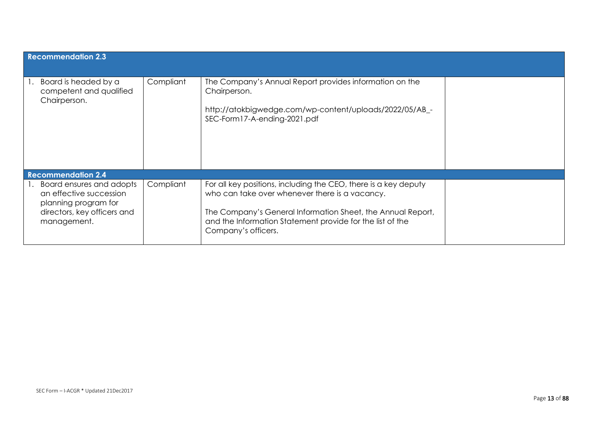| <b>Recommendation 2.3</b>                                                                                                 |           |                                                                                                                                                                                                                                                                      |  |
|---------------------------------------------------------------------------------------------------------------------------|-----------|----------------------------------------------------------------------------------------------------------------------------------------------------------------------------------------------------------------------------------------------------------------------|--|
| Board is headed by a<br>competent and qualified<br>Chairperson.                                                           | Compliant | The Company's Annual Report provides information on the<br>Chairperson.<br>http://atokbigwedge.com/wp-content/uploads/2022/05/AB_-<br>SEC-Form17-A-ending-2021.pdf                                                                                                   |  |
| <b>Recommendation 2.4</b>                                                                                                 |           |                                                                                                                                                                                                                                                                      |  |
| Board ensures and adopts<br>an effective succession<br>planning program for<br>directors, key officers and<br>management. | Compliant | For all key positions, including the CEO, there is a key deputy<br>who can take over whenever there is a vacancy.<br>The Company's General Information Sheet, the Annual Report,<br>and the Information Statement provide for the list of the<br>Company's officers. |  |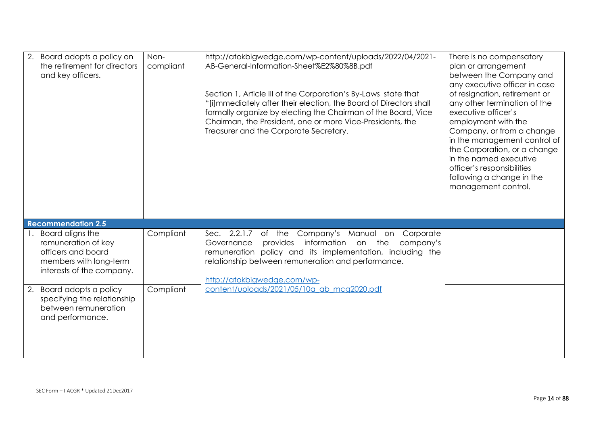| Board adopts a policy on<br>the retirement for directors<br>and key officers.                                           | Non-<br>compliant | http://atokbigwedge.com/wp-content/uploads/2022/04/2021-<br>AB-General-Information-Sheet%E2%80%8B.pdf<br>Section 1, Article III of the Corporation's By-Laws state that<br>"[i] mmediately after their election, the Board of Directors shall<br>formally organize by electing the Chairman of the Board, Vice<br>Chairman, the President, one or more Vice-Presidents, the<br>Treasurer and the Corporate Secretary. | There is no compensatory<br>plan or arrangement<br>between the Company and<br>any executive officer in case<br>of resignation, retirement or<br>any other termination of the<br>executive officer's<br>employment with the<br>Company, or from a change<br>in the management control of<br>the Corporation, or a change<br>in the named executive<br>officer's responsibilities<br>following a change in the<br>management control. |
|-------------------------------------------------------------------------------------------------------------------------|-------------------|-----------------------------------------------------------------------------------------------------------------------------------------------------------------------------------------------------------------------------------------------------------------------------------------------------------------------------------------------------------------------------------------------------------------------|-------------------------------------------------------------------------------------------------------------------------------------------------------------------------------------------------------------------------------------------------------------------------------------------------------------------------------------------------------------------------------------------------------------------------------------|
| <b>Recommendation 2.5</b>                                                                                               |                   |                                                                                                                                                                                                                                                                                                                                                                                                                       |                                                                                                                                                                                                                                                                                                                                                                                                                                     |
| 1. Board aligns the<br>remuneration of key<br>officers and board<br>members with long-term<br>interests of the company. | Compliant         | Sec. 2.2.1.7 of the Company's Manual on Corporate<br>information on the<br>provides<br>company's<br>Governance<br>remuneration policy and its implementation, including the<br>relationship between remuneration and performance.<br>http://atokbigwedge.com/wp-                                                                                                                                                      |                                                                                                                                                                                                                                                                                                                                                                                                                                     |
| Board adopts a policy<br>2.<br>specifying the relationship<br>between remuneration<br>and performance.                  | Compliant         | content/uploads/2021/05/10a ab mcg2020.pdf                                                                                                                                                                                                                                                                                                                                                                            |                                                                                                                                                                                                                                                                                                                                                                                                                                     |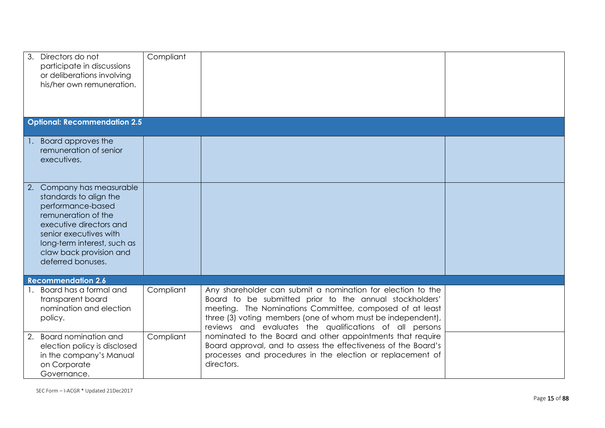| 3.<br>Directors do not<br>participate in discussions<br>or deliberations involving<br>his/her own remuneration.                                                                                                                        | Compliant |                                                                                                                                                                                                                                                                                                              |  |
|----------------------------------------------------------------------------------------------------------------------------------------------------------------------------------------------------------------------------------------|-----------|--------------------------------------------------------------------------------------------------------------------------------------------------------------------------------------------------------------------------------------------------------------------------------------------------------------|--|
| <b>Optional: Recommendation 2.5</b>                                                                                                                                                                                                    |           |                                                                                                                                                                                                                                                                                                              |  |
| 1. Board approves the<br>remuneration of senior<br>executives.                                                                                                                                                                         |           |                                                                                                                                                                                                                                                                                                              |  |
| Company has measurable<br>2.<br>standards to align the<br>performance-based<br>remuneration of the<br>executive directors and<br>senior executives with<br>long-term interest, such as<br>claw back provision and<br>deferred bonuses. |           |                                                                                                                                                                                                                                                                                                              |  |
| <b>Recommendation 2.6</b>                                                                                                                                                                                                              |           |                                                                                                                                                                                                                                                                                                              |  |
| 1. Board has a formal and<br>transparent board<br>nomination and election<br>policy.                                                                                                                                                   | Compliant | Any shareholder can submit a nomination for election to the<br>Board to be submitted prior to the annual stockholders'<br>meeting. The Nominations Committee, composed of at least<br>three (3) voting members (one of whom must be independent),<br>reviews and evaluates the qualifications of all persons |  |
| 2. Board nomination and<br>election policy is disclosed<br>in the company's Manual<br>on Corporate<br>Governance.                                                                                                                      | Compliant | nominated to the Board and other appointments that require<br>Board approval, and to assess the effectiveness of the Board's<br>processes and procedures in the election or replacement of<br>directors.                                                                                                     |  |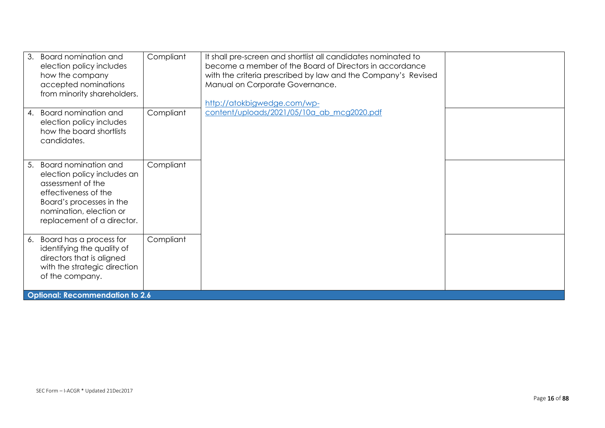| 3.<br><b>Board nomination and</b><br>election policy includes<br>how the company<br>accepted nominations<br>from minority shareholders.                                                            | Compliant | It shall pre-screen and shortlist all candidates nominated to<br>become a member of the Board of Directors in accordance<br>with the criteria prescribed by law and the Company's Revised<br>Manual on Corporate Governance.<br>http://atokbigwedge.com/wp- |  |
|----------------------------------------------------------------------------------------------------------------------------------------------------------------------------------------------------|-----------|-------------------------------------------------------------------------------------------------------------------------------------------------------------------------------------------------------------------------------------------------------------|--|
| <b>Board nomination and</b><br>4.<br>election policy includes<br>how the board shortlists<br>candidates.                                                                                           | Compliant | content/uploads/2021/05/10a ab mcg2020.pdf                                                                                                                                                                                                                  |  |
| <b>Board nomination and</b><br>5.<br>election policy includes an<br>assessment of the<br>effectiveness of the<br>Board's processes in the<br>nomination, election or<br>replacement of a director. | Compliant |                                                                                                                                                                                                                                                             |  |
| Board has a process for<br>6.<br>identifying the quality of<br>directors that is aligned<br>with the strategic direction<br>of the company.                                                        | Compliant |                                                                                                                                                                                                                                                             |  |
| <b>Optional: Recommendation to 2.6</b>                                                                                                                                                             |           |                                                                                                                                                                                                                                                             |  |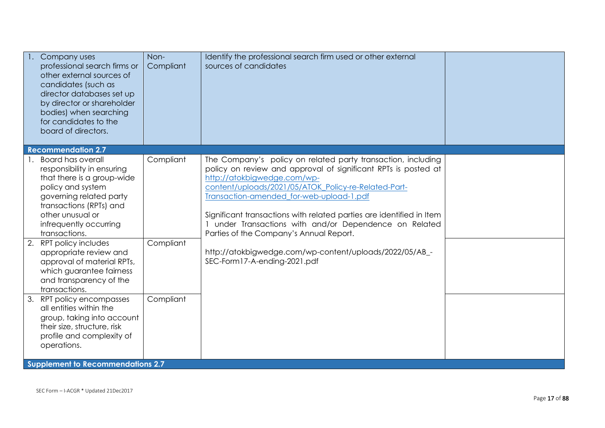| Company uses<br>professional search firms or<br>other external sources of<br>candidates (such as<br>director databases set up<br>by director or shareholder<br>bodies) when searching<br>for candidates to the<br>board of directors.                                                                                                                                                    | Non-<br>Compliant      | Identify the professional search firm used or other external<br>sources of candidates                                                                                                                                                                                                                                                                                                                                                                                                                                                   |  |
|------------------------------------------------------------------------------------------------------------------------------------------------------------------------------------------------------------------------------------------------------------------------------------------------------------------------------------------------------------------------------------------|------------------------|-----------------------------------------------------------------------------------------------------------------------------------------------------------------------------------------------------------------------------------------------------------------------------------------------------------------------------------------------------------------------------------------------------------------------------------------------------------------------------------------------------------------------------------------|--|
| <b>Recommendation 2.7</b>                                                                                                                                                                                                                                                                                                                                                                |                        |                                                                                                                                                                                                                                                                                                                                                                                                                                                                                                                                         |  |
| <b>Board has overall</b><br>responsibility in ensuring<br>that there is a group-wide<br>policy and system<br>governing related party<br>transactions (RPTs) and<br>other unusual or<br>infrequently occurring<br>transactions.<br>2. RPT policy includes<br>appropriate review and<br>approval of material RPTs,<br>which guarantee fairness<br>and transparency of the<br>transactions. | Compliant<br>Compliant | The Company's policy on related party transaction, including<br>policy on review and approval of significant RPTs is posted at<br>http://atokbigwedge.com/wp-<br>content/uploads/2021/05/ATOK Policy-re-Related-Part-<br>Transaction-amended for-web-upload-1.pdf<br>Significant transactions with related parties are identified in Item<br>under Transactions with and/or Dependence on Related<br>Parties of the Company's Annual Report.<br>http://atokbigwedge.com/wp-content/uploads/2022/05/AB_-<br>SEC-Form17-A-ending-2021.pdf |  |
| 3. RPT policy encompasses<br>all entities within the<br>group, taking into account<br>their size, structure, risk<br>profile and complexity of<br>operations.<br><b>Supplement to Recommendations 2.7</b>                                                                                                                                                                                | Compliant              |                                                                                                                                                                                                                                                                                                                                                                                                                                                                                                                                         |  |
|                                                                                                                                                                                                                                                                                                                                                                                          |                        |                                                                                                                                                                                                                                                                                                                                                                                                                                                                                                                                         |  |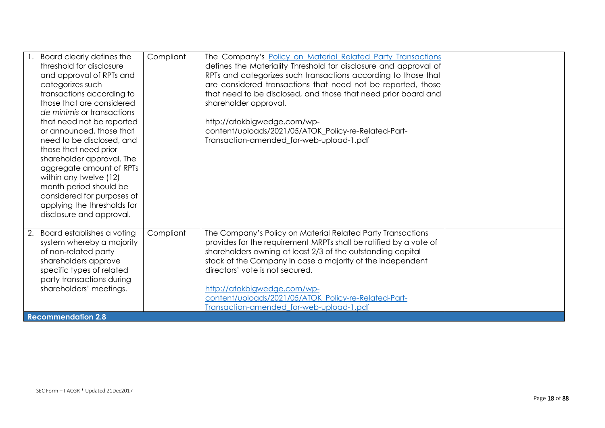| Board clearly defines the                         | Compliant | The Company's Policy on Material Related Party Transactions                                   |  |
|---------------------------------------------------|-----------|-----------------------------------------------------------------------------------------------|--|
| threshold for disclosure                          |           | defines the Materiality Threshold for disclosure and approval of                              |  |
| and approval of RPTs and                          |           | RPTs and categorizes such transactions according to those that                                |  |
| categorizes such                                  |           | are considered transactions that need not be reported, those                                  |  |
| transactions according to                         |           | that need to be disclosed, and those that need prior board and                                |  |
| those that are considered                         |           | shareholder approval.                                                                         |  |
| de minimis or transactions                        |           |                                                                                               |  |
| that need not be reported                         |           | http://atokbigwedge.com/wp-                                                                   |  |
| or announced, those that                          |           | content/uploads/2021/05/ATOK_Policy-re-Related-Part-                                          |  |
| need to be disclosed, and                         |           | Transaction-amended_for-web-upload-1.pdf                                                      |  |
| those that need prior                             |           |                                                                                               |  |
| shareholder approval. The                         |           |                                                                                               |  |
| aggregate amount of RPTs                          |           |                                                                                               |  |
| within any twelve (12)                            |           |                                                                                               |  |
| month period should be                            |           |                                                                                               |  |
| considered for purposes of                        |           |                                                                                               |  |
| applying the thresholds for                       |           |                                                                                               |  |
| disclosure and approval.                          |           |                                                                                               |  |
|                                                   |           |                                                                                               |  |
| 2. Board establishes a voting                     | Compliant | The Company's Policy on Material Related Party Transactions                                   |  |
| system whereby a majority                         |           | provides for the requirement MRPTs shall be ratified by a vote of                             |  |
| of non-related party                              |           | shareholders owning at least 2/3 of the outstanding capital                                   |  |
| shareholders approve<br>specific types of related |           | stock of the Company in case a majority of the independent<br>directors' vote is not secured. |  |
| party transactions during                         |           |                                                                                               |  |
| shareholders' meetings.                           |           | http://atokbigwedge.com/wp-                                                                   |  |
|                                                   |           | content/uploads/2021/05/ATOK Policy-re-Related-Part-                                          |  |
|                                                   |           | Transaction-amended for-web-upload-1.pdf                                                      |  |
| <b>Recommendation 2.8</b>                         |           |                                                                                               |  |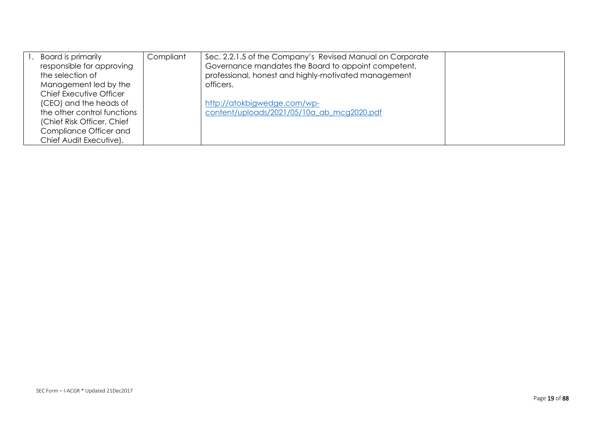| Board is primarily          | Compliant | Sec. 2.2.1.5 of the Company's Revised Manual on Corporate |  |
|-----------------------------|-----------|-----------------------------------------------------------|--|
| responsible for approving   |           | Governance mandates the Board to appoint competent,       |  |
| the selection of            |           | professional, honest and highly-motivated management      |  |
| Management led by the       |           | officers.                                                 |  |
| Chief Executive Officer     |           |                                                           |  |
| (CEO) and the heads of      |           | http://atokbigwedge.com/wp-                               |  |
| the other control functions |           | content/uploads/2021/05/10a ab mcg2020.pdf                |  |
| (Chief Risk Officer, Chief  |           |                                                           |  |
| Compliance Officer and      |           |                                                           |  |
| Chief Audit Executive).     |           |                                                           |  |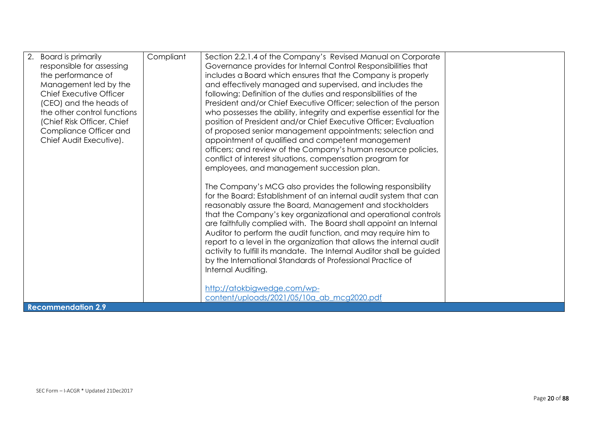| 2.<br>Board is primarily<br>responsible for assessing<br>the performance of<br>Management led by the<br>Chief Executive Officer          | Compliant | Section 2.2.1.4 of the Company's Revised Manual on Corporate<br>Governance provides for Internal Control Responsibilities that<br>includes a Board which ensures that the Company is properly<br>and effectively managed and supervised, and includes the<br>following: Definition of the duties and responsibilities of the                                                                                                                                                                                                                                                                                                                                                                                            |  |
|------------------------------------------------------------------------------------------------------------------------------------------|-----------|-------------------------------------------------------------------------------------------------------------------------------------------------------------------------------------------------------------------------------------------------------------------------------------------------------------------------------------------------------------------------------------------------------------------------------------------------------------------------------------------------------------------------------------------------------------------------------------------------------------------------------------------------------------------------------------------------------------------------|--|
| (CEO) and the heads of<br>the other control functions<br>(Chief Risk Officer, Chief<br>Compliance Officer and<br>Chief Audit Executive). |           | President and/or Chief Executive Officer; selection of the person<br>who possesses the ability, integrity and expertise essential for the<br>position of President and/or Chief Executive Officer; Evaluation<br>of proposed senior management appointments; selection and<br>appointment of qualified and competent management<br>officers; and review of the Company's human resource policies,<br>conflict of interest situations, compensation program for                                                                                                                                                                                                                                                          |  |
|                                                                                                                                          |           | employees, and management succession plan.<br>The Company's MCG also provides the following responsibility<br>for the Board: Establishment of an internal audit system that can<br>reasonably assure the Board, Management and stockholders<br>that the Company's key organizational and operational controls<br>are faithfully complied with. The Board shall appoint an Internal<br>Auditor to perform the audit function, and may require him to<br>report to a level in the organization that allows the internal audit<br>activity to fulfill its mandate. The Internal Auditor shall be guided<br>by the International Standards of Professional Practice of<br>Internal Auditing.<br>http://atokbigwedge.com/wp- |  |
| <b>Recommendation 2.9</b>                                                                                                                |           | content/uploads/2021/05/10a_ab_mcg2020.pdf                                                                                                                                                                                                                                                                                                                                                                                                                                                                                                                                                                                                                                                                              |  |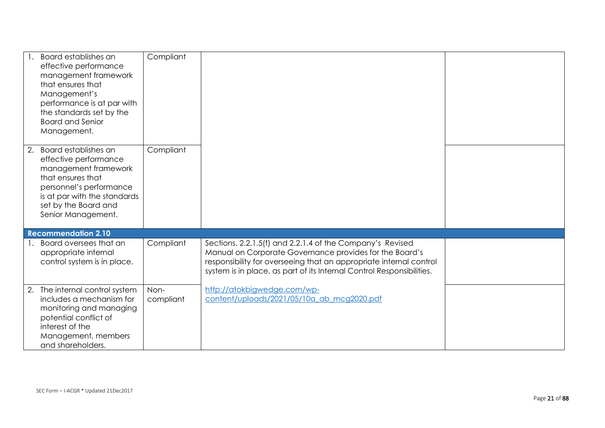| Board establishes an<br>effective performance<br>management framework<br>that ensures that<br>Management's<br>performance is at par with<br>the standards set by the<br><b>Board and Senior</b><br>Management. | Compliant         |                                                                                                                                                                                                        |  |
|----------------------------------------------------------------------------------------------------------------------------------------------------------------------------------------------------------------|-------------------|--------------------------------------------------------------------------------------------------------------------------------------------------------------------------------------------------------|--|
| Board establishes an<br>2.<br>effective performance<br>management framework<br>that ensures that<br>personnel's performance<br>is at par with the standards<br>set by the Board and<br>Senior Management.      | Compliant         |                                                                                                                                                                                                        |  |
| <b>Recommendation 2.10</b><br>Board oversees that an                                                                                                                                                           | Compliant         | Sections. 2.2.1.5(f) and 2.2.1.4 of the Company's Revised                                                                                                                                              |  |
| appropriate internal<br>control system is in place.                                                                                                                                                            |                   | Manual on Corporate Governance provides for the Board's<br>responsibility for overseeing that an appropriate internal control<br>system is in place, as part of its Internal Control Responsibilities. |  |
| 2. The internal control system<br>includes a mechanism for<br>monitoring and managing<br>potential conflict of<br>interest of the<br>Management, members<br>and shareholders.                                  | Non-<br>compliant | http://atokbigwedge.com/wp-<br>content/uploads/2021/05/10a ab mcg2020.pdf                                                                                                                              |  |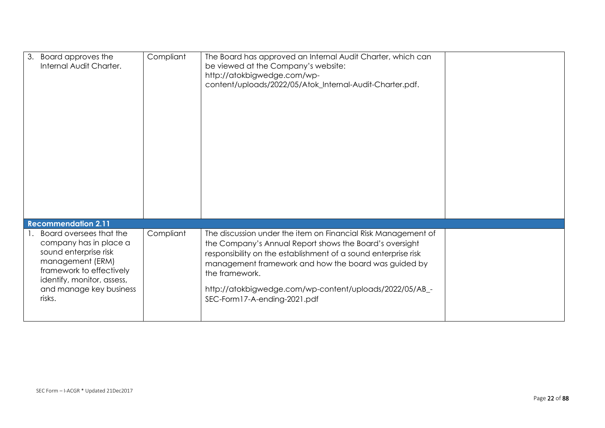| 3. Board approves the<br>Internal Audit Charter.                                                                                                                                              | Compliant | The Board has approved an Internal Audit Charter, which can<br>be viewed at the Company's website:<br>http://atokbigwedge.com/wp-<br>content/uploads/2022/05/Atok_Internal-Audit-Charter.pdf.                                                                                                                                                                   |  |
|-----------------------------------------------------------------------------------------------------------------------------------------------------------------------------------------------|-----------|-----------------------------------------------------------------------------------------------------------------------------------------------------------------------------------------------------------------------------------------------------------------------------------------------------------------------------------------------------------------|--|
| <b>Recommendation 2.11</b>                                                                                                                                                                    |           |                                                                                                                                                                                                                                                                                                                                                                 |  |
| Board oversees that the<br>company has in place a<br>sound enterprise risk<br>management (ERM)<br>framework to effectively<br>identify, monitor, assess,<br>and manage key business<br>risks. | Compliant | The discussion under the item on Financial Risk Management of<br>the Company's Annual Report shows the Board's oversight<br>responsibility on the establishment of a sound enterprise risk<br>management framework and how the board was guided by<br>the framework.<br>http://atokbigwedge.com/wp-content/uploads/2022/05/AB_-<br>SEC-Form17-A-ending-2021.pdf |  |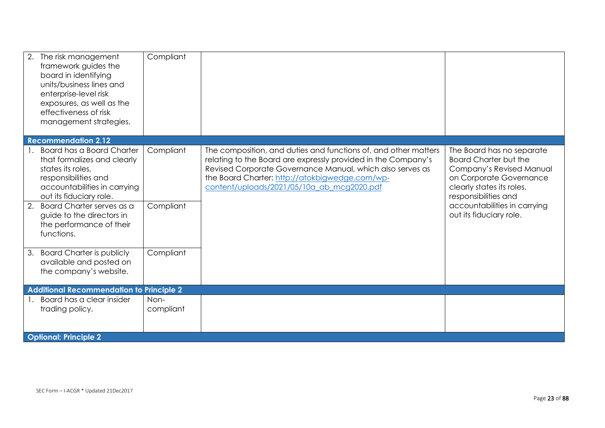| 2.<br>The risk management<br>framework guides the<br>board in identifying<br>units/business lines and<br>enterprise-level risk<br>exposures, as well as the<br>effectiveness of risk<br>management strategies. | Compliant         |                                                                                                                                                                                                                                                                                               |                                                                                                                                                                       |
|----------------------------------------------------------------------------------------------------------------------------------------------------------------------------------------------------------------|-------------------|-----------------------------------------------------------------------------------------------------------------------------------------------------------------------------------------------------------------------------------------------------------------------------------------------|-----------------------------------------------------------------------------------------------------------------------------------------------------------------------|
| <b>Recommendation 2.12</b>                                                                                                                                                                                     |                   |                                                                                                                                                                                                                                                                                               |                                                                                                                                                                       |
| <b>Board has a Board Charter</b><br>that formalizes and clearly<br>states its roles,<br>responsibilities and<br>accountabilities in carrying<br>out its fiduciary role.                                        | Compliant         | The composition, and duties and functions of, and other matters<br>relating to the Board are expressly provided in the Company's<br>Revised Corporate Governance Manual, which also serves as<br>the Board Charter: http://atokbigwedge.com/wp-<br>content/uploads/2021/05/10a ab mcg2020.pdf | The Board has no separate<br><b>Board Charter but the</b><br>Company's Revised Manual<br>on Corporate Governance<br>clearly states its roles,<br>responsibilities and |
| 2.<br>Board Charter serves as a<br>guide to the directors in<br>the performance of their<br>functions.                                                                                                         | Compliant         |                                                                                                                                                                                                                                                                                               | accountabilities in carrying<br>out its fiduciary role.                                                                                                               |
| <b>Board Charter is publicly</b><br>3.<br>available and posted on<br>the company's website.                                                                                                                    | Compliant         |                                                                                                                                                                                                                                                                                               |                                                                                                                                                                       |
| <b>Additional Recommendation to Principle 2</b>                                                                                                                                                                |                   |                                                                                                                                                                                                                                                                                               |                                                                                                                                                                       |
| Board has a clear insider<br>$\mathbf{1}$ .<br>trading policy.                                                                                                                                                 | Non-<br>compliant |                                                                                                                                                                                                                                                                                               |                                                                                                                                                                       |
| <b>Optional: Principle 2</b>                                                                                                                                                                                   |                   |                                                                                                                                                                                                                                                                                               |                                                                                                                                                                       |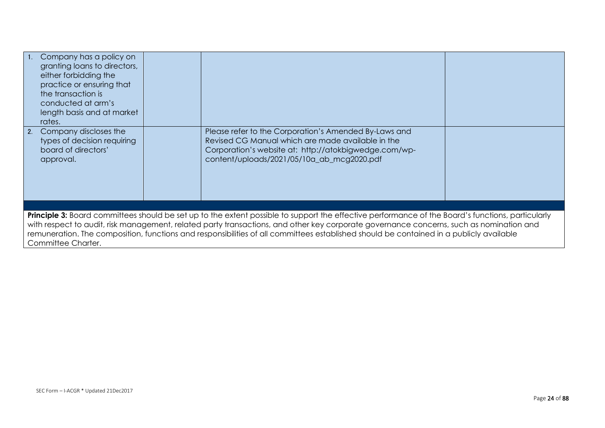|                                                                                                                                                                                                                                                                                                                                                                                                                                                               | 1. Company has a policy on<br>granting loans to directors,<br>either forbidding the<br>practice or ensuring that<br>the transaction is<br>conducted at arm's<br>length basis and at market<br>rates. |  |                                                                                                                                                                                                                   |  |
|---------------------------------------------------------------------------------------------------------------------------------------------------------------------------------------------------------------------------------------------------------------------------------------------------------------------------------------------------------------------------------------------------------------------------------------------------------------|------------------------------------------------------------------------------------------------------------------------------------------------------------------------------------------------------|--|-------------------------------------------------------------------------------------------------------------------------------------------------------------------------------------------------------------------|--|
|                                                                                                                                                                                                                                                                                                                                                                                                                                                               | 2. Company discloses the<br>types of decision requiring<br>board of directors'<br>approval.                                                                                                          |  | Please refer to the Corporation's Amended By-Laws and<br>Revised CG Manual which are made available in the<br>Corporation's website at: http://atokbigwedge.com/wp-<br>content/uploads/2021/05/10a_ab_mcg2020.pdf |  |
|                                                                                                                                                                                                                                                                                                                                                                                                                                                               |                                                                                                                                                                                                      |  |                                                                                                                                                                                                                   |  |
| Principle 3: Board committees should be set up to the extent possible to support the effective performance of the Board's functions, particularly<br>with respect to audit, risk management, related party transactions, and other key corporate governance concerns, such as nomination and<br>remuneration. The composition, functions and responsibilities of all committees established should be contained in a publicly available<br>Committee Charter. |                                                                                                                                                                                                      |  |                                                                                                                                                                                                                   |  |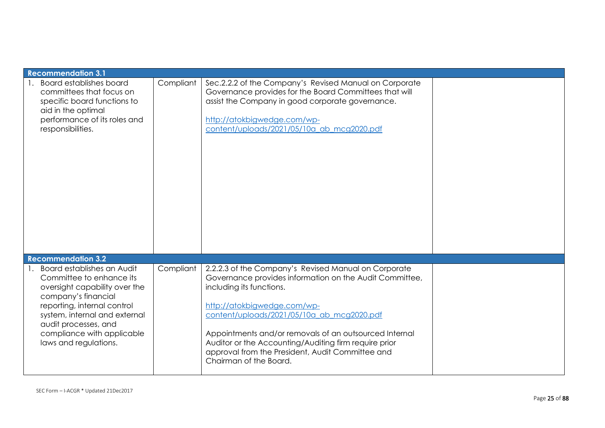| <b>Recommendation 3.1</b>                                                                                                                                                                                                                                     |           |                                                                                                                                                                                                                                                                                                                                                                                                                           |  |
|---------------------------------------------------------------------------------------------------------------------------------------------------------------------------------------------------------------------------------------------------------------|-----------|---------------------------------------------------------------------------------------------------------------------------------------------------------------------------------------------------------------------------------------------------------------------------------------------------------------------------------------------------------------------------------------------------------------------------|--|
| <b>Board establishes board</b><br>committees that focus on<br>specific board functions to<br>aid in the optimal<br>performance of its roles and<br>responsibilities.                                                                                          | Compliant | Sec.2.2.2 of the Company's Revised Manual on Corporate<br>Governance provides for the Board Committees that will<br>assist the Company in good corporate governance.<br>http://atokbigwedge.com/wp-<br>content/uploads/2021/05/10a_ab_mcg2020.pdf                                                                                                                                                                         |  |
| <b>Recommendation 3.2</b>                                                                                                                                                                                                                                     |           |                                                                                                                                                                                                                                                                                                                                                                                                                           |  |
| Board establishes an Audit<br>Committee to enhance its<br>oversight capability over the<br>company's financial<br>reporting, internal control<br>system, internal and external<br>audit processes, and<br>compliance with applicable<br>laws and regulations. | Compliant | 2.2.2.3 of the Company's Revised Manual on Corporate<br>Governance provides information on the Audit Committee,<br>including its functions.<br>http://atokbigwedge.com/wp-<br>content/uploads/2021/05/10a ab mcg2020.pdf<br>Appointments and/or removals of an outsourced Internal<br>Auditor or the Accounting/Auditing firm require prior<br>approval from the President, Audit Committee and<br>Chairman of the Board. |  |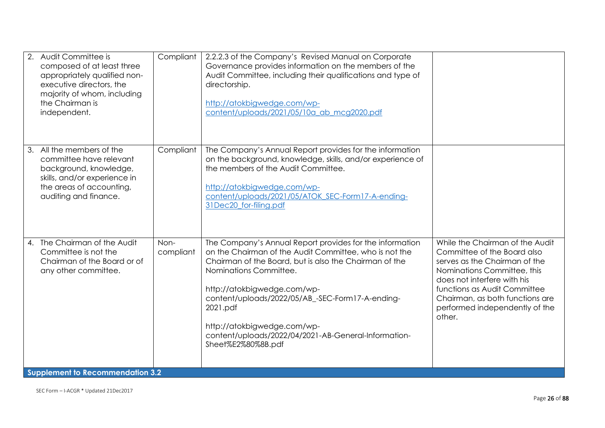| Audit Committee is<br>composed of at least three<br>appropriately qualified non-<br>executive directors, the<br>majority of whom, including<br>the Chairman is<br>independent. | Compliant         | 2.2.2.3 of the Company's Revised Manual on Corporate<br>Governance provides information on the members of the<br>Audit Committee, including their qualifications and type of<br>directorship.<br>http://atokbigwedge.com/wp-<br>content/uploads/2021/05/10a ab mcq2020.pdf                                                                                                                                         |                                                                                                                                                                                                                                                                              |
|--------------------------------------------------------------------------------------------------------------------------------------------------------------------------------|-------------------|--------------------------------------------------------------------------------------------------------------------------------------------------------------------------------------------------------------------------------------------------------------------------------------------------------------------------------------------------------------------------------------------------------------------|------------------------------------------------------------------------------------------------------------------------------------------------------------------------------------------------------------------------------------------------------------------------------|
| All the members of the<br>3.<br>committee have relevant<br>background, knowledge,<br>skills, and/or experience in<br>the areas of accounting,<br>auditing and finance.         | Compliant         | The Company's Annual Report provides for the information<br>on the background, knowledge, skills, and/or experience of<br>the members of the Audit Committee.<br>http://atokbigwedge.com/wp-<br>content/uploads/2021/05/ATOK_SEC-Form17-A-ending-<br>31Dec20 for-filing.pdf                                                                                                                                        |                                                                                                                                                                                                                                                                              |
| The Chairman of the Audit<br>$\mathbf{4}$ .<br>Committee is not the<br>Chairman of the Board or of<br>any other committee.<br><b>Supplement to Recommendation 3.2</b>          | Non-<br>compliant | The Company's Annual Report provides for the information<br>on the Chairman of the Audit Committee, who is not the<br>Chairman of the Board, but is also the Chairman of the<br>Nominations Committee.<br>http://atokbigwedge.com/wp-<br>content/uploads/2022/05/AB_-SEC-Form17-A-ending-<br>2021.pdf<br>http://atokbigwedge.com/wp-<br>content/uploads/2022/04/2021-AB-General-Information-<br>Sheet%E2%80%8B.pdf | While the Chairman of the Audit<br>Committee of the Board also<br>serves as the Chairman of the<br>Nominations Committee, this<br>does not interfere with his<br>functions as Audit Committee<br>Chairman, as both functions are<br>performed independently of the<br>other. |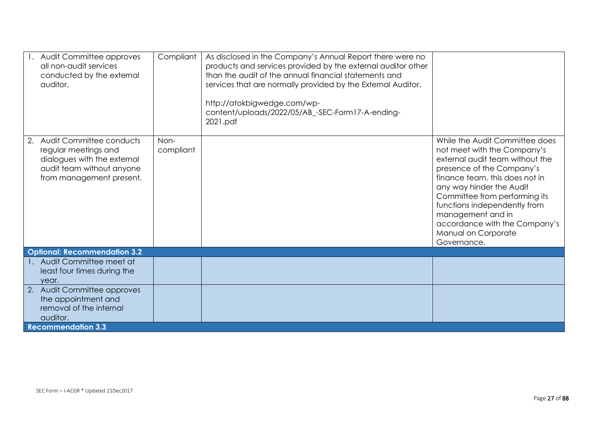| 1. Audit Committee approves<br>all non-audit services<br>conducted by the external<br>auditor.                                                 | Compliant         | As disclosed in the Company's Annual Report there were no<br>products and services provided by the external auditor other<br>than the audit of the annual financial statements and<br>services that are normally provided by the External Auditor.<br>http://atokbigwedge.com/wp-<br>content/uploads/2022/05/AB_-SEC-Form17-A-ending-<br>2021.pdf |                                                                                                                                                                                                                                                                                                                                                          |
|------------------------------------------------------------------------------------------------------------------------------------------------|-------------------|---------------------------------------------------------------------------------------------------------------------------------------------------------------------------------------------------------------------------------------------------------------------------------------------------------------------------------------------------|----------------------------------------------------------------------------------------------------------------------------------------------------------------------------------------------------------------------------------------------------------------------------------------------------------------------------------------------------------|
| Audit Committee conducts<br>2.<br>regular meetings and<br>dialogues with the external<br>audit team without anyone<br>from management present. | Non-<br>compliant |                                                                                                                                                                                                                                                                                                                                                   | While the Audit Committee does<br>not meet with the Company's<br>external audit team without the<br>presence of the Company's<br>finance team, this does not in<br>any way hinder the Audit<br>Committee from performing its<br>functions independently from<br>management and in<br>accordance with the Company's<br>Manual on Corporate<br>Governance. |
| <b>Optional: Recommendation 3.2</b>                                                                                                            |                   |                                                                                                                                                                                                                                                                                                                                                   |                                                                                                                                                                                                                                                                                                                                                          |
| Audit Committee meet at<br>least four times during the<br>year.                                                                                |                   |                                                                                                                                                                                                                                                                                                                                                   |                                                                                                                                                                                                                                                                                                                                                          |
| 2. Audit Committee approves<br>the appointment and<br>removal of the internal<br>auditor.                                                      |                   |                                                                                                                                                                                                                                                                                                                                                   |                                                                                                                                                                                                                                                                                                                                                          |
| <b>Recommendation 3.3</b>                                                                                                                      |                   |                                                                                                                                                                                                                                                                                                                                                   |                                                                                                                                                                                                                                                                                                                                                          |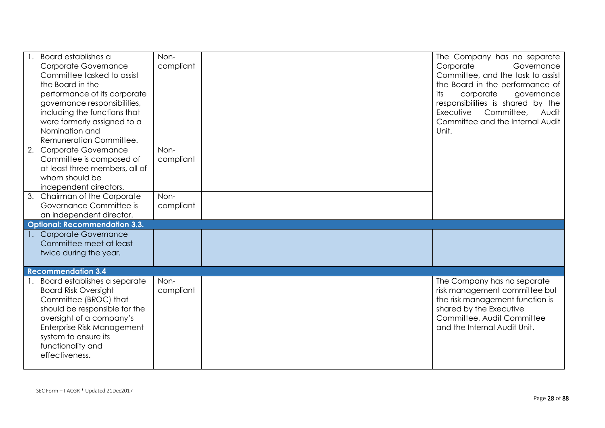| Board establishes a<br><b>Corporate Governance</b><br>Committee tasked to assist<br>the Board in the<br>performance of its corporate<br>governance responsibilities,<br>including the functions that<br>were formerly assigned to a<br>Nomination and<br>Remuneration Committee. | Non-<br>compliant | The Company has no separate<br>Corporate<br>Governance<br>Committee, and the task to assist<br>the Board in the performance of<br>its<br>corporate<br>governance<br>responsibilities is shared by the<br>Committee,<br>Executive<br>Audit<br>Committee and the Internal Audit<br>Unit. |
|----------------------------------------------------------------------------------------------------------------------------------------------------------------------------------------------------------------------------------------------------------------------------------|-------------------|----------------------------------------------------------------------------------------------------------------------------------------------------------------------------------------------------------------------------------------------------------------------------------------|
| 2. Corporate Governance<br>Committee is composed of<br>at least three members, all of<br>whom should be<br>independent directors.                                                                                                                                                | Non-<br>compliant |                                                                                                                                                                                                                                                                                        |
| 3. Chairman of the Corporate<br>Governance Committee is<br>an independent director.                                                                                                                                                                                              | Non-<br>compliant |                                                                                                                                                                                                                                                                                        |
| <b>Optional: Recommendation 3.3.</b>                                                                                                                                                                                                                                             |                   |                                                                                                                                                                                                                                                                                        |
| 1. Corporate Governance<br>Committee meet at least<br>twice during the year.                                                                                                                                                                                                     |                   |                                                                                                                                                                                                                                                                                        |
| <b>Recommendation 3.4</b>                                                                                                                                                                                                                                                        |                   |                                                                                                                                                                                                                                                                                        |
| Board establishes a separate<br><b>Board Risk Oversight</b><br>Committee (BROC) that<br>should be responsible for the<br>oversight of a company's<br>Enterprise Risk Management<br>system to ensure its<br>functionality and<br>effectiveness.                                   | Non-<br>compliant | The Company has no separate<br>risk management committee but<br>the risk management function is<br>shared by the Executive<br>Committee, Audit Committee<br>and the Internal Audit Unit.                                                                                               |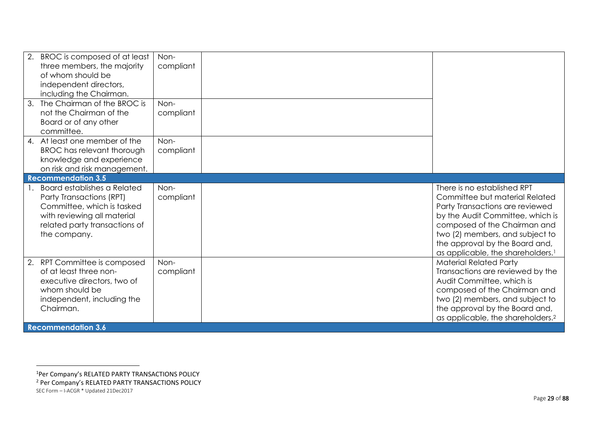| 2.<br>BROC is composed of at least<br>three members, the majority<br>of whom should be<br>independent directors,<br>including the Chairman.                                        | Non-<br>compliant |                                                                                                                                                                                                                                                                                            |
|------------------------------------------------------------------------------------------------------------------------------------------------------------------------------------|-------------------|--------------------------------------------------------------------------------------------------------------------------------------------------------------------------------------------------------------------------------------------------------------------------------------------|
| The Chairman of the BROC is<br>3.<br>not the Chairman of the<br>Board or of any other<br>committee.                                                                                | Non-<br>compliant |                                                                                                                                                                                                                                                                                            |
| 4. At least one member of the<br><b>BROC</b> has relevant thorough<br>knowledge and experience<br>on risk and risk management.                                                     | Non-<br>compliant |                                                                                                                                                                                                                                                                                            |
| <b>Recommendation 3.5</b>                                                                                                                                                          |                   |                                                                                                                                                                                                                                                                                            |
| <b>Board establishes a Related</b><br>Party Transactions (RPT)<br>Committee, which is tasked<br>with reviewing all material<br>related party transactions of<br>the company.       | Non-<br>compliant | There is no established RPT<br>Committee but material Related<br>Party Transactions are reviewed<br>by the Audit Committee, which is<br>composed of the Chairman and<br>two (2) members, and subject to<br>the approval by the Board and,<br>as applicable, the shareholders. <sup>1</sup> |
| RPT Committee is composed<br>2.<br>of at least three non-<br>executive directors, two of<br>whom should be<br>independent, including the<br>Chairman.<br><b>Recommendation 3.6</b> | Non-<br>compliant | <b>Material Related Party</b><br>Transactions are reviewed by the<br>Audit Committee, which is<br>composed of the Chairman and<br>two (2) members, and subject to<br>the approval by the Board and,<br>as applicable, the shareholders. <sup>2</sup>                                       |

SEC Form – I-ACGR \* Updated 21Dec2017 <sup>1</sup>Per Company's RELATED PARTY TRANSACTIONS POLICY <sup>2</sup> Per Company's RELATED PARTY TRANSACTIONS POLICY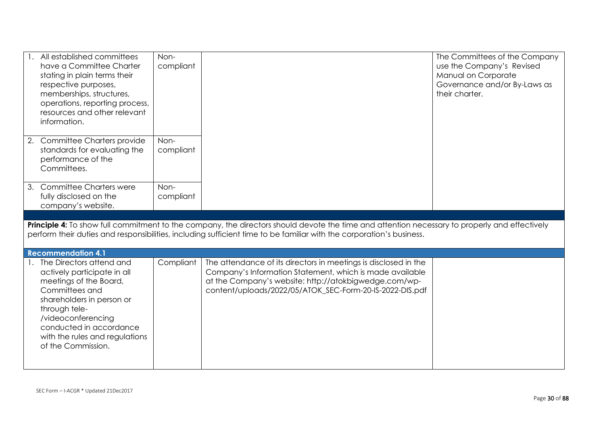| All established committees<br>have a Committee Charter<br>stating in plain terms their<br>respective purposes,<br>memberships, structures,<br>operations, reporting process,<br>resources and other relevant<br>information.                                  | Non-<br>compliant |                                                                                                                                                                                                                                                  | The Committees of the Company<br>use the Company's Revised<br>Manual on Corporate<br>Governance and/or By-Laws as<br>their charter. |
|---------------------------------------------------------------------------------------------------------------------------------------------------------------------------------------------------------------------------------------------------------------|-------------------|--------------------------------------------------------------------------------------------------------------------------------------------------------------------------------------------------------------------------------------------------|-------------------------------------------------------------------------------------------------------------------------------------|
| 2. Committee Charters provide<br>standards for evaluating the<br>performance of the<br>Committees.                                                                                                                                                            | Non-<br>compliant |                                                                                                                                                                                                                                                  |                                                                                                                                     |
| 3. Committee Charters were<br>fully disclosed on the<br>company's website.                                                                                                                                                                                    | Non-<br>compliant |                                                                                                                                                                                                                                                  |                                                                                                                                     |
|                                                                                                                                                                                                                                                               |                   | Principle 4: To show full commitment to the company, the directors should devote the time and attention necessary to properly and effectively                                                                                                    |                                                                                                                                     |
|                                                                                                                                                                                                                                                               |                   | perform their duties and responsibilities, including sufficient time to be familiar with the corporation's business.                                                                                                                             |                                                                                                                                     |
| <b>Recommendation 4.1</b>                                                                                                                                                                                                                                     |                   |                                                                                                                                                                                                                                                  |                                                                                                                                     |
| 1. The Directors attend and<br>actively participate in all<br>meetings of the Board,<br>Committees and<br>shareholders in person or<br>through tele-<br>/videoconferencing<br>conducted in accordance<br>with the rules and regulations<br>of the Commission. | Compliant         | The attendance of its directors in meetings is disclosed in the<br>Company's Information Statement, which is made available<br>at the Company's website: http://atokbigwedge.com/wp-<br>content/uploads/2022/05/ATOK_SEC-Form-20-IS-2022-DIS.pdf |                                                                                                                                     |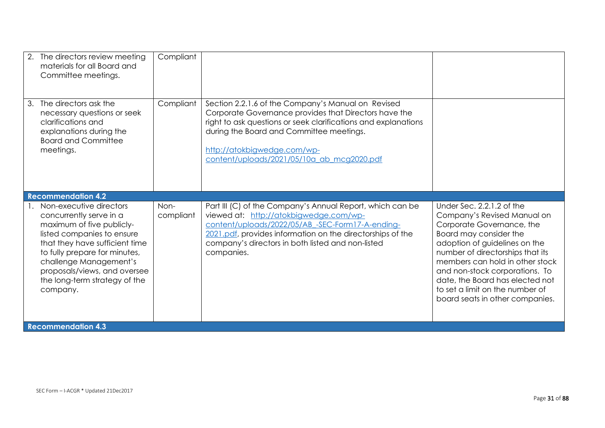| 2. The directors review meeting<br>materials for all Board and<br>Committee meetings.                                                                                                                                                                                                   | Compliant         |                                                                                                                                                                                                                                                                                                        |                                                                                                                                                                                                                                                                                                                                                                    |
|-----------------------------------------------------------------------------------------------------------------------------------------------------------------------------------------------------------------------------------------------------------------------------------------|-------------------|--------------------------------------------------------------------------------------------------------------------------------------------------------------------------------------------------------------------------------------------------------------------------------------------------------|--------------------------------------------------------------------------------------------------------------------------------------------------------------------------------------------------------------------------------------------------------------------------------------------------------------------------------------------------------------------|
| 3. The directors ask the<br>necessary questions or seek<br>clarifications and<br>explanations during the<br><b>Board and Committee</b><br>meetings.                                                                                                                                     | Compliant         | Section 2.2.1.6 of the Company's Manual on Revised<br>Corporate Governance provides that Directors have the<br>right to ask questions or seek clarifications and explanations<br>during the Board and Committee meetings.<br>http://atokbigwedge.com/wp-<br>content/uploads/2021/05/10a ab mcg2020.pdf |                                                                                                                                                                                                                                                                                                                                                                    |
| <b>Recommendation 4.2</b>                                                                                                                                                                                                                                                               |                   |                                                                                                                                                                                                                                                                                                        |                                                                                                                                                                                                                                                                                                                                                                    |
| Non-executive directors<br>concurrently serve in a<br>maximum of five publicly-<br>listed companies to ensure<br>that they have sufficient time<br>to fully prepare for minutes,<br>challenge Management's<br>proposals/views, and oversee<br>the long-term strategy of the<br>company. | Non-<br>compliant | Part III (C) of the Company's Annual Report, which can be<br>viewed at: http://atokbigwedge.com/wp-<br>content/uploads/2022/05/AB -SEC-Form17-A-ending-<br>2021.pdf, provides information on the directorships of the<br>company's directors in both listed and non-listed<br>companies.               | Under Sec. 2.2.1.2 of the<br>Company's Revised Manual on<br>Corporate Governance, the<br>Board may consider the<br>adoption of guidelines on the<br>number of directorships that its<br>members can hold in other stock<br>and non-stock corporations. To<br>date, the Board has elected not<br>to set a limit on the number of<br>board seats in other companies. |
| <b>Recommendation 4.3</b>                                                                                                                                                                                                                                                               |                   |                                                                                                                                                                                                                                                                                                        |                                                                                                                                                                                                                                                                                                                                                                    |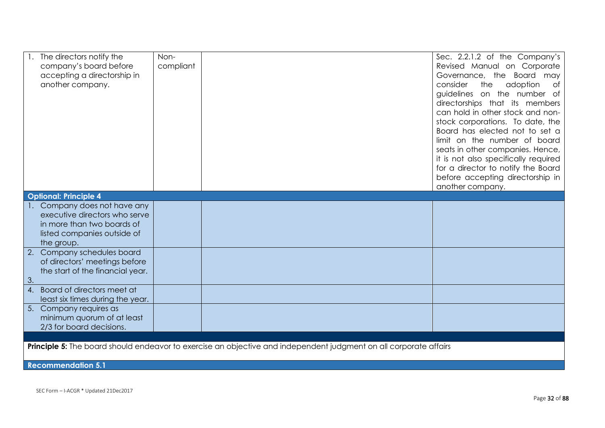| The directors notify the         | Non-      |                                                                                                                          | Sec. 2.2.1.2 of the Company's        |
|----------------------------------|-----------|--------------------------------------------------------------------------------------------------------------------------|--------------------------------------|
| company's board before           | compliant |                                                                                                                          | Revised Manual on Corporate          |
| accepting a directorship in      |           |                                                                                                                          | Governance, the Board may            |
| another company.                 |           |                                                                                                                          | consider<br>the<br>adoption<br>Оf    |
|                                  |           |                                                                                                                          | guidelines on the number of          |
|                                  |           |                                                                                                                          | directorships that its members       |
|                                  |           |                                                                                                                          | can hold in other stock and non-     |
|                                  |           |                                                                                                                          | stock corporations. To date, the     |
|                                  |           |                                                                                                                          | Board has elected not to set a       |
|                                  |           |                                                                                                                          | limit on the number of board         |
|                                  |           |                                                                                                                          | seats in other companies. Hence,     |
|                                  |           |                                                                                                                          | it is not also specifically required |
|                                  |           |                                                                                                                          | for a director to notify the Board   |
|                                  |           |                                                                                                                          | before accepting directorship in     |
|                                  |           |                                                                                                                          | another company.                     |
| <b>Optional: Principle 4</b>     |           |                                                                                                                          |                                      |
| Company does not have any        |           |                                                                                                                          |                                      |
| executive directors who serve    |           |                                                                                                                          |                                      |
| in more than two boards of       |           |                                                                                                                          |                                      |
| listed companies outside of      |           |                                                                                                                          |                                      |
| the group.                       |           |                                                                                                                          |                                      |
| 2. Company schedules board       |           |                                                                                                                          |                                      |
| of directors' meetings before    |           |                                                                                                                          |                                      |
| the start of the financial year. |           |                                                                                                                          |                                      |
| 3.                               |           |                                                                                                                          |                                      |
| 4. Board of directors meet at    |           |                                                                                                                          |                                      |
| least six times during the year. |           |                                                                                                                          |                                      |
| 5. Company requires as           |           |                                                                                                                          |                                      |
| minimum quorum of at least       |           |                                                                                                                          |                                      |
| 2/3 for board decisions.         |           |                                                                                                                          |                                      |
|                                  |           |                                                                                                                          |                                      |
|                                  |           | <b>Principle 5:</b> The board should endeavor to exercise an objective and independent judgment on all corporate affairs |                                      |
| <b>Recommendation 5.1</b>        |           |                                                                                                                          |                                      |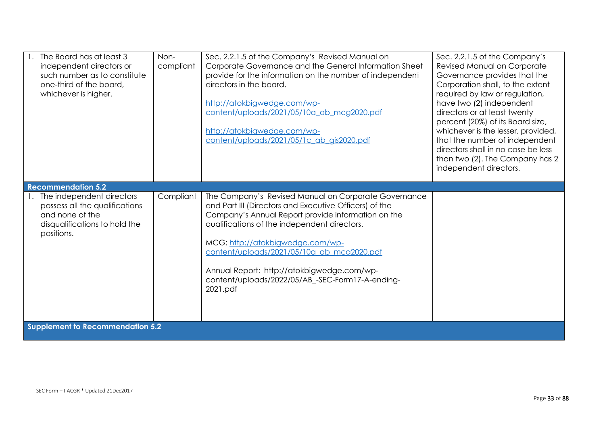| The Board has at least 3<br>independent directors or<br>such number as to constitute<br>one-third of the board,<br>whichever is higher. | Non-<br>compliant | Sec. 2.2.1.5 of the Company's Revised Manual on<br>Corporate Governance and the General Information Sheet<br>provide for the information on the number of independent<br>directors in the board.<br>http://atokbigwedge.com/wp-<br>content/uploads/2021/05/10a ab mcg2020.pdf<br>http://atokbigwedge.com/wp-<br>content/uploads/2021/05/1c ab gis2020.pdf                                                            | Sec. 2.2.1.5 of the Company's<br>Revised Manual on Corporate<br>Governance provides that the<br>Corporation shall, to the extent<br>required by law or regulation,<br>have two (2) independent<br>directors or at least twenty<br>percent (20%) of its Board size,<br>whichever is the lesser, provided,<br>that the number of independent<br>directors shall in no case be less<br>than two (2). The Company has 2<br>independent directors. |  |  |
|-----------------------------------------------------------------------------------------------------------------------------------------|-------------------|----------------------------------------------------------------------------------------------------------------------------------------------------------------------------------------------------------------------------------------------------------------------------------------------------------------------------------------------------------------------------------------------------------------------|-----------------------------------------------------------------------------------------------------------------------------------------------------------------------------------------------------------------------------------------------------------------------------------------------------------------------------------------------------------------------------------------------------------------------------------------------|--|--|
| <b>Recommendation 5.2</b>                                                                                                               |                   |                                                                                                                                                                                                                                                                                                                                                                                                                      |                                                                                                                                                                                                                                                                                                                                                                                                                                               |  |  |
| The independent directors<br>possess all the qualifications<br>and none of the<br>disqualifications to hold the<br>positions.           | Compliant         | The Company's Revised Manual on Corporate Governance<br>and Part III (Directors and Executive Officers) of the<br>Company's Annual Report provide information on the<br>qualifications of the independent directors.<br>MCG: http://atokbigwedge.com/wp-<br>content/uploads/2021/05/10a_ab_mcg2020.pdf<br>Annual Report: http://atokbigwedge.com/wp-<br>content/uploads/2022/05/AB_-SEC-Form17-A-ending-<br>2021.pdf |                                                                                                                                                                                                                                                                                                                                                                                                                                               |  |  |
| <b>Supplement to Recommendation 5.2</b>                                                                                                 |                   |                                                                                                                                                                                                                                                                                                                                                                                                                      |                                                                                                                                                                                                                                                                                                                                                                                                                                               |  |  |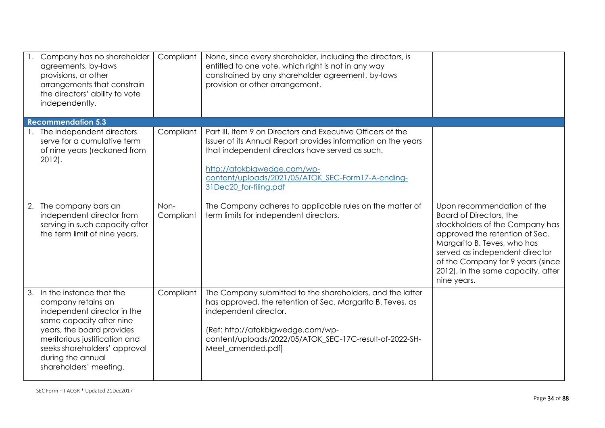| Company has no shareholder<br>agreements, by-laws<br>provisions, or other<br>arrangements that constrain<br>the directors' ability to vote<br>independently.                                                                                              | Compliant         | None, since every shareholder, including the directors, is<br>entitled to one vote, which right is not in any way<br>constrained by any shareholder agreement, by-laws<br>provision or other arrangement.                                                                                     |                                                                                                                                                                                                                                                                                       |
|-----------------------------------------------------------------------------------------------------------------------------------------------------------------------------------------------------------------------------------------------------------|-------------------|-----------------------------------------------------------------------------------------------------------------------------------------------------------------------------------------------------------------------------------------------------------------------------------------------|---------------------------------------------------------------------------------------------------------------------------------------------------------------------------------------------------------------------------------------------------------------------------------------|
| <b>Recommendation 5.3</b>                                                                                                                                                                                                                                 |                   |                                                                                                                                                                                                                                                                                               |                                                                                                                                                                                                                                                                                       |
| 1. The independent directors<br>serve for a cumulative term<br>of nine years (reckoned from<br>$2012$ .                                                                                                                                                   | Compliant         | Part III, Item 9 on Directors and Executive Officers of the<br>Issuer of its Annual Report provides information on the years<br>that independent directors have served as such.<br>http://atokbigwedge.com/wp-<br>content/uploads/2021/05/ATOK SEC-Form17-A-ending-<br>31Dec20 for-filing.pdf |                                                                                                                                                                                                                                                                                       |
| 2. The company bars an<br>independent director from<br>serving in such capacity after<br>the term limit of nine years.                                                                                                                                    | Non-<br>Compliant | The Company adheres to applicable rules on the matter of<br>term limits for independent directors.                                                                                                                                                                                            | Upon recommendation of the<br>Board of Directors, the<br>stockholders of the Company has<br>approved the retention of Sec.<br>Margarito B. Teves, who has<br>served as independent director<br>of the Company for 9 years (since<br>2012), in the same capacity, after<br>nine years. |
| 3. In the instance that the<br>company retains an<br>independent director in the<br>same capacity after nine<br>years, the board provides<br>meritorious justification and<br>seeks shareholders' approval<br>during the annual<br>shareholders' meeting. | Compliant         | The Company submitted to the shareholders, and the latter<br>has approved, the retention of Sec. Margarito B. Teves, as<br>independent director.<br>(Ref: http://atokbigwedge.com/wp-<br>content/uploads/2022/05/ATOK_SEC-17C-result-of-2022-SH-<br>Meet_amended.pdf]                         |                                                                                                                                                                                                                                                                                       |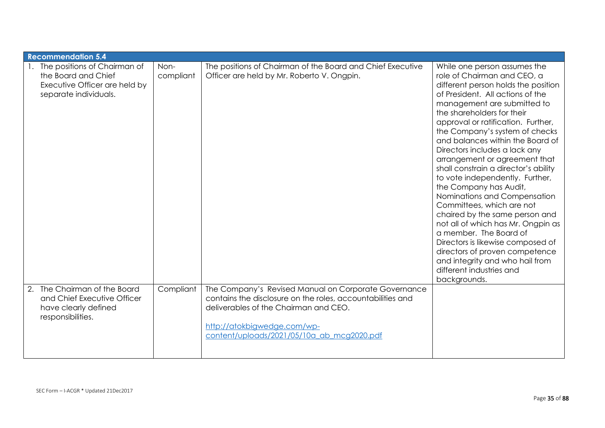| <b>Recommendation 5.4</b>                                                                                     |                   |                                                                                                                                                                                                                                          |                                                                                                                                                                                                                                                                                                                                                                                                                                                                                                                                                                                                                                                                                                                                                                                                             |
|---------------------------------------------------------------------------------------------------------------|-------------------|------------------------------------------------------------------------------------------------------------------------------------------------------------------------------------------------------------------------------------------|-------------------------------------------------------------------------------------------------------------------------------------------------------------------------------------------------------------------------------------------------------------------------------------------------------------------------------------------------------------------------------------------------------------------------------------------------------------------------------------------------------------------------------------------------------------------------------------------------------------------------------------------------------------------------------------------------------------------------------------------------------------------------------------------------------------|
| The positions of Chairman of<br>the Board and Chief<br>Executive Officer are held by<br>separate individuals. | Non-<br>compliant | The positions of Chairman of the Board and Chief Executive<br>Officer are held by Mr. Roberto V. Ongpin.                                                                                                                                 | While one person assumes the<br>role of Chairman and CEO, a<br>different person holds the position<br>of President. All actions of the<br>management are submitted to<br>the shareholders for their<br>approval or ratification. Further,<br>the Company's system of checks<br>and balances within the Board of<br>Directors includes a lack any<br>arrangement or agreement that<br>shall constrain a director's ability<br>to vote independently. Further,<br>the Company has Audit,<br>Nominations and Compensation<br>Committees, which are not<br>chaired by the same person and<br>not all of which has Mr. Ongpin as<br>a member. The Board of<br>Directors is likewise composed of<br>directors of proven competence<br>and integrity and who hail from<br>different industries and<br>backgrounds. |
| The Chairman of the Board<br>2.<br>and Chief Executive Officer<br>have clearly defined<br>responsibilities.   | Compliant         | The Company's Revised Manual on Corporate Governance<br>contains the disclosure on the roles, accountabilities and<br>deliverables of the Chairman and CEO.<br>http://atokbigwedge.com/wp-<br>content/uploads/2021/05/10a ab mcg2020.pdf |                                                                                                                                                                                                                                                                                                                                                                                                                                                                                                                                                                                                                                                                                                                                                                                                             |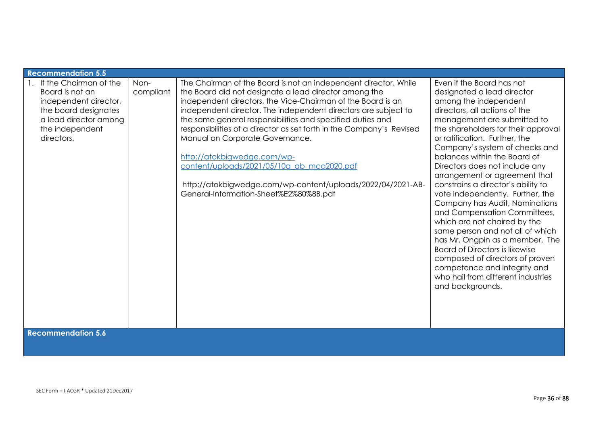| <b>Recommendation 5.5</b>                                                                                                                                                         |                   |                                                                                                                                                                                                                                                                                                                                                                                                                                                                                                                                                                                                                          |                                                                                                                                                                                                                                                                                                                                                                                                                                                                                                                                                                                                                                                                                                                                                                                        |
|-----------------------------------------------------------------------------------------------------------------------------------------------------------------------------------|-------------------|--------------------------------------------------------------------------------------------------------------------------------------------------------------------------------------------------------------------------------------------------------------------------------------------------------------------------------------------------------------------------------------------------------------------------------------------------------------------------------------------------------------------------------------------------------------------------------------------------------------------------|----------------------------------------------------------------------------------------------------------------------------------------------------------------------------------------------------------------------------------------------------------------------------------------------------------------------------------------------------------------------------------------------------------------------------------------------------------------------------------------------------------------------------------------------------------------------------------------------------------------------------------------------------------------------------------------------------------------------------------------------------------------------------------------|
| If the Chairman of the<br>Board is not an<br>independent director,<br>the board designates<br>a lead director among<br>the independent<br>directors.<br><b>Recommendation 5.6</b> | Non-<br>compliant | The Chairman of the Board is not an independent director. While<br>the Board did not designate a lead director among the<br>independent directors, the Vice-Chairman of the Board is an<br>independent director. The independent directors are subject to<br>the same general responsibilities and specified duties and<br>responsibilities of a director as set forth in the Company's Revised<br>Manual on Corporate Governance.<br>http://atokbigwedge.com/wp-<br>content/uploads/2021/05/10a ab mcg2020.pdf<br>http://atokbigwedge.com/wp-content/uploads/2022/04/2021-AB-<br>General-Information-Sheet%E2%80%8B.pdf | Even if the Board has not<br>designated a lead director<br>among the independent<br>directors, all actions of the<br>management are submitted to<br>the shareholders for their approval<br>or ratification. Further, the<br>Company's system of checks and<br>balances within the Board of<br>Directors does not include any<br>arrangement or agreement that<br>constrains a director's ability to<br>vote independently. Further, the<br>Company has Audit, Nominations<br>and Compensation Committees,<br>which are not chaired by the<br>same person and not all of which<br>has Mr. Ongpin as a member. The<br><b>Board of Directors is likewise</b><br>composed of directors of proven<br>competence and integrity and<br>who hail from different industries<br>and backgrounds. |
|                                                                                                                                                                                   |                   |                                                                                                                                                                                                                                                                                                                                                                                                                                                                                                                                                                                                                          |                                                                                                                                                                                                                                                                                                                                                                                                                                                                                                                                                                                                                                                                                                                                                                                        |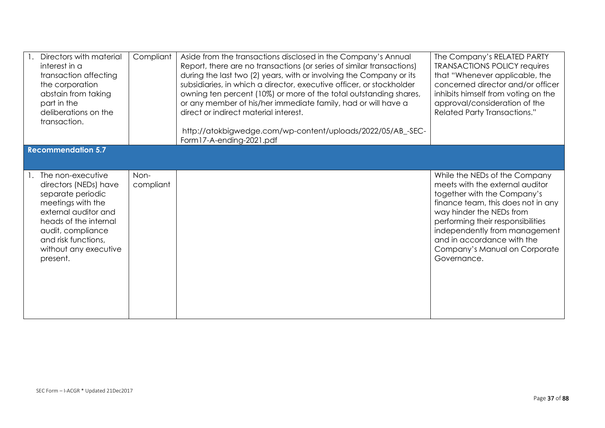| Directors with material<br>interest in a<br>transaction affecting<br>the corporation<br>abstain from taking<br>part in the<br>deliberations on the<br>transaction.                                                     | Compliant         | Aside from the transactions disclosed in the Company's Annual<br>Report, there are no transactions (or series of similar transactions)<br>during the last two (2) years, with or involving the Company or its<br>subsidiaries, in which a director, executive officer, or stockholder<br>owning ten percent (10%) or more of the total outstanding shares,<br>or any member of his/her immediate family, had or will have a<br>direct or indirect material interest.<br>http://atokbigwedge.com/wp-content/uploads/2022/05/AB_-SEC-<br>Form17-A-ending-2021.pdf | The Company's RELATED PARTY<br><b>TRANSACTIONS POLICY requires</b><br>that "Whenever applicable, the<br>concerned director and/or officer<br>inhibits himself from voting on the<br>approval/consideration of the<br><b>Related Party Transactions."</b>                                                              |
|------------------------------------------------------------------------------------------------------------------------------------------------------------------------------------------------------------------------|-------------------|-----------------------------------------------------------------------------------------------------------------------------------------------------------------------------------------------------------------------------------------------------------------------------------------------------------------------------------------------------------------------------------------------------------------------------------------------------------------------------------------------------------------------------------------------------------------|-----------------------------------------------------------------------------------------------------------------------------------------------------------------------------------------------------------------------------------------------------------------------------------------------------------------------|
| <b>Recommendation 5.7</b>                                                                                                                                                                                              |                   |                                                                                                                                                                                                                                                                                                                                                                                                                                                                                                                                                                 |                                                                                                                                                                                                                                                                                                                       |
|                                                                                                                                                                                                                        |                   |                                                                                                                                                                                                                                                                                                                                                                                                                                                                                                                                                                 |                                                                                                                                                                                                                                                                                                                       |
| The non-executive<br>directors (NEDs) have<br>separate periodic<br>meetings with the<br>external auditor and<br>heads of the internal<br>audit, compliance<br>and risk functions,<br>without any executive<br>present. | Non-<br>compliant |                                                                                                                                                                                                                                                                                                                                                                                                                                                                                                                                                                 | While the NEDs of the Company<br>meets with the external auditor<br>together with the Company's<br>finance team, this does not in any<br>way hinder the NEDs from<br>performing their responsibilities<br>independently from management<br>and in accordance with the<br>Company's Manual on Corporate<br>Governance. |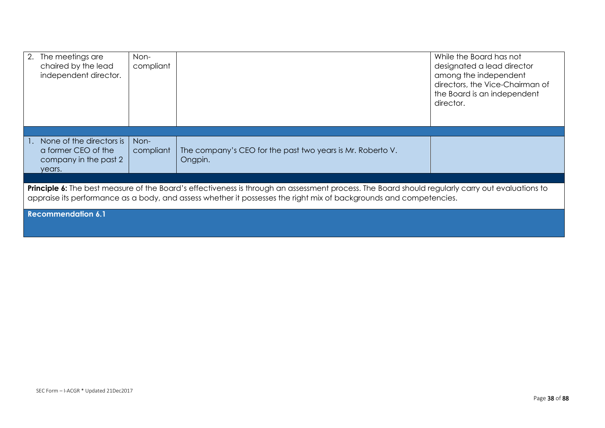| 2. The meetings are<br>chaired by the lead<br>independent director.                                                                                                                                                                                                    | Non-<br>compliant |                                                                       | While the Board has not<br>designated a lead director<br>among the independent<br>directors, the Vice-Chairman of<br>the Board is an independent<br>director. |  |
|------------------------------------------------------------------------------------------------------------------------------------------------------------------------------------------------------------------------------------------------------------------------|-------------------|-----------------------------------------------------------------------|---------------------------------------------------------------------------------------------------------------------------------------------------------------|--|
|                                                                                                                                                                                                                                                                        |                   |                                                                       |                                                                                                                                                               |  |
| None of the directors is<br>a former CEO of the<br>company in the past 2<br>years.                                                                                                                                                                                     | Non-<br>compliant | The company's CEO for the past two years is Mr. Roberto V.<br>Ongpin. |                                                                                                                                                               |  |
|                                                                                                                                                                                                                                                                        |                   |                                                                       |                                                                                                                                                               |  |
| Principle 6: The best measure of the Board's effectiveness is through an assessment process. The Board should regularly carry out evaluations to<br>appraise its performance as a body, and assess whether it possesses the right mix of backgrounds and competencies. |                   |                                                                       |                                                                                                                                                               |  |
| <b>Recommendation 6.1</b>                                                                                                                                                                                                                                              |                   |                                                                       |                                                                                                                                                               |  |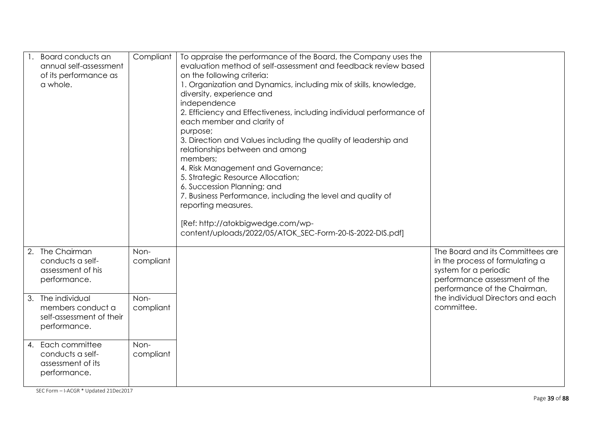| Board conducts an<br>annual self-assessment<br>of its performance as<br>a whole.   | Compliant         | To appraise the performance of the Board, the Company uses the<br>evaluation method of self-assessment and feedback review based<br>on the following criteria:<br>1. Organization and Dynamics, including mix of skills, knowledge,<br>diversity, experience and<br>independence<br>2. Efficiency and Effectiveness, including individual performance of<br>each member and clarity of<br>purpose;<br>3. Direction and Values including the quality of leadership and<br>relationships between and among<br>members;<br>4. Risk Management and Governance;<br>5. Strategic Resource Allocation;<br>6. Succession Planning; and<br>7. Business Performance, including the level and quality of<br>reporting measures.<br>[Ref: http://atokbigwedge.com/wp-<br>content/uploads/2022/05/ATOK_SEC-Form-20-IS-2022-DIS.pdf] |                                                                                                                                                               |
|------------------------------------------------------------------------------------|-------------------|------------------------------------------------------------------------------------------------------------------------------------------------------------------------------------------------------------------------------------------------------------------------------------------------------------------------------------------------------------------------------------------------------------------------------------------------------------------------------------------------------------------------------------------------------------------------------------------------------------------------------------------------------------------------------------------------------------------------------------------------------------------------------------------------------------------------|---------------------------------------------------------------------------------------------------------------------------------------------------------------|
| The Chairman<br>conducts a self-<br>assessment of his<br>performance.              | Non-<br>compliant |                                                                                                                                                                                                                                                                                                                                                                                                                                                                                                                                                                                                                                                                                                                                                                                                                        | The Board and its Committees are<br>in the process of formulating a<br>system for a periodic<br>performance assessment of the<br>performance of the Chairman, |
| 3. The individual<br>members conduct a<br>self-assessment of their<br>performance. | Non-<br>compliant |                                                                                                                                                                                                                                                                                                                                                                                                                                                                                                                                                                                                                                                                                                                                                                                                                        | the individual Directors and each<br>committee.                                                                                                               |
| 4. Each committee<br>conducts a self-<br>assessment of its<br>performance.         | Non-<br>compliant |                                                                                                                                                                                                                                                                                                                                                                                                                                                                                                                                                                                                                                                                                                                                                                                                                        |                                                                                                                                                               |

SEC Form – I-ACGR \* Updated 21Dec2017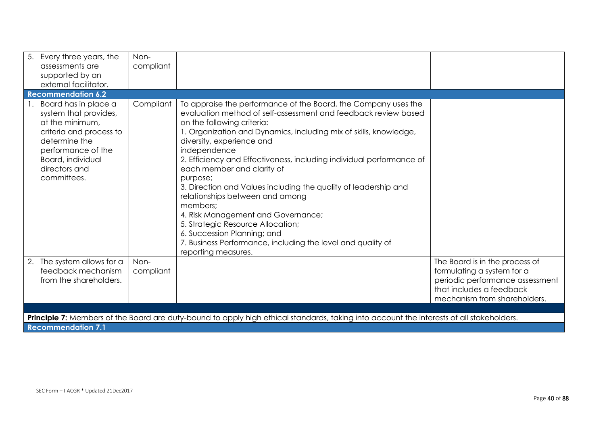| 5. Every three years, the<br>assessments are<br>supported by an<br>external facilitator.                                                                                                | Non-<br>compliant |                                                                                                                                                                                                                                                                                                                                                                                                                                                                                                                                                                                                                                                                                                                      |                                                                                             |
|-----------------------------------------------------------------------------------------------------------------------------------------------------------------------------------------|-------------------|----------------------------------------------------------------------------------------------------------------------------------------------------------------------------------------------------------------------------------------------------------------------------------------------------------------------------------------------------------------------------------------------------------------------------------------------------------------------------------------------------------------------------------------------------------------------------------------------------------------------------------------------------------------------------------------------------------------------|---------------------------------------------------------------------------------------------|
| <b>Recommendation 6.2</b>                                                                                                                                                               |                   |                                                                                                                                                                                                                                                                                                                                                                                                                                                                                                                                                                                                                                                                                                                      |                                                                                             |
| Board has in place a<br>system that provides,<br>at the minimum,<br>criteria and process to<br>determine the<br>performance of the<br>Board, individual<br>directors and<br>committees. | Compliant         | To appraise the performance of the Board, the Company uses the<br>evaluation method of self-assessment and feedback review based<br>on the following criteria:<br>1. Organization and Dynamics, including mix of skills, knowledge,<br>diversity, experience and<br>independence<br>2. Efficiency and Effectiveness, including individual performance of<br>each member and clarity of<br>purpose;<br>3. Direction and Values including the quality of leadership and<br>relationships between and among<br>members;<br>4. Risk Management and Governance;<br>5. Strategic Resource Allocation;<br>6. Succession Planning; and<br>7. Business Performance, including the level and quality of<br>reporting measures. |                                                                                             |
| The system allows for a<br>2.<br>feedback mechanism                                                                                                                                     | Non-<br>compliant |                                                                                                                                                                                                                                                                                                                                                                                                                                                                                                                                                                                                                                                                                                                      | The Board is in the process of<br>formulating a system for a                                |
| from the shareholders.                                                                                                                                                                  |                   |                                                                                                                                                                                                                                                                                                                                                                                                                                                                                                                                                                                                                                                                                                                      | periodic performance assessment<br>that includes a feedback<br>mechanism from shareholders. |
|                                                                                                                                                                                         |                   |                                                                                                                                                                                                                                                                                                                                                                                                                                                                                                                                                                                                                                                                                                                      |                                                                                             |
|                                                                                                                                                                                         |                   | Principle 7: Members of the Board are duty-bound to apply high ethical standards, taking into account the interests of all stakeholders.                                                                                                                                                                                                                                                                                                                                                                                                                                                                                                                                                                             |                                                                                             |
| <b>Recommendation 7.1</b>                                                                                                                                                               |                   |                                                                                                                                                                                                                                                                                                                                                                                                                                                                                                                                                                                                                                                                                                                      |                                                                                             |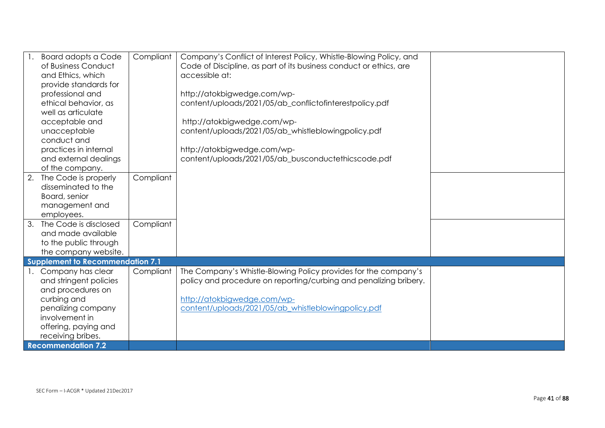|    | <b>Board adopts a Code</b>              | Compliant | Company's Conflict of Interest Policy, Whistle-Blowing Policy, and |  |
|----|-----------------------------------------|-----------|--------------------------------------------------------------------|--|
|    | of Business Conduct                     |           | Code of Discipline, as part of its business conduct or ethics, are |  |
|    | and Ethics, which                       |           | accessible at:                                                     |  |
|    | provide standards for                   |           |                                                                    |  |
|    | professional and                        |           | http://atokbigwedge.com/wp-                                        |  |
|    | ethical behavior, as                    |           | content/uploads/2021/05/ab_conflictofinterestpolicy.pdf            |  |
|    | well as articulate                      |           |                                                                    |  |
|    | acceptable and                          |           | http://atokbigwedge.com/wp-                                        |  |
|    | unacceptable                            |           | content/uploads/2021/05/ab_whistleblowingpolicy.pdf                |  |
|    | conduct and                             |           |                                                                    |  |
|    | practices in internal                   |           | http://atokbigwedge.com/wp-                                        |  |
|    | and external dealings                   |           | content/uploads/2021/05/ab_busconductethicscode.pdf                |  |
|    | of the company.                         |           |                                                                    |  |
| 2. | The Code is properly                    | Compliant |                                                                    |  |
|    | disseminated to the                     |           |                                                                    |  |
|    | Board, senior                           |           |                                                                    |  |
|    | management and                          |           |                                                                    |  |
|    | employees.                              |           |                                                                    |  |
| 3. | The Code is disclosed                   | Compliant |                                                                    |  |
|    | and made available                      |           |                                                                    |  |
|    | to the public through                   |           |                                                                    |  |
|    | the company website.                    |           |                                                                    |  |
|    | <b>Supplement to Recommendation 7.1</b> |           |                                                                    |  |
|    | 1. Company has clear                    | Compliant | The Company's Whistle-Blowing Policy provides for the company's    |  |
|    | and stringent policies                  |           | policy and procedure on reporting/curbing and penalizing bribery.  |  |
|    | and procedures on                       |           |                                                                    |  |
|    | curbing and                             |           | http://atokbigwedge.com/wp-                                        |  |
|    | penalizing company                      |           | content/uploads/2021/05/ab_whistleblowingpolicy.pdf                |  |
|    | involvement in                          |           |                                                                    |  |
|    | offering, paying and                    |           |                                                                    |  |
|    | receiving bribes.                       |           |                                                                    |  |
|    | <b>Recommendation 7.2</b>               |           |                                                                    |  |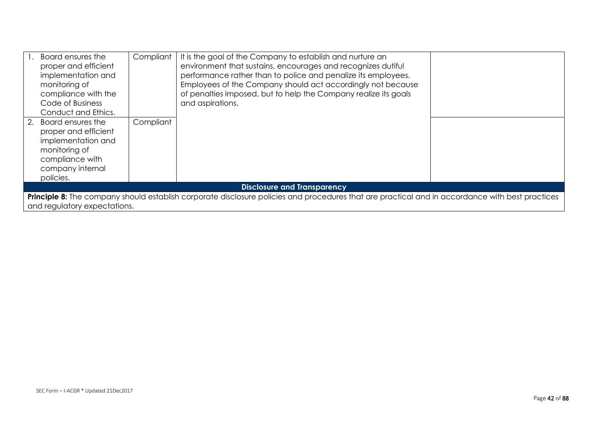| Board ensures the<br>proper and efficient<br>implementation and<br>monitoring of<br>compliance with the<br>Code of Business<br>Conduct and Ethics.                              | Compliant | It is the goal of the Company to establish and nurture an<br>environment that sustains, encourages and recognizes dutiful<br>performance rather than to police and penalize its employees.<br>Employees of the Company should act accordingly not because<br>of penalties imposed, but to help the Company realize its goals<br>and aspirations. |  |
|---------------------------------------------------------------------------------------------------------------------------------------------------------------------------------|-----------|--------------------------------------------------------------------------------------------------------------------------------------------------------------------------------------------------------------------------------------------------------------------------------------------------------------------------------------------------|--|
| 2. Board ensures the<br>proper and efficient<br>implementation and<br>monitoring of<br>compliance with<br>company internal<br>policies.                                         | Compliant |                                                                                                                                                                                                                                                                                                                                                  |  |
| <b>Disclosure and Transparency</b>                                                                                                                                              |           |                                                                                                                                                                                                                                                                                                                                                  |  |
| Principle 8: The company should establish corporate disclosure policies and procedures that are practical and in accordance with best practices<br>and regulatory expectations. |           |                                                                                                                                                                                                                                                                                                                                                  |  |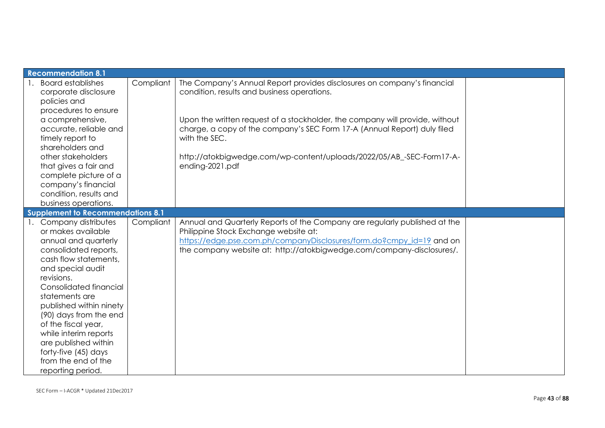| <b>Recommendation 8.1</b>                |           |                                                                              |  |
|------------------------------------------|-----------|------------------------------------------------------------------------------|--|
| <b>Board establishes</b>                 | Compliant | The Company's Annual Report provides disclosures on company's financial      |  |
| corporate disclosure                     |           | condition, results and business operations.                                  |  |
| policies and                             |           |                                                                              |  |
| procedures to ensure                     |           |                                                                              |  |
| a comprehensive,                         |           | Upon the written request of a stockholder, the company will provide, without |  |
| accurate, reliable and                   |           | charge, a copy of the company's SEC Form 17-A (Annual Report) duly filed     |  |
| timely report to                         |           | with the SEC.                                                                |  |
| shareholders and                         |           |                                                                              |  |
| other stakeholders                       |           | http://atokbigwedge.com/wp-content/uploads/2022/05/AB_-SEC-Form17-A-         |  |
| that gives a fair and                    |           | ending-2021.pdf                                                              |  |
| complete picture of a                    |           |                                                                              |  |
| company's financial                      |           |                                                                              |  |
| condition, results and                   |           |                                                                              |  |
| business operations.                     |           |                                                                              |  |
| <b>Supplement to Recommendations 8.1</b> |           |                                                                              |  |
| 1. Company distributes                   | Compliant | Annual and Quarterly Reports of the Company are regularly published at the   |  |
| or makes available                       |           | Philippine Stock Exchange website at:                                        |  |
| annual and quarterly                     |           | https://edge.pse.com.ph/companyDisclosures/form.do?cmpy_id=19 and on         |  |
| consolidated reports,                    |           | the company website at: http://atokbigwedge.com/company-disclosures/.        |  |
| cash flow statements,                    |           |                                                                              |  |
| and special audit                        |           |                                                                              |  |
| revisions.                               |           |                                                                              |  |
| Consolidated financial                   |           |                                                                              |  |
| statements are                           |           |                                                                              |  |
| published within ninety                  |           |                                                                              |  |
| (90) days from the end                   |           |                                                                              |  |
| of the fiscal year,                      |           |                                                                              |  |
| while interim reports                    |           |                                                                              |  |
| are published within                     |           |                                                                              |  |
| forty-five (45) days                     |           |                                                                              |  |
| from the end of the                      |           |                                                                              |  |
| reporting period.                        |           |                                                                              |  |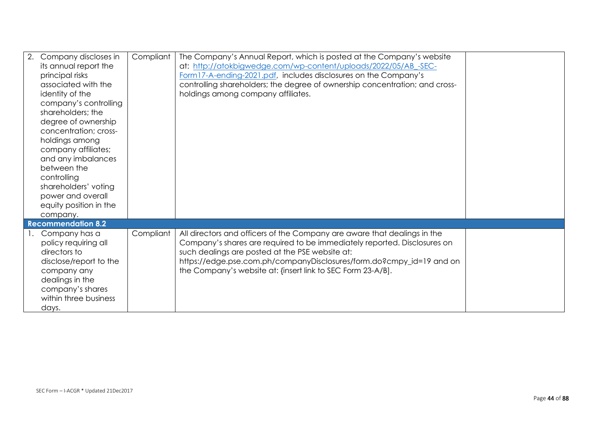| 2. | Company discloses in<br>its annual report the<br>principal risks<br>associated with the<br>identity of the<br>company's controlling<br>shareholders; the<br>degree of ownership<br>concentration; cross-<br>holdings among<br>company affiliates;<br>and any imbalances<br>between the<br>controlling<br>shareholders' voting<br>power and overall<br>equity position in the<br>company. | Compliant | The Company's Annual Report, which is posted at the Company's website<br>at: http://atokbigwedge.com/wp-content/uploads/2022/05/AB -SEC-<br>Form17-A-ending-2021.pdf, includes disclosures on the Company's<br>controlling shareholders; the degree of ownership concentration; and cross-<br>holdings among company affiliates.               |  |
|----|------------------------------------------------------------------------------------------------------------------------------------------------------------------------------------------------------------------------------------------------------------------------------------------------------------------------------------------------------------------------------------------|-----------|------------------------------------------------------------------------------------------------------------------------------------------------------------------------------------------------------------------------------------------------------------------------------------------------------------------------------------------------|--|
|    | <b>Recommendation 8.2</b>                                                                                                                                                                                                                                                                                                                                                                |           |                                                                                                                                                                                                                                                                                                                                                |  |
|    | Company has a<br>policy requiring all<br>directors to<br>disclose/report to the<br>company any<br>dealings in the<br>company's shares<br>within three business<br>days.                                                                                                                                                                                                                  | Compliant | All directors and officers of the Company are aware that dealings in the<br>Company's shares are required to be immediately reported. Disclosures on<br>such dealings are posted at the PSE website at:<br>https://edge.pse.com.ph/companyDisclosures/form.do?cmpy_id=19 and on<br>the Company's website at: {insert link to SEC Form 23-A/B]. |  |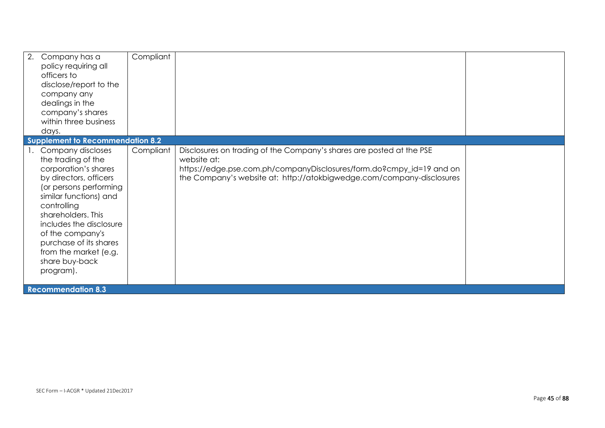| 2.<br>Company has a<br>policy requiring all<br>officers to<br>disclose/report to the<br>company any<br>dealings in the<br>company's shares<br>within three business<br>days.                                                                                                                                                | Compliant |                                                                                                                                                              |  |
|-----------------------------------------------------------------------------------------------------------------------------------------------------------------------------------------------------------------------------------------------------------------------------------------------------------------------------|-----------|--------------------------------------------------------------------------------------------------------------------------------------------------------------|--|
| <b>Supplement to Recommendation 8.2</b><br>Company discloses                                                                                                                                                                                                                                                                | Compliant | Disclosures on trading of the Company's shares are posted at the PSE                                                                                         |  |
| the trading of the<br>corporation's shares<br>by directors, officers<br>(or persons performing<br>similar functions) and<br>controlling<br>shareholders. This<br>includes the disclosure<br>of the company's<br>purchase of its shares<br>from the market (e.g.<br>share buy-back<br>program).<br><b>Recommendation 8.3</b> |           | website at:<br>https://edge.pse.com.ph/companyDisclosures/form.do?cmpy_id=19 and on<br>the Company's website at: http://atokbigwedge.com/company-disclosures |  |
|                                                                                                                                                                                                                                                                                                                             |           |                                                                                                                                                              |  |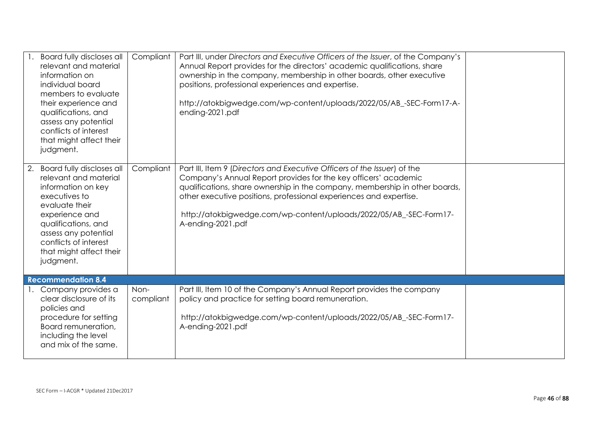| Board fully discloses all<br>relevant and material<br>information on<br>individual board<br>members to evaluate<br>their experience and<br>qualifications, and<br>assess any potential<br>conflicts of interest<br>that might affect their<br>judgment. | Compliant         | Part III, under Directors and Executive Officers of the Issuer, of the Company's<br>Annual Report provides for the directors' academic qualifications, share<br>ownership in the company, membership in other boards, other executive<br>positions, professional experiences and expertise.<br>http://atokbigwedge.com/wp-content/uploads/2022/05/AB_-SEC-Form17-A-<br>ending-2021.pdf      |  |
|---------------------------------------------------------------------------------------------------------------------------------------------------------------------------------------------------------------------------------------------------------|-------------------|---------------------------------------------------------------------------------------------------------------------------------------------------------------------------------------------------------------------------------------------------------------------------------------------------------------------------------------------------------------------------------------------|--|
| 2. Board fully discloses all<br>relevant and material<br>information on key<br>executives to<br>evaluate their<br>experience and<br>qualifications, and<br>assess any potential<br>conflicts of interest<br>that might affect their<br>judgment.        | Compliant         | Part III, Item 9 (Directors and Executive Officers of the Issuer) of the<br>Company's Annual Report provides for the key officers' academic<br>qualifications, share ownership in the company, membership in other boards,<br>other executive positions, professional experiences and expertise.<br>http://atokbigwedge.com/wp-content/uploads/2022/05/AB_-SEC-Form17-<br>A-ending-2021.pdf |  |
| <b>Recommendation 8.4</b>                                                                                                                                                                                                                               |                   |                                                                                                                                                                                                                                                                                                                                                                                             |  |
| Company provides a<br>clear disclosure of its<br>policies and<br>procedure for setting<br>Board remuneration,<br>including the level<br>and mix of the same.                                                                                            | Non-<br>compliant | Part III, Item 10 of the Company's Annual Report provides the company<br>policy and practice for setting board remuneration.<br>http://atokbigwedge.com/wp-content/uploads/2022/05/AB_-SEC-Form17-<br>A-ending-2021.pdf                                                                                                                                                                     |  |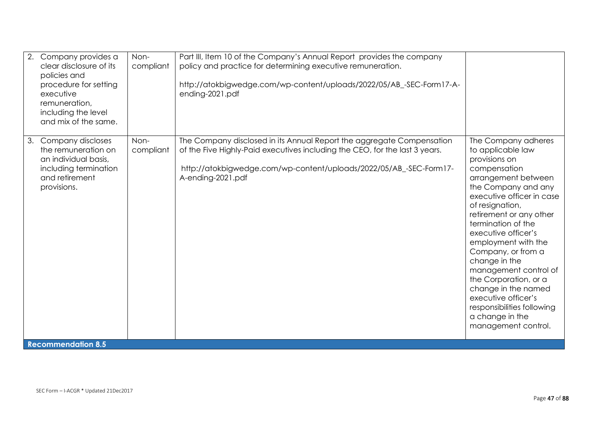| 2. | Company provides a<br>clear disclosure of its<br>policies and<br>procedure for setting<br>executive<br>remuneration,<br>including the level<br>and mix of the same. | Non-<br>compliant | Part III, Item 10 of the Company's Annual Report provides the company<br>policy and practice for determining executive remuneration.<br>http://atokbigwedge.com/wp-content/uploads/2022/05/AB_-SEC-Form17-A-<br>ending-2021.pdf                 |                                                                                                                                                                                                                                                                                                                                                                                                                                                                                       |
|----|---------------------------------------------------------------------------------------------------------------------------------------------------------------------|-------------------|-------------------------------------------------------------------------------------------------------------------------------------------------------------------------------------------------------------------------------------------------|---------------------------------------------------------------------------------------------------------------------------------------------------------------------------------------------------------------------------------------------------------------------------------------------------------------------------------------------------------------------------------------------------------------------------------------------------------------------------------------|
| 3. | Company discloses<br>the remuneration on<br>an individual basis,<br>including termination<br>and retirement<br>provisions.                                          | Non-<br>compliant | The Company disclosed in its Annual Report the aggregate Compensation<br>of the Five Highly-Paid executives including the CEO, for the last 3 years.<br>http://atokbigwedge.com/wp-content/uploads/2022/05/AB_-SEC-Form17-<br>A-ending-2021.pdf | The Company adheres<br>to applicable law<br>provisions on<br>compensation<br>arrangement between<br>the Company and any<br>executive officer in case<br>of resignation,<br>retirement or any other<br>termination of the<br>executive officer's<br>employment with the<br>Company, or from a<br>change in the<br>management control of<br>the Corporation, or a<br>change in the named<br>executive officer's<br>responsibilities following<br>a change in the<br>management control. |
|    | <b>Recommendation 8.5</b>                                                                                                                                           |                   |                                                                                                                                                                                                                                                 |                                                                                                                                                                                                                                                                                                                                                                                                                                                                                       |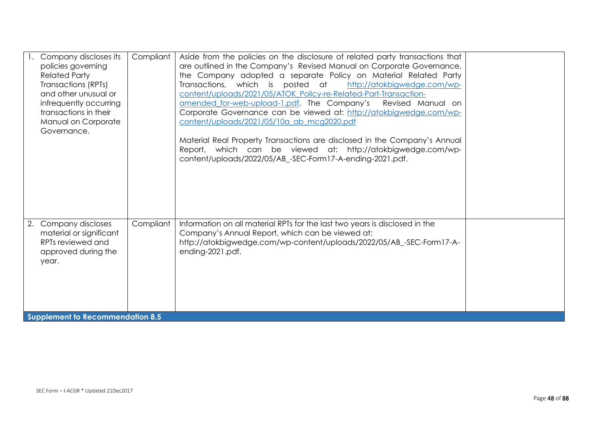| Company discloses its<br>policies governing<br><b>Related Party</b><br>Transactions (RPTs)<br>and other unusual or<br>infrequently occurring<br>transactions in their<br>Manual on Corporate<br>Governance. | Compliant | Aside from the policies on the disclosure of related party transactions that<br>are outlined in the Company's Revised Manual on Corporate Governance,<br>the Company adopted a separate Policy on Material Related Party<br>Transactions, which is posted at http://atokbigwedge.com/wp-<br>content/uploads/2021/05/ATOK Policy-re-Related-Part-Transaction-<br>amended for-web-upload-1.pdf. The Company's<br>Revised Manual on<br>Corporate Governance can be viewed at: http://atokbigwedge.com/wp-<br>content/uploads/2021/05/10a ab mcg2020.pdf<br>Material Real Property Transactions are disclosed in the Company's Annual<br>Report, which can be viewed at: http://atokbigwedge.com/wp-<br>content/uploads/2022/05/AB_-SEC-Form17-A-ending-2021.pdf. |  |
|-------------------------------------------------------------------------------------------------------------------------------------------------------------------------------------------------------------|-----------|---------------------------------------------------------------------------------------------------------------------------------------------------------------------------------------------------------------------------------------------------------------------------------------------------------------------------------------------------------------------------------------------------------------------------------------------------------------------------------------------------------------------------------------------------------------------------------------------------------------------------------------------------------------------------------------------------------------------------------------------------------------|--|
| Company discloses<br>2.<br>material or significant<br>RPTs reviewed and<br>approved during the<br>year.<br>Supplement to Recommendation 8.5                                                                 | Compliant | Information on all material RPTs for the last two years is disclosed in the<br>Company's Annual Report, which can be viewed at:<br>http://atokbigwedge.com/wp-content/uploads/2022/05/AB_-SEC-Form17-A-<br>ending-2021.pdf.                                                                                                                                                                                                                                                                                                                                                                                                                                                                                                                                   |  |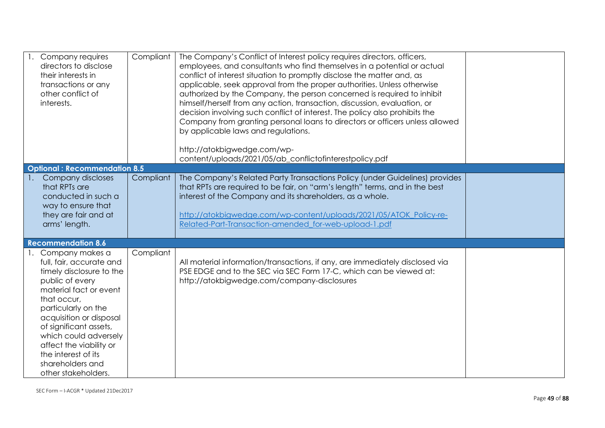| Company requires<br>directors to disclose<br>their interests in<br>transactions or any<br>other conflict of<br>interests.                                                                                                                                                                                                             | Compliant | The Company's Conflict of Interest policy requires directors, officers,<br>employees, and consultants who find themselves in a potential or actual<br>conflict of interest situation to promptly disclose the matter and, as<br>applicable, seek approval from the proper authorities. Unless otherwise<br>authorized by the Company, the person concerned is required to inhibit<br>himself/herself from any action, transaction, discussion, evaluation, or<br>decision involving such conflict of interest. The policy also prohibits the<br>Company from granting personal loans to directors or officers unless allowed<br>by applicable laws and regulations.<br>http://atokbigwedge.com/wp-<br>content/uploads/2021/05/ab_conflictofinterestpolicy.pdf |  |
|---------------------------------------------------------------------------------------------------------------------------------------------------------------------------------------------------------------------------------------------------------------------------------------------------------------------------------------|-----------|---------------------------------------------------------------------------------------------------------------------------------------------------------------------------------------------------------------------------------------------------------------------------------------------------------------------------------------------------------------------------------------------------------------------------------------------------------------------------------------------------------------------------------------------------------------------------------------------------------------------------------------------------------------------------------------------------------------------------------------------------------------|--|
| <b>Optional: Recommendation 8.5</b>                                                                                                                                                                                                                                                                                                   |           |                                                                                                                                                                                                                                                                                                                                                                                                                                                                                                                                                                                                                                                                                                                                                               |  |
| Company discloses<br>that RPTs are<br>conducted in such a<br>way to ensure that<br>they are fair and at<br>arms' length.                                                                                                                                                                                                              | Compliant | The Company's Related Party Transactions Policy (under Guidelines) provides<br>that RPTs are required to be fair, on "arm's length" terms, and in the best<br>interest of the Company and its shareholders, as a whole.<br>http://atokbigwedge.com/wp-content/uploads/2021/05/ATOK Policy-re-<br>Related-Part-Transaction-amended for-web-upload-1.pdf                                                                                                                                                                                                                                                                                                                                                                                                        |  |
| <b>Recommendation 8.6</b>                                                                                                                                                                                                                                                                                                             |           |                                                                                                                                                                                                                                                                                                                                                                                                                                                                                                                                                                                                                                                                                                                                                               |  |
| Company makes a<br>full, fair, accurate and<br>timely disclosure to the<br>public of every<br>material fact or event<br>that occur,<br>particularly on the<br>acquisition or disposal<br>of significant assets,<br>which could adversely<br>affect the viability or<br>the interest of its<br>shareholders and<br>other stakeholders. | Compliant | All material information/transactions, if any, are immediately disclosed via<br>PSE EDGE and to the SEC via SEC Form 17-C, which can be viewed at:<br>http://atokbigwedge.com/company-disclosures                                                                                                                                                                                                                                                                                                                                                                                                                                                                                                                                                             |  |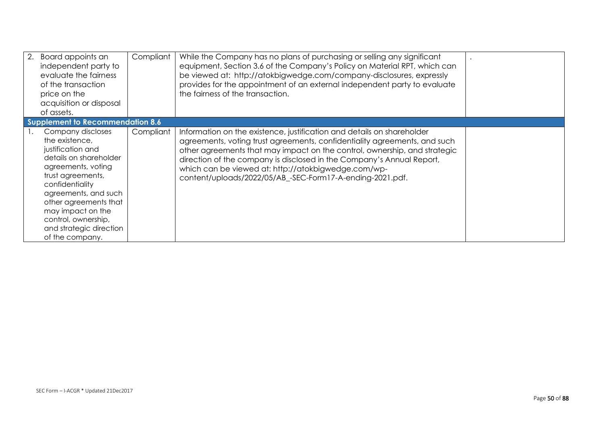| 2.<br>Board appoints an<br>independent party to<br>evaluate the fairness<br>of the transaction<br>price on the<br>acquisition or disposal<br>of assets.                                                                                                                                     | Compliant | While the Company has no plans of purchasing or selling any significant<br>equipment, Section 3.6 of the Company's Policy on Material RPT, which can<br>be viewed at: http://atokbigwedge.com/company-disclosures, expressly<br>provides for the appointment of an external independent party to evaluate<br>the fairness of the transaction.                                                                                 |  |
|---------------------------------------------------------------------------------------------------------------------------------------------------------------------------------------------------------------------------------------------------------------------------------------------|-----------|-------------------------------------------------------------------------------------------------------------------------------------------------------------------------------------------------------------------------------------------------------------------------------------------------------------------------------------------------------------------------------------------------------------------------------|--|
| Supplement to Recommendation 8.6                                                                                                                                                                                                                                                            |           |                                                                                                                                                                                                                                                                                                                                                                                                                               |  |
| Company discloses<br>the existence,<br>justification and<br>details on shareholder<br>agreements, voting<br>trust agreements,<br>confidentiality<br>agreements, and such<br>other agreements that<br>may impact on the<br>control, ownership,<br>and strategic direction<br>of the company. | Compliant | Information on the existence, justification and details on shareholder<br>agreements, voting trust agreements, confidentiality agreements, and such<br>other agreements that may impact on the control, ownership, and strategic<br>direction of the company is disclosed in the Company's Annual Report,<br>which can be viewed at: http://atokbigwedge.com/wp-<br>content/uploads/2022/05/AB_-SEC-Form17-A-ending-2021.pdf. |  |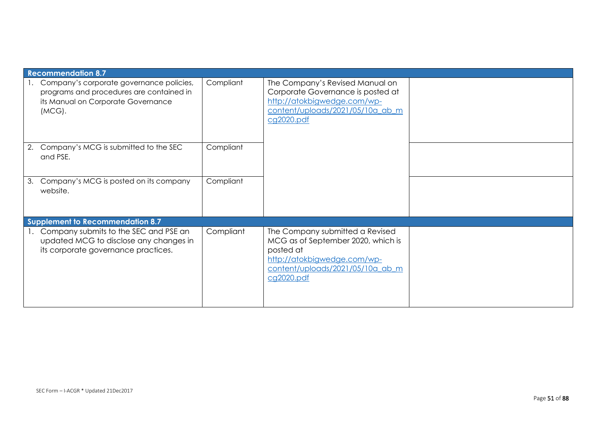| <b>Recommendation 8.7</b>                                                                                                               |           |                                                                                                                                                                     |  |
|-----------------------------------------------------------------------------------------------------------------------------------------|-----------|---------------------------------------------------------------------------------------------------------------------------------------------------------------------|--|
| Company's corporate governance policies,<br>programs and procedures are contained in<br>its Manual on Corporate Governance<br>$(MCG)$ . | Compliant | The Company's Revised Manual on<br>Corporate Governance is posted at<br>http://atokbigwedge.com/wp-<br>content/uploads/2021/05/10a_ab_m<br>cg2020.pdf               |  |
| Company's MCG is submitted to the SEC<br>2.<br>and PSE.                                                                                 | Compliant |                                                                                                                                                                     |  |
| Company's MCG is posted on its company<br>3.<br>website.                                                                                | Compliant |                                                                                                                                                                     |  |
| <b>Supplement to Recommendation 8.7</b>                                                                                                 |           |                                                                                                                                                                     |  |
| Company submits to the SEC and PSE an<br>updated MCG to disclose any changes in<br>its corporate governance practices.                  | Compliant | The Company submitted a Revised<br>MCG as of September 2020, which is<br>posted at<br>http://atokbigwedge.com/wp-<br>content/uploads/2021/05/10a ab m<br>cg2020.pdf |  |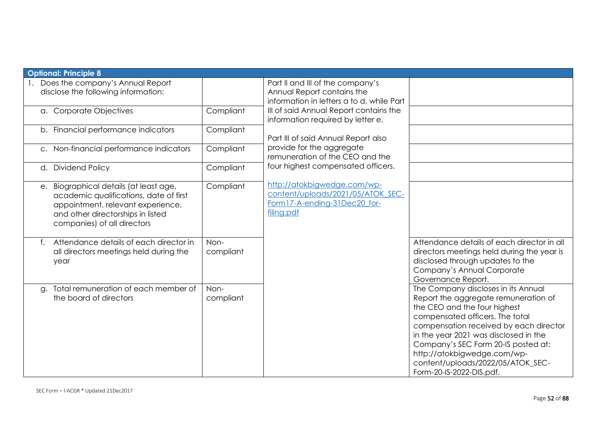| <b>Optional: Principle 8</b>                                                                                                                                                              |                   |                                                                                                                |                                                                                                                                                                                                                                                                                                                                                                          |
|-------------------------------------------------------------------------------------------------------------------------------------------------------------------------------------------|-------------------|----------------------------------------------------------------------------------------------------------------|--------------------------------------------------------------------------------------------------------------------------------------------------------------------------------------------------------------------------------------------------------------------------------------------------------------------------------------------------------------------------|
| 1. Does the company's Annual Report<br>disclose the following information:                                                                                                                |                   | Part II and III of the company's<br>Annual Report contains the<br>information in letters a to d, while Part    |                                                                                                                                                                                                                                                                                                                                                                          |
| a. Corporate Objectives                                                                                                                                                                   | Compliant         | III of said Annual Report contains the<br>information required by letter e.                                    |                                                                                                                                                                                                                                                                                                                                                                          |
| b. Financial performance indicators                                                                                                                                                       | Compliant         | Part III of said Annual Report also                                                                            |                                                                                                                                                                                                                                                                                                                                                                          |
| c. Non-financial performance indicators                                                                                                                                                   | Compliant         | provide for the aggregate<br>remuneration of the CEO and the                                                   |                                                                                                                                                                                                                                                                                                                                                                          |
| d. Dividend Policy                                                                                                                                                                        | Compliant         | four highest compensated officers.                                                                             |                                                                                                                                                                                                                                                                                                                                                                          |
| e. Biographical details (at least age,<br>academic qualifications, date of first<br>appointment, relevant experience,<br>and other directorships in listed<br>companies) of all directors | Compliant         | http://atokbigwedge.com/wp-<br>content/uploads/2021/05/ATOK SEC-<br>Form17-A-ending-31Dec20 for-<br>filing.pdf |                                                                                                                                                                                                                                                                                                                                                                          |
| Attendance details of each director in<br>all directors meetings held during the<br>year                                                                                                  | Non-<br>compliant |                                                                                                                | Attendance details of each director in all<br>directors meetings held during the year is<br>disclosed through updates to the<br>Company's Annual Corporate<br>Governance Report.                                                                                                                                                                                         |
| Total remuneration of each member of<br>g.<br>the board of directors                                                                                                                      | Non-<br>compliant |                                                                                                                | The Company discloses in its Annual<br>Report the aggregate remuneration of<br>the CEO and the four highest<br>compensated officers. The total<br>compensation received by each director<br>in the year 2021 was disclosed in the<br>Company's SEC Form 20-IS posted at:<br>http://atokbigwedge.com/wp-<br>content/uploads/2022/05/ATOK_SEC-<br>Form-20-IS-2022-DIS.pdf. |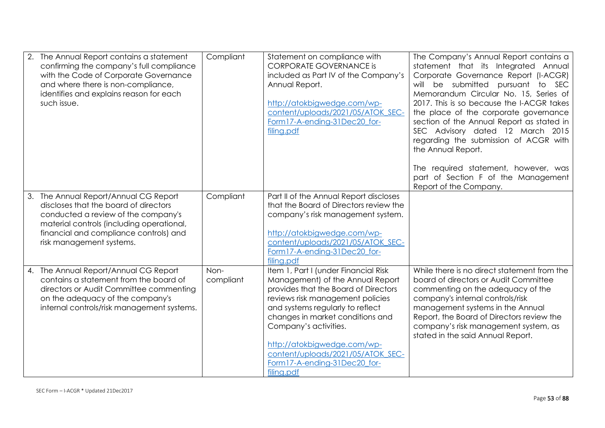| 2. The Annual Report contains a statement<br>confirming the company's full compliance<br>with the Code of Corporate Governance<br>and where there is non-compliance,<br>identifies and explains reason for each<br>such issue.           | Compliant         | Statement on compliance with<br><b>CORPORATE GOVERNANCE is</b><br>included as Part IV of the Company's<br>Annual Report.<br>http://atokbigwedge.com/wp-<br>content/uploads/2021/05/ATOK SEC-<br>Form17-A-ending-31Dec20 for-<br>filing.pdf                                                                                                                              | The Company's Annual Report contains a<br>statement that its Integrated Annual<br>Corporate Governance Report (I-ACGR)<br>will be submitted pursuant to SEC<br>Memorandum Circular No. 15, Series of<br>2017. This is so because the I-ACGR takes<br>the place of the corporate governance<br>section of the Annual Report as stated in<br>SEC Advisory dated 12 March 2015<br>regarding the submission of ACGR with<br>the Annual Report.<br>The required statement, however, was<br>part of Section F of the Management<br>Report of the Company. |
|------------------------------------------------------------------------------------------------------------------------------------------------------------------------------------------------------------------------------------------|-------------------|-------------------------------------------------------------------------------------------------------------------------------------------------------------------------------------------------------------------------------------------------------------------------------------------------------------------------------------------------------------------------|-----------------------------------------------------------------------------------------------------------------------------------------------------------------------------------------------------------------------------------------------------------------------------------------------------------------------------------------------------------------------------------------------------------------------------------------------------------------------------------------------------------------------------------------------------|
| 3. The Annual Report/Annual CG Report<br>discloses that the board of directors<br>conducted a review of the company's<br>material controls (including operational,<br>financial and compliance controls) and<br>risk management systems. | Compliant         | Part II of the Annual Report discloses<br>that the Board of Directors review the<br>company's risk management system.<br>http://atokbigwedge.com/wp-<br>content/uploads/2021/05/ATOK SEC-<br>Form17-A-ending-31Dec20_for-<br>filing.pdf                                                                                                                                 |                                                                                                                                                                                                                                                                                                                                                                                                                                                                                                                                                     |
| 4. The Annual Report/Annual CG Report<br>contains a statement from the board of<br>directors or Audit Committee commenting<br>on the adequacy of the company's<br>internal controls/risk management systems.                             | Non-<br>compliant | Item 1, Part I (under Financial Risk<br>Management) of the Annual Report<br>provides that the Board of Directors<br>reviews risk management policies<br>and systems regularly to reflect<br>changes in market conditions and<br>Company's activities.<br>http://atokbigwedge.com/wp-<br>content/uploads/2021/05/ATOK SEC-<br>Form17-A-ending-31Dec20 for-<br>filing.pdf | While there is no direct statement from the<br>board of directors or Audit Committee<br>commenting on the adequacy of the<br>company's internal controls/risk<br>management systems in the Annual<br>Report, the Board of Directors review the<br>company's risk management system, as<br>stated in the said Annual Report.                                                                                                                                                                                                                         |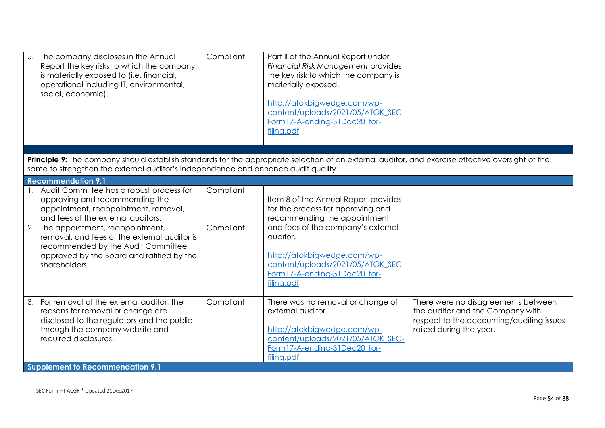|                        | http://atokbigwedge.com/wp-<br>content/uploads/2021/05/ATOK SEC-<br>Form17-A-ending-31Dec20 for-<br>filing.pdf                                                                                                                                                                 |                                                                                                                                                                                                                                                               |
|------------------------|--------------------------------------------------------------------------------------------------------------------------------------------------------------------------------------------------------------------------------------------------------------------------------|---------------------------------------------------------------------------------------------------------------------------------------------------------------------------------------------------------------------------------------------------------------|
|                        |                                                                                                                                                                                                                                                                                |                                                                                                                                                                                                                                                               |
|                        |                                                                                                                                                                                                                                                                                |                                                                                                                                                                                                                                                               |
| Compliant<br>Compliant | Item 8 of the Annual Report provides<br>for the process for approving and<br>recommending the appointment,<br>and fees of the company's external<br>auditor.<br>http://atokbigwedge.com/wp-<br>content/uploads/2021/05/ATOK SEC-<br>Form17-A-ending-31Dec20 for-<br>filing.pdf |                                                                                                                                                                                                                                                               |
| Compliant              | There was no removal or change of<br>external auditor.<br>http://atokbigwedge.com/wp-<br>content/uploads/2021/05/ATOK SEC-<br>Form17-A-ending-31Dec20 for-<br>filing.pdf                                                                                                       | There were no disagreements between<br>the auditor and the Company with<br>respect to the accounting/auditing issues<br>raised during the year.                                                                                                               |
|                        |                                                                                                                                                                                                                                                                                | materially exposed.<br>Principle 9: The company should establish standards for the appropriate selection of an external auditor, and exercise effective oversight of the<br>same to strengthen the external auditor's independence and enhance audit quality. |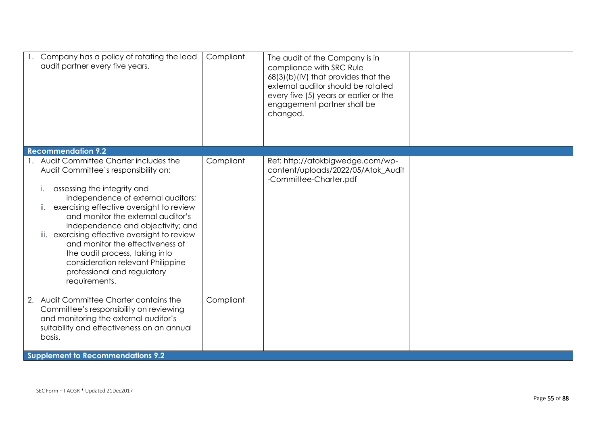| Company has a policy of rotating the lead<br>audit partner every five years.                                                                                                                                                                                                                                                                                                                                                                                                                         | Compliant | The audit of the Company is in<br>compliance with SRC Rule<br>68(3)(b)(IV) that provides that the<br>external auditor should be rotated<br>every five (5) years or earlier or the<br>engagement partner shall be<br>changed. |  |
|------------------------------------------------------------------------------------------------------------------------------------------------------------------------------------------------------------------------------------------------------------------------------------------------------------------------------------------------------------------------------------------------------------------------------------------------------------------------------------------------------|-----------|------------------------------------------------------------------------------------------------------------------------------------------------------------------------------------------------------------------------------|--|
| <b>Recommendation 9.2</b>                                                                                                                                                                                                                                                                                                                                                                                                                                                                            |           |                                                                                                                                                                                                                              |  |
| 1. Audit Committee Charter includes the<br>Audit Committee's responsibility on:<br>assessing the integrity and<br>Ι.<br>independence of external auditors;<br>exercising effective oversight to review<br>ii.<br>and monitor the external auditor's<br>independence and objectivity; and<br>iii. exercising effective oversight to review<br>and monitor the effectiveness of<br>the audit process, taking into<br>consideration relevant Philippine<br>professional and regulatory<br>requirements. | Compliant | Ref: http://atokbigwedge.com/wp-<br>content/uploads/2022/05/Atok_Audit<br>-Committee-Charter.pdf                                                                                                                             |  |
| 2. Audit Committee Charter contains the<br>Committee's responsibility on reviewing<br>and monitoring the external auditor's<br>suitability and effectiveness on an annual<br>basis.                                                                                                                                                                                                                                                                                                                  | Compliant |                                                                                                                                                                                                                              |  |
| <b>Supplement to Recommendations 9.2</b>                                                                                                                                                                                                                                                                                                                                                                                                                                                             |           |                                                                                                                                                                                                                              |  |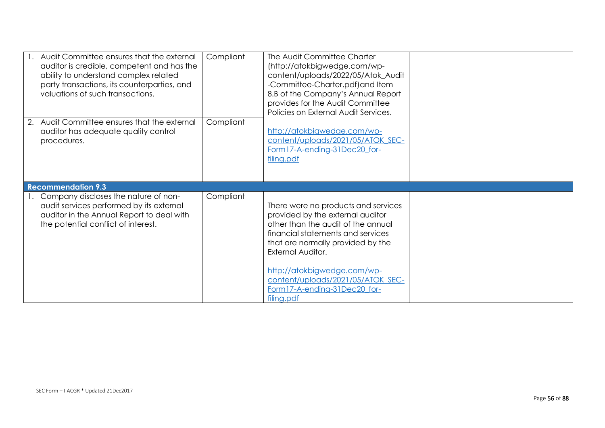| 1. Audit Committee ensures that the external<br>auditor is credible, competent and has the<br>ability to understand complex related<br>party transactions, its counterparties, and<br>valuations of such transactions. | Compliant | The Audit Committee Charter<br>(http://atokbigwedge.com/wp-<br>content/uploads/2022/05/Atok_Audit<br>-Committee-Charter.pdf) and Item<br>8.B of the Company's Annual Report<br>provides for the Audit Committee<br>Policies on External Audit Services.                                                                        |  |
|------------------------------------------------------------------------------------------------------------------------------------------------------------------------------------------------------------------------|-----------|--------------------------------------------------------------------------------------------------------------------------------------------------------------------------------------------------------------------------------------------------------------------------------------------------------------------------------|--|
| 2. Audit Committee ensures that the external<br>auditor has adequate quality control<br>procedures.                                                                                                                    | Compliant | http://atokbigwedge.com/wp-<br>content/uploads/2021/05/ATOK SEC-<br>Form17-A-ending-31Dec20 for-<br>filing.pdf                                                                                                                                                                                                                 |  |
| <b>Recommendation 9.3</b>                                                                                                                                                                                              |           |                                                                                                                                                                                                                                                                                                                                |  |
| Company discloses the nature of non-<br>audit services performed by its external<br>auditor in the Annual Report to deal with<br>the potential conflict of interest.                                                   | Compliant | There were no products and services<br>provided by the external auditor<br>other than the audit of the annual<br>financial statements and services<br>that are normally provided by the<br>External Auditor.<br>http://atokbigwedge.com/wp-<br>content/uploads/2021/05/ATOK SEC-<br>Form17-A-ending-31Dec20 for-<br>filing.pdf |  |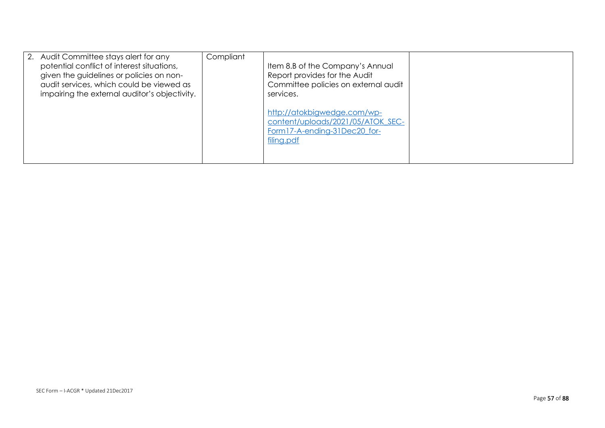| 2. Audit Committee stays alert for any<br>potential conflict of interest situations,<br>given the guidelines or policies on non-<br>audit services, which could be viewed as<br>impairing the external auditor's objectivity. | Compliant | Item 8.B of the Company's Annual<br>Report provides for the Audit<br>Committee policies on external audit<br>services. |  |
|-------------------------------------------------------------------------------------------------------------------------------------------------------------------------------------------------------------------------------|-----------|------------------------------------------------------------------------------------------------------------------------|--|
|                                                                                                                                                                                                                               |           | http://atokbigwedge.com/wp-<br>content/uploads/2021/05/ATOK SEC-<br>Form17-A-ending-31Dec20_for-<br>filing.pdf         |  |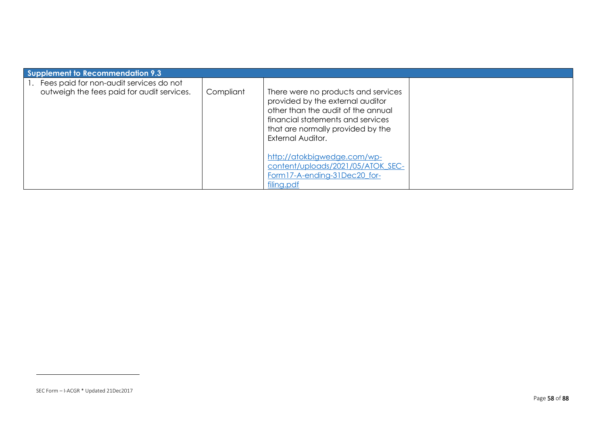| Supplement to Recommendation 9.3                                                      |           |                                                                                                                                                                                                              |  |  |  |
|---------------------------------------------------------------------------------------|-----------|--------------------------------------------------------------------------------------------------------------------------------------------------------------------------------------------------------------|--|--|--|
| Fees paid for non-audit services do not<br>outweigh the fees paid for audit services. | Compliant | There were no products and services<br>provided by the external auditor<br>other than the audit of the annual<br>financial statements and services<br>that are normally provided by the<br>External Auditor. |  |  |  |
|                                                                                       |           | http://atokbigwedge.com/wp-<br>content/uploads/2021/05/ATOK SEC-<br>Form17-A-ending-31Dec20 for-<br>filing.pdf                                                                                               |  |  |  |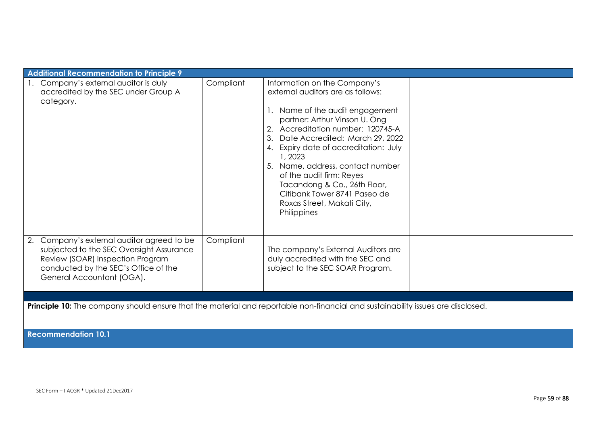| <b>Additional Recommendation to Principle 9</b>                                                                                                                                                    |           |                                                                                                                                                                                                                                                                                                                                                                                                                                                |  |  |  |
|----------------------------------------------------------------------------------------------------------------------------------------------------------------------------------------------------|-----------|------------------------------------------------------------------------------------------------------------------------------------------------------------------------------------------------------------------------------------------------------------------------------------------------------------------------------------------------------------------------------------------------------------------------------------------------|--|--|--|
| 1. Company's external auditor is duly<br>accredited by the SEC under Group A<br>category.                                                                                                          | Compliant | Information on the Company's<br>external auditors are as follows:<br>1. Name of the audit engagement<br>partner: Arthur Vinson U. Ong<br>Accreditation number: 120745-A<br>Date Accredited: March 29, 2022<br>3.<br>4. Expiry date of accreditation: July<br>1, 2023<br>Name, address, contact number<br>of the audit firm: Reyes<br>Tacandong & Co., 26th Floor,<br>Citibank Tower 8741 Paseo de<br>Roxas Street, Makati City,<br>Philippines |  |  |  |
| Company's external auditor agreed to be<br>2.<br>subjected to the SEC Oversight Assurance<br>Review (SOAR) Inspection Program<br>conducted by the SEC's Office of the<br>General Accountant (OGA). | Compliant | The company's External Auditors are<br>duly accredited with the SEC and<br>subject to the SEC SOAR Program.                                                                                                                                                                                                                                                                                                                                    |  |  |  |
|                                                                                                                                                                                                    |           |                                                                                                                                                                                                                                                                                                                                                                                                                                                |  |  |  |
| Principle 10: The company should ensure that the material and reportable non-financial and sustainability issues are disclosed.                                                                    |           |                                                                                                                                                                                                                                                                                                                                                                                                                                                |  |  |  |

**Recommendation 10.1**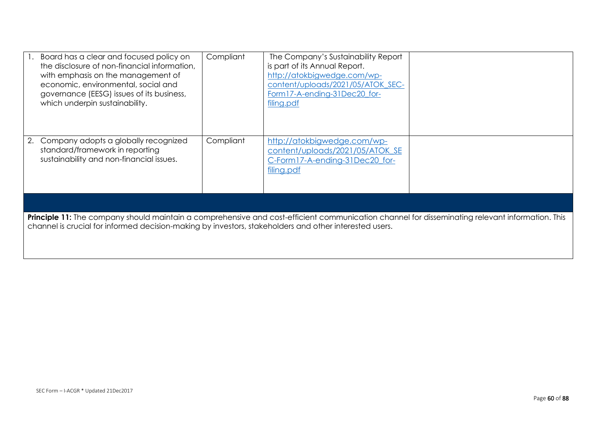| Board has a clear and focused policy on<br>the disclosure of non-financial information.<br>with emphasis on the management of<br>economic, environmental, social and<br>governance (EESG) issues of its business,<br>which underpin sustainability.       | Compliant | The Company's Sustainability Report<br>is part of its Annual Report.<br>http://atokbigwedge.com/wp-<br>content/uploads/2021/05/ATOK SEC-<br>Form17-A-ending-31Dec20 for-<br>filing.pdf |  |
|-----------------------------------------------------------------------------------------------------------------------------------------------------------------------------------------------------------------------------------------------------------|-----------|----------------------------------------------------------------------------------------------------------------------------------------------------------------------------------------|--|
| 2. Company adopts a globally recognized<br>standard/framework in reporting<br>sustainability and non-financial issues.                                                                                                                                    | Compliant | http://atokbigwedge.com/wp-<br>content/uploads/2021/05/ATOK_SE<br>C-Form17-A-ending-31Dec20_for-<br>filing.pdf                                                                         |  |
|                                                                                                                                                                                                                                                           |           |                                                                                                                                                                                        |  |
| Principle 11: The company should maintain a comprehensive and cost-efficient communication channel for disseminating relevant information. This<br>channel is crucial for informed decision-making by investors, stakeholders and other interested users. |           |                                                                                                                                                                                        |  |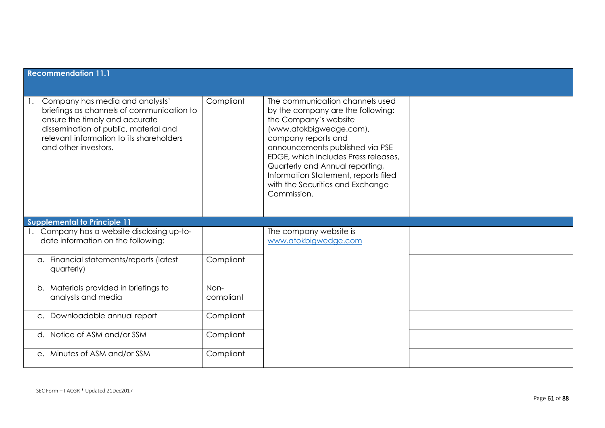| <b>Recommendation 11.1</b>                                                                                                                                                                                                  |                   |                                                                                                                                                                                                                                                                                                                                                          |  |  |  |
|-----------------------------------------------------------------------------------------------------------------------------------------------------------------------------------------------------------------------------|-------------------|----------------------------------------------------------------------------------------------------------------------------------------------------------------------------------------------------------------------------------------------------------------------------------------------------------------------------------------------------------|--|--|--|
| Company has media and analysts'<br>briefings as channels of communication to<br>ensure the timely and accurate<br>dissemination of public, material and<br>relevant information to its shareholders<br>and other investors. | Compliant         | The communication channels used<br>by the company are the following:<br>the Company's website<br>(www.atokbigwedge.com),<br>company reports and<br>announcements published via PSE<br>EDGE, which includes Press releases,<br>Quarterly and Annual reporting,<br>Information Statement, reports filed<br>with the Securities and Exchange<br>Commission. |  |  |  |
| <b>Supplemental to Principle 11</b>                                                                                                                                                                                         |                   |                                                                                                                                                                                                                                                                                                                                                          |  |  |  |
| 1. Company has a website disclosing up-to-<br>date information on the following:                                                                                                                                            |                   | The company website is<br>www.atokbigwedge.com                                                                                                                                                                                                                                                                                                           |  |  |  |
| a. Financial statements/reports (latest<br>quarterly)                                                                                                                                                                       | Compliant         |                                                                                                                                                                                                                                                                                                                                                          |  |  |  |
| b. Materials provided in briefings to<br>analysts and media                                                                                                                                                                 | Non-<br>compliant |                                                                                                                                                                                                                                                                                                                                                          |  |  |  |
| Downloadable annual report<br>$C_{\bullet}$                                                                                                                                                                                 | Compliant         |                                                                                                                                                                                                                                                                                                                                                          |  |  |  |
| Notice of ASM and/or SSM<br>d.                                                                                                                                                                                              | Compliant         |                                                                                                                                                                                                                                                                                                                                                          |  |  |  |
| e. Minutes of ASM and/or SSM                                                                                                                                                                                                | Compliant         |                                                                                                                                                                                                                                                                                                                                                          |  |  |  |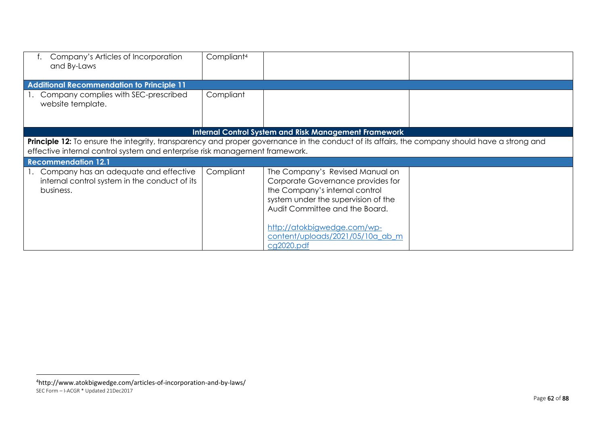| Company's Articles of Incorporation<br>and By-Laws                                                                                                                                                                           | Compliant <sup>4</sup> |                                                                                                                                                                                                                                                                  |  |
|------------------------------------------------------------------------------------------------------------------------------------------------------------------------------------------------------------------------------|------------------------|------------------------------------------------------------------------------------------------------------------------------------------------------------------------------------------------------------------------------------------------------------------|--|
| <b>Additional Recommendation to Principle 11</b>                                                                                                                                                                             |                        |                                                                                                                                                                                                                                                                  |  |
| Company complies with SEC-prescribed<br>website template.                                                                                                                                                                    | Compliant              |                                                                                                                                                                                                                                                                  |  |
|                                                                                                                                                                                                                              |                        | <b>Internal Control System and Risk Management Framework</b>                                                                                                                                                                                                     |  |
| Principle 12: To ensure the integrity, transparency and proper governance in the conduct of its affairs, the company should have a strong and<br>effective internal control system and enterprise risk management framework. |                        |                                                                                                                                                                                                                                                                  |  |
| <b>Recommendation 12.1</b>                                                                                                                                                                                                   |                        |                                                                                                                                                                                                                                                                  |  |
| 1. Company has an adequate and effective<br>internal control system in the conduct of its<br>business.                                                                                                                       | Compliant              | The Company's Revised Manual on<br>Corporate Governance provides for<br>the Company's internal control<br>system under the supervision of the<br>Audit Committee and the Board.<br>http://atokbigwedge.com/wp-<br>content/uploads/2021/05/10a ab m<br>cg2020.pdf |  |

SEC Form – I-ACGR \* Updated 21Dec2017 <sup>4</sup>http://www.atokbigwedge.com/articles-of-incorporation-and-by-laws/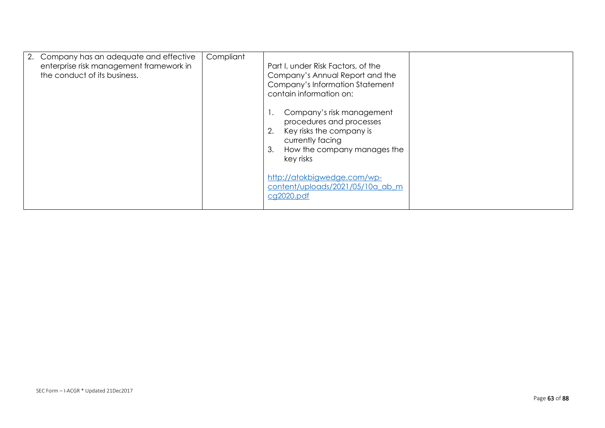| 2. Company has an adequate and effective<br>enterprise risk management framework in<br>the conduct of its business. | Compliant | Part I, under Risk Factors, of the<br>Company's Annual Report and the<br>Company's Information Statement<br>contain information on:<br>Company's risk management |
|---------------------------------------------------------------------------------------------------------------------|-----------|------------------------------------------------------------------------------------------------------------------------------------------------------------------|
|                                                                                                                     |           | procedures and processes<br>Key risks the company is<br>currently facing<br>How the company manages the<br>3.<br>key risks                                       |
|                                                                                                                     |           | http://atokbigwedge.com/wp-<br>content/uploads/2021/05/10a_ab_m<br>cg2020.pdf                                                                                    |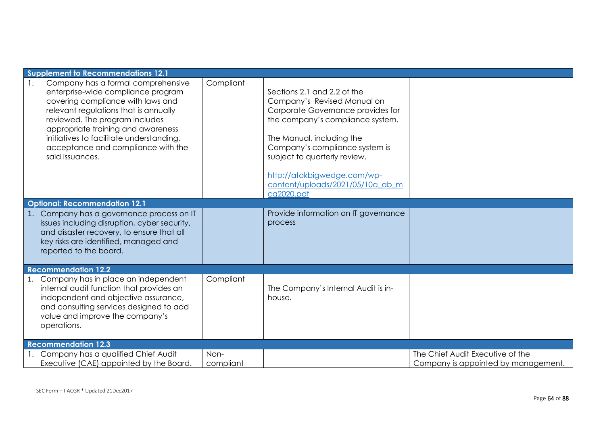| Supplement to Recommendations 12.1                                                                                                                                                                                                                                                                                                                                          |                   |                                                                                                                                                                                                                                                                                                                     |                                                                         |
|-----------------------------------------------------------------------------------------------------------------------------------------------------------------------------------------------------------------------------------------------------------------------------------------------------------------------------------------------------------------------------|-------------------|---------------------------------------------------------------------------------------------------------------------------------------------------------------------------------------------------------------------------------------------------------------------------------------------------------------------|-------------------------------------------------------------------------|
| Company has a formal comprehensive<br>enterprise-wide compliance program<br>covering compliance with laws and<br>relevant regulations that is annually<br>reviewed. The program includes<br>appropriate training and awareness<br>initiatives to facilitate understanding,<br>acceptance and compliance with the<br>said issuances.<br><b>Optional: Recommendation 12.1</b> | Compliant         | Sections 2.1 and 2.2 of the<br>Company's Revised Manual on<br>Corporate Governance provides for<br>the company's compliance system.<br>The Manual, including the<br>Company's compliance system is<br>subject to quarterly review.<br>http://atokbigwedge.com/wp-<br>content/uploads/2021/05/10a ab m<br>cg2020.pdf |                                                                         |
|                                                                                                                                                                                                                                                                                                                                                                             |                   | Provide information on IT governance                                                                                                                                                                                                                                                                                |                                                                         |
| 1. Company has a governance process on IT<br>issues including disruption, cyber security,<br>and disaster recovery, to ensure that all<br>key risks are identified, managed and<br>reported to the board.                                                                                                                                                                   |                   | process                                                                                                                                                                                                                                                                                                             |                                                                         |
| <b>Recommendation 12.2</b>                                                                                                                                                                                                                                                                                                                                                  |                   |                                                                                                                                                                                                                                                                                                                     |                                                                         |
| 1. Company has in place an independent<br>internal audit function that provides an<br>independent and objective assurance,<br>and consulting services designed to add<br>value and improve the company's<br>operations.                                                                                                                                                     | Compliant         | The Company's Internal Audit is in-<br>house.                                                                                                                                                                                                                                                                       |                                                                         |
| <b>Recommendation 12.3</b>                                                                                                                                                                                                                                                                                                                                                  |                   |                                                                                                                                                                                                                                                                                                                     |                                                                         |
| Company has a qualified Chief Audit<br>Executive (CAE) appointed by the Board.                                                                                                                                                                                                                                                                                              | Non-<br>compliant |                                                                                                                                                                                                                                                                                                                     | The Chief Audit Executive of the<br>Company is appointed by management. |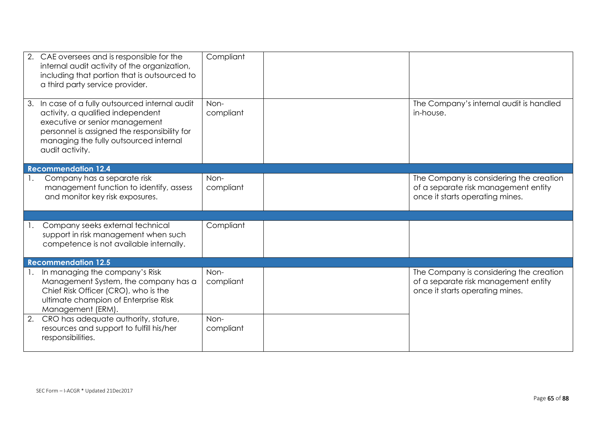|    | 2. CAE oversees and is responsible for the<br>internal audit activity of the organization,<br>including that portion that is outsourced to<br>a third party service provider.                                                       | Compliant         |                                                                                                                    |
|----|-------------------------------------------------------------------------------------------------------------------------------------------------------------------------------------------------------------------------------------|-------------------|--------------------------------------------------------------------------------------------------------------------|
|    | 3. In case of a fully outsourced internal audit<br>activity, a qualified independent<br>executive or senior management<br>personnel is assigned the responsibility for<br>managing the fully outsourced internal<br>audit activity. | Non-<br>compliant | The Company's internal audit is handled<br>in-house.                                                               |
|    | <b>Recommendation 12.4</b>                                                                                                                                                                                                          |                   |                                                                                                                    |
|    | Company has a separate risk<br>management function to identify, assess<br>and monitor key risk exposures.                                                                                                                           | Non-<br>compliant | The Company is considering the creation<br>of a separate risk management entity<br>once it starts operating mines. |
|    |                                                                                                                                                                                                                                     |                   |                                                                                                                    |
|    | Company seeks external technical<br>support in risk management when such<br>competence is not available internally.                                                                                                                 | Compliant         |                                                                                                                    |
|    | <b>Recommendation 12.5</b>                                                                                                                                                                                                          |                   |                                                                                                                    |
|    | In managing the company's Risk<br>Management System, the company has a<br>Chief Risk Officer (CRO), who is the<br>ultimate champion of Enterprise Risk<br>Management (ERM).                                                         | Non-<br>compliant | The Company is considering the creation<br>of a separate risk management entity<br>once it starts operating mines. |
| 2. | CRO has adequate authority, stature,<br>resources and support to fulfill his/her<br>responsibilities.                                                                                                                               | Non-<br>compliant |                                                                                                                    |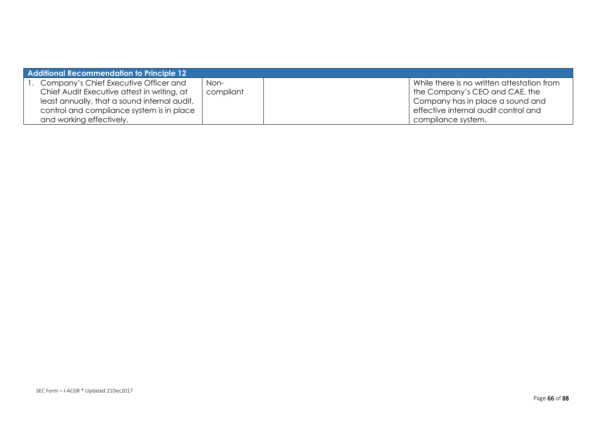| <b>Additional Recommendation to Principle 12</b> |           |                                            |
|--------------------------------------------------|-----------|--------------------------------------------|
| 1. Company's Chief Executive Officer and         | Non-      | While there is no written attestation from |
| Chief Audit Executive attest in writing, at      | compliant | the Company's CEO and CAE, the             |
| least annually, that a sound internal audit,     |           | Company has in place a sound and           |
| control and compliance system is in place        |           | effective internal audit control and       |
| and working effectively.                         |           | compliance system.                         |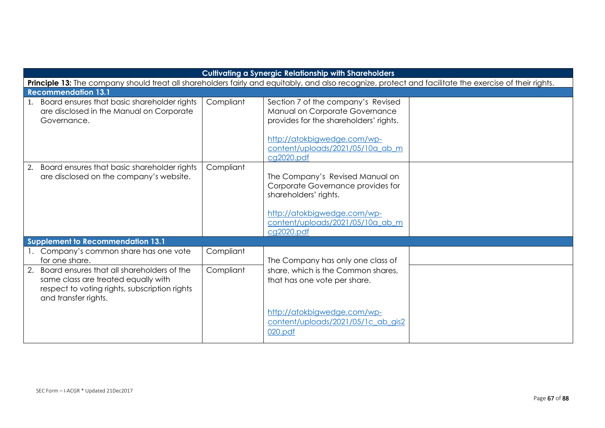| <b>Cultivating a Synergic Relationship with Shareholders</b>                                                                                                  |           |                                                                                                                                                                                                 |  |  |
|---------------------------------------------------------------------------------------------------------------------------------------------------------------|-----------|-------------------------------------------------------------------------------------------------------------------------------------------------------------------------------------------------|--|--|
| Principle 13: The company should treat all shareholders fairly and equitably, and also recognize, protect and facilitate the exercise of their rights.        |           |                                                                                                                                                                                                 |  |  |
| <b>Recommendation 13.1</b>                                                                                                                                    |           |                                                                                                                                                                                                 |  |  |
| 1. Board ensures that basic shareholder rights<br>are disclosed in the Manual on Corporate<br>Governance.                                                     | Compliant | Section 7 of the company's Revised<br>Manual on Corporate Governance<br>provides for the shareholders' rights.<br>http://atokbigwedge.com/wp-<br>content/uploads/2021/05/10a ab m<br>cq2020.pdf |  |  |
| 2. Board ensures that basic shareholder rights<br>are disclosed on the company's website.                                                                     | Compliant | The Company's Revised Manual on<br>Corporate Governance provides for<br>shareholders' rights.<br>http://atokbigwedge.com/wp-<br>content/uploads/2021/05/10a ab m<br>cq2020.pdf                  |  |  |
| Supplement to Recommendation 13.1                                                                                                                             |           |                                                                                                                                                                                                 |  |  |
| 1. Company's common share has one vote<br>for one share.                                                                                                      | Compliant | The Company has only one class of                                                                                                                                                               |  |  |
| 2. Board ensures that all shareholders of the<br>same class are treated equally with<br>respect to voting rights, subscription rights<br>and transfer rights. | Compliant | share, which is the Common shares,<br>that has one vote per share.                                                                                                                              |  |  |
|                                                                                                                                                               |           | http://atokbigwedge.com/wp-<br>content/uploads/2021/05/1c ab gis2<br>020.pdf                                                                                                                    |  |  |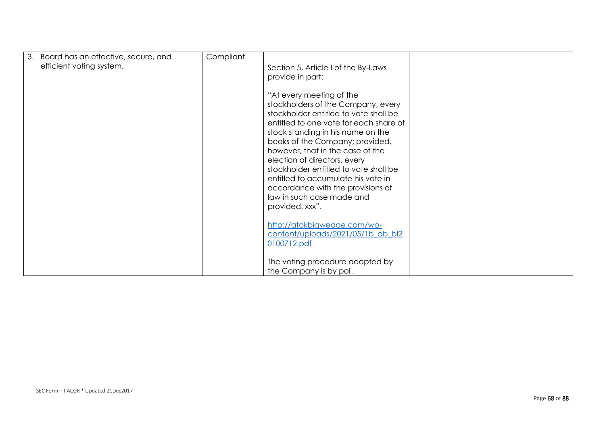| 3. Board has an effective, secure, and<br>efficient voting system. | Compliant | Section 5, Article I of the By-Laws<br>provide in part:<br>"At every meeting of the<br>stockholders of the Company, every<br>stockholder entitled to vote shall be<br>entitled to one vote for each share of<br>stock standing in his name on the<br>books of the Company; provided,<br>however, that in the case of the<br>election of directors, every<br>stockholder entitled to vote shall be<br>entitled to accumulate his vote in<br>accordance with the provisions of<br>law in such case made and<br>provided. xxx".<br>http://atokbigwedge.com/wp-<br>content/uploads/2021/05/1b ab bl2 |  |
|--------------------------------------------------------------------|-----------|--------------------------------------------------------------------------------------------------------------------------------------------------------------------------------------------------------------------------------------------------------------------------------------------------------------------------------------------------------------------------------------------------------------------------------------------------------------------------------------------------------------------------------------------------------------------------------------------------|--|
|                                                                    |           | 0100712.pdf<br>The voting procedure adopted by<br>the Company is by poll.                                                                                                                                                                                                                                                                                                                                                                                                                                                                                                                        |  |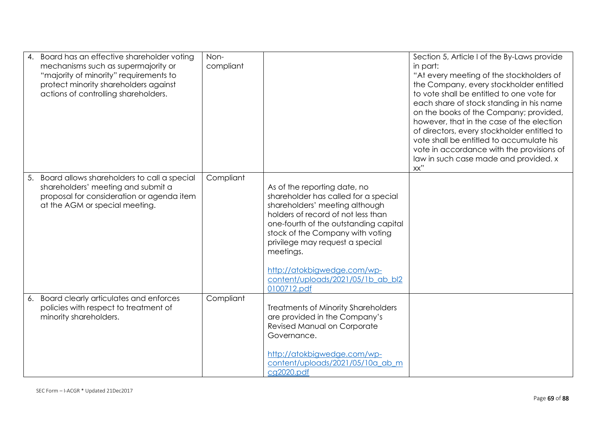| 4. | Board has an effective shareholder voting<br>mechanisms such as supermajority or<br>"majority of minority" requirements to<br>protect minority shareholders against<br>actions of controlling shareholders. | Non-<br>compliant |                                                                                                                                                                                                                                                                                                                                                              | Section 5, Article I of the By-Laws provide<br>in part:<br>"At every meeting of the stockholders of<br>the Company, every stockholder entitled<br>to vote shall be entitled to one vote for<br>each share of stock standing in his name<br>on the books of the Company; provided,<br>however, that in the case of the election<br>of directors, every stockholder entitled to<br>vote shall be entitled to accumulate his<br>vote in accordance with the provisions of<br>law in such case made and provided. x<br>xx" |
|----|-------------------------------------------------------------------------------------------------------------------------------------------------------------------------------------------------------------|-------------------|--------------------------------------------------------------------------------------------------------------------------------------------------------------------------------------------------------------------------------------------------------------------------------------------------------------------------------------------------------------|------------------------------------------------------------------------------------------------------------------------------------------------------------------------------------------------------------------------------------------------------------------------------------------------------------------------------------------------------------------------------------------------------------------------------------------------------------------------------------------------------------------------|
| 5. | Board allows shareholders to call a special<br>shareholders' meeting and submit a<br>proposal for consideration or agenda item<br>at the AGM or special meeting.                                            | Compliant         | As of the reporting date, no<br>shareholder has called for a special<br>shareholders' meeting although<br>holders of record of not less than<br>one-fourth of the outstanding capital<br>stock of the Company with voting<br>privilege may request a special<br>meetings.<br>http://atokbigwedge.com/wp-<br>content/uploads/2021/05/1b_ab_bl2<br>0100712.pdf |                                                                                                                                                                                                                                                                                                                                                                                                                                                                                                                        |
| 6. | Board clearly articulates and enforces<br>policies with respect to treatment of<br>minority shareholders.                                                                                                   | Compliant         | <b>Treatments of Minority Shareholders</b><br>are provided in the Company's<br>Revised Manual on Corporate<br>Governance.<br>http://atokbigwedge.com/wp-<br>content/uploads/2021/05/10a ab m<br>cg2020.pdf                                                                                                                                                   |                                                                                                                                                                                                                                                                                                                                                                                                                                                                                                                        |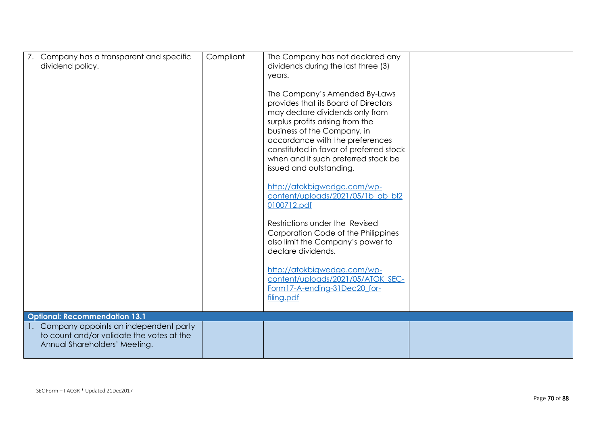| 7. Company has a transparent and specific<br>dividend policy.                                                          | Compliant | The Company has not declared any<br>dividends during the last three (3)<br>years.<br>The Company's Amended By-Laws<br>provides that its Board of Directors<br>may declare dividends only from<br>surplus profits arising from the<br>business of the Company, in<br>accordance with the preferences<br>constituted in favor of preferred stock<br>when and if such preferred stock be<br>issued and outstanding.<br>http://atokbigwedge.com/wp-<br>content/uploads/2021/05/1b ab bl2<br>0100712.pdf<br>Restrictions under the Revised<br>Corporation Code of the Philippines<br>also limit the Company's power to<br>declare dividends.<br>http://atokbigwedge.com/wp- |  |
|------------------------------------------------------------------------------------------------------------------------|-----------|------------------------------------------------------------------------------------------------------------------------------------------------------------------------------------------------------------------------------------------------------------------------------------------------------------------------------------------------------------------------------------------------------------------------------------------------------------------------------------------------------------------------------------------------------------------------------------------------------------------------------------------------------------------------|--|
|                                                                                                                        |           | content/uploads/2021/05/ATOK SEC-<br>Form17-A-ending-31Dec20_for-<br>filing.pdf                                                                                                                                                                                                                                                                                                                                                                                                                                                                                                                                                                                        |  |
| <b>Optional: Recommendation 13.1</b>                                                                                   |           |                                                                                                                                                                                                                                                                                                                                                                                                                                                                                                                                                                                                                                                                        |  |
| 1. Company appoints an independent party<br>to count and/or validate the votes at the<br>Annual Shareholders' Meeting. |           |                                                                                                                                                                                                                                                                                                                                                                                                                                                                                                                                                                                                                                                                        |  |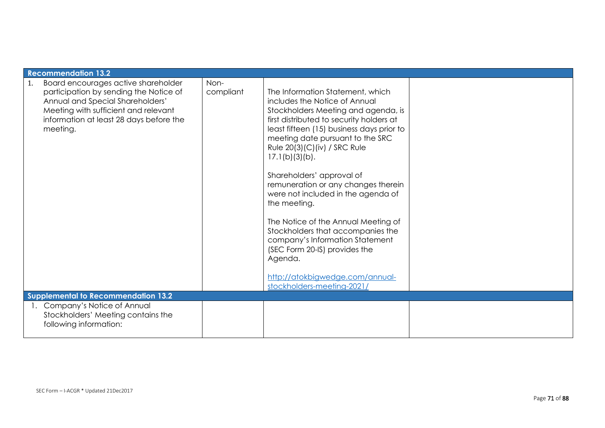| <b>Recommendation 13.2</b>                                                                                                                                                                                             |                   |                                                                                                                                                                                                                                                                                                                                                                                                                                                                                                                                                                                                                                               |  |
|------------------------------------------------------------------------------------------------------------------------------------------------------------------------------------------------------------------------|-------------------|-----------------------------------------------------------------------------------------------------------------------------------------------------------------------------------------------------------------------------------------------------------------------------------------------------------------------------------------------------------------------------------------------------------------------------------------------------------------------------------------------------------------------------------------------------------------------------------------------------------------------------------------------|--|
| Board encourages active shareholder<br>1.<br>participation by sending the Notice of<br>Annual and Special Shareholders'<br>Meeting with sufficient and relevant<br>information at least 28 days before the<br>meeting. | Non-<br>compliant | The Information Statement, which<br>includes the Notice of Annual<br>Stockholders Meeting and agenda, is<br>first distributed to security holders at<br>least fifteen (15) business days prior to<br>meeting date pursuant to the SRC<br>Rule 20(3)(C)(iv) / SRC Rule<br>17.1(b)(3)(b).<br>Shareholders' approval of<br>remuneration or any changes therein<br>were not included in the agenda of<br>the meeting.<br>The Notice of the Annual Meeting of<br>Stockholders that accompanies the<br>company's Information Statement<br>(SEC Form 20-IS) provides the<br>Agenda.<br>http://atokbigwedge.com/annual-<br>stockholders-meeting-2021/ |  |
| <b>Supplemental to Recommendation 13.2</b>                                                                                                                                                                             |                   |                                                                                                                                                                                                                                                                                                                                                                                                                                                                                                                                                                                                                                               |  |
| Company's Notice of Annual<br>Stockholders' Meeting contains the<br>following information:                                                                                                                             |                   |                                                                                                                                                                                                                                                                                                                                                                                                                                                                                                                                                                                                                                               |  |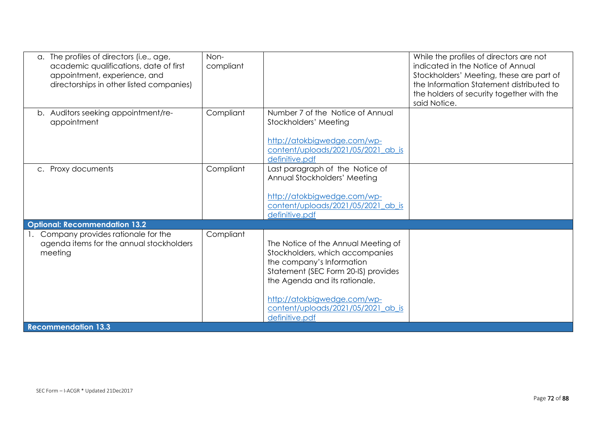| The profiles of directors (i.e., age,<br>$\alpha$ .<br>academic qualifications, date of first<br>appointment, experience, and<br>directorships in other listed companies) | Non-<br>compliant |                                                                                                                                                                                                                                                                    | While the profiles of directors are not<br>indicated in the Notice of Annual<br>Stockholders' Meeting, these are part of<br>the Information Statement distributed to<br>the holders of security together with the<br>said Notice. |
|---------------------------------------------------------------------------------------------------------------------------------------------------------------------------|-------------------|--------------------------------------------------------------------------------------------------------------------------------------------------------------------------------------------------------------------------------------------------------------------|-----------------------------------------------------------------------------------------------------------------------------------------------------------------------------------------------------------------------------------|
| b. Auditors seeking appointment/re-<br>appointment                                                                                                                        | Compliant         | Number 7 of the Notice of Annual<br>Stockholders' Meeting<br>http://atokbigwedge.com/wp-<br>content/uploads/2021/05/2021 ab is<br>definitive.pdf                                                                                                                   |                                                                                                                                                                                                                                   |
| c. Proxy documents                                                                                                                                                        | Compliant         | Last paragraph of the Notice of<br>Annual Stockholders' Meeting<br>http://atokbigwedge.com/wp-<br>content/uploads/2021/05/2021 ab is<br>definitive.pdf                                                                                                             |                                                                                                                                                                                                                                   |
| <b>Optional: Recommendation 13.2</b>                                                                                                                                      |                   |                                                                                                                                                                                                                                                                    |                                                                                                                                                                                                                                   |
| Company provides rationale for the<br>agenda items for the annual stockholders<br>meeting                                                                                 | Compliant         | The Notice of the Annual Meeting of<br>Stockholders, which accompanies<br>the company's Information<br>Statement (SEC Form 20-IS) provides<br>the Agenda and its rationale.<br>http://atokbigwedge.com/wp-<br>content/uploads/2021/05/2021_ab_is<br>definitive.pdf |                                                                                                                                                                                                                                   |
| <b>Recommendation 13.3</b>                                                                                                                                                |                   |                                                                                                                                                                                                                                                                    |                                                                                                                                                                                                                                   |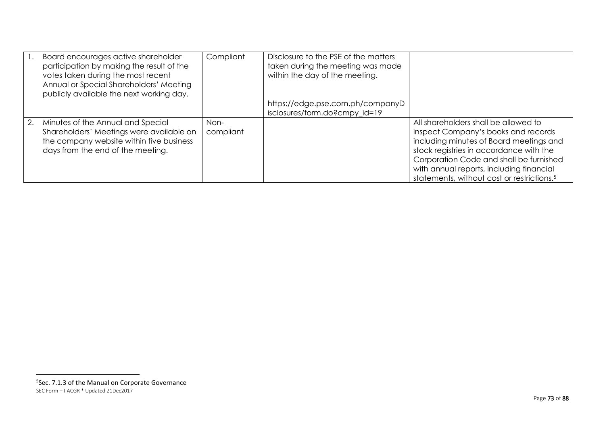|    | Board encourages active shareholder<br>participation by making the result of the<br>votes taken during the most recent<br>Annual or Special Shareholders' Meeting<br>publicly available the next working day. | Compliant         | Disclosure to the PSE of the matters<br>taken during the meeting was made<br>within the day of the meeting. |                                                                                                                                                                                                                                                                                                                    |
|----|---------------------------------------------------------------------------------------------------------------------------------------------------------------------------------------------------------------|-------------------|-------------------------------------------------------------------------------------------------------------|--------------------------------------------------------------------------------------------------------------------------------------------------------------------------------------------------------------------------------------------------------------------------------------------------------------------|
|    |                                                                                                                                                                                                               |                   | https://edge.pse.com.ph/companyD<br>isclosures/form.do?cmpy id=19                                           |                                                                                                                                                                                                                                                                                                                    |
| 2. | Minutes of the Annual and Special<br>Shareholders' Meetings were available on<br>the company website within five business<br>days from the end of the meeting.                                                | Non-<br>compliant |                                                                                                             | All shareholders shall be allowed to<br>inspect Company's books and records<br>including minutes of Board meetings and<br>stock registries in accordance with the<br>Corporation Code and shall be furnished<br>with annual reports, including financial<br>statements, without cost or restrictions. <sup>5</sup> |

SEC Form – I-ACGR \* Updated 21Dec2017 5 Sec. 7.1.3 of the Manual on Corporate Governance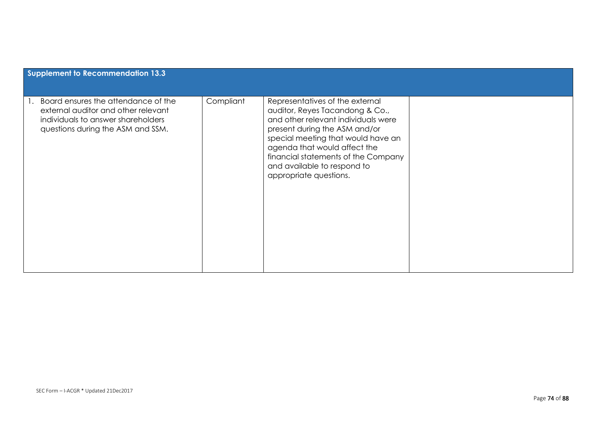| <b>Supplement to Recommendation 13.3</b>                                                                                                              |           |                                                                                                                                                                                                                                                                                                                  |  |
|-------------------------------------------------------------------------------------------------------------------------------------------------------|-----------|------------------------------------------------------------------------------------------------------------------------------------------------------------------------------------------------------------------------------------------------------------------------------------------------------------------|--|
| Board ensures the attendance of the<br>external auditor and other relevant<br>individuals to answer shareholders<br>questions during the ASM and SSM. | Compliant | Representatives of the external<br>auditor, Reyes Tacandong & Co.,<br>and other relevant individuals were<br>present during the ASM and/or<br>special meeting that would have an<br>agenda that would affect the<br>financial statements of the Company<br>and available to respond to<br>appropriate questions. |  |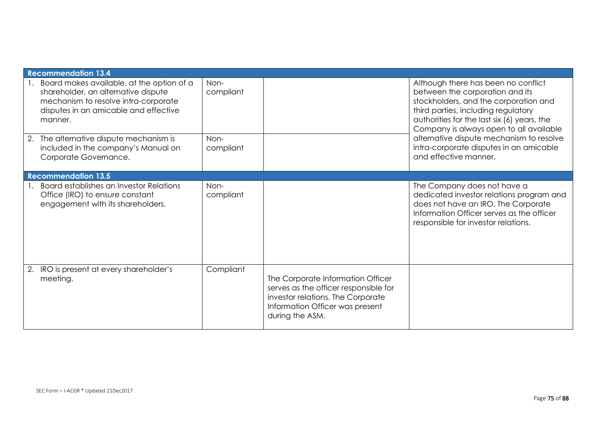| <b>Recommendation 13.4</b>                                                                                                                                                      |                   |                                                                                                                                                                       |                                                                                                                                                                                                                                                                                                                                                                  |
|---------------------------------------------------------------------------------------------------------------------------------------------------------------------------------|-------------------|-----------------------------------------------------------------------------------------------------------------------------------------------------------------------|------------------------------------------------------------------------------------------------------------------------------------------------------------------------------------------------------------------------------------------------------------------------------------------------------------------------------------------------------------------|
| 1. Board makes available, at the option of a<br>shareholder, an alternative dispute<br>mechanism to resolve intra-corporate<br>disputes in an amicable and effective<br>manner. | Non-<br>compliant |                                                                                                                                                                       | Although there has been no conflict<br>between the corporation and its<br>stockholders, and the corporation and<br>third parties, including regulatory<br>authorities for the last six (6) years, the<br>Company is always open to all available<br>alternative dispute mechanism to resolve<br>intra-corporate disputes in an amicable<br>and effective manner. |
| 2. The alternative dispute mechanism is<br>included in the company's Manual on<br>Corporate Governance.                                                                         | Non-<br>compliant |                                                                                                                                                                       |                                                                                                                                                                                                                                                                                                                                                                  |
| <b>Recommendation 13.5</b>                                                                                                                                                      |                   |                                                                                                                                                                       |                                                                                                                                                                                                                                                                                                                                                                  |
| Board establishes an Investor Relations<br>Office (IRO) to ensure constant<br>engagement with its shareholders.                                                                 | Non-<br>compliant |                                                                                                                                                                       | The Company does not have a<br>dedicated investor relations program and<br>does not have an IRO. The Corporate<br>Information Officer serves as the officer<br>responsible for investor relations.                                                                                                                                                               |
| 2. IRO is present at every shareholder's<br>meeting.                                                                                                                            | Compliant         | The Corporate Information Officer<br>serves as the officer responsible for<br>investor relations. The Corporate<br>Information Officer was present<br>during the ASM. |                                                                                                                                                                                                                                                                                                                                                                  |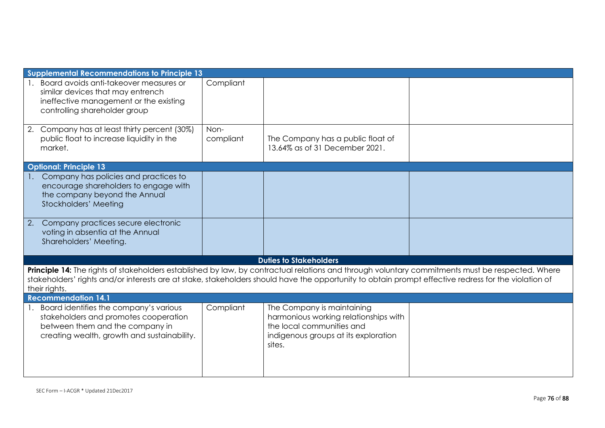|    | <b>Supplemental Recommendations to Principle 13</b>                                                                                                                                                                                                                                                                       |                   |                                                                                                                                                    |  |  |
|----|---------------------------------------------------------------------------------------------------------------------------------------------------------------------------------------------------------------------------------------------------------------------------------------------------------------------------|-------------------|----------------------------------------------------------------------------------------------------------------------------------------------------|--|--|
|    | Board avoids anti-takeover measures or<br>similar devices that may entrench<br>ineffective management or the existing<br>controlling shareholder group                                                                                                                                                                    | Compliant         |                                                                                                                                                    |  |  |
|    | 2. Company has at least thirty percent (30%)<br>public float to increase liquidity in the<br>market.                                                                                                                                                                                                                      | Non-<br>compliant | The Company has a public float of<br>13.64% as of 31 December 2021.                                                                                |  |  |
|    | <b>Optional: Principle 13</b>                                                                                                                                                                                                                                                                                             |                   |                                                                                                                                                    |  |  |
|    | Company has policies and practices to<br>encourage shareholders to engage with<br>the company beyond the Annual<br>Stockholders' Meeting                                                                                                                                                                                  |                   |                                                                                                                                                    |  |  |
| 2. | Company practices secure electronic<br>voting in absentia at the Annual<br>Shareholders' Meeting.                                                                                                                                                                                                                         |                   |                                                                                                                                                    |  |  |
|    |                                                                                                                                                                                                                                                                                                                           |                   | <b>Duties to Stakeholders</b>                                                                                                                      |  |  |
|    | Principle 14: The rights of stakeholders established by law, by contractual relations and through voluntary commitments must be respected. Where<br>stakeholders' rights and/or interests are at stake, stakeholders should have the opportunity to obtain prompt effective redress for the violation of<br>their rights. |                   |                                                                                                                                                    |  |  |
|    | <b>Recommendation 14.1</b>                                                                                                                                                                                                                                                                                                |                   |                                                                                                                                                    |  |  |
|    | 1. Board identifies the company's various<br>stakeholders and promotes cooperation<br>between them and the company in<br>creating wealth, growth and sustainability.                                                                                                                                                      | Compliant         | The Company is maintaining<br>harmonious working relationships with<br>the local communities and<br>indigenous groups at its exploration<br>sites. |  |  |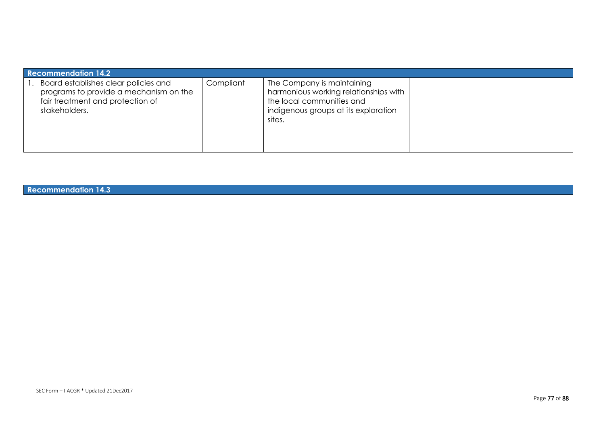| <b>Recommendation 14.2</b>                                                                                                          |           |                                                                                                                                                    |  |  |
|-------------------------------------------------------------------------------------------------------------------------------------|-----------|----------------------------------------------------------------------------------------------------------------------------------------------------|--|--|
| Board establishes clear policies and<br>programs to provide a mechanism on the<br>fair treatment and protection of<br>stakeholders. | Compliant | The Company is maintaining<br>harmonious working relationships with<br>the local communities and<br>indigenous groups at its exploration<br>sites. |  |  |

**Recommendation 14.3**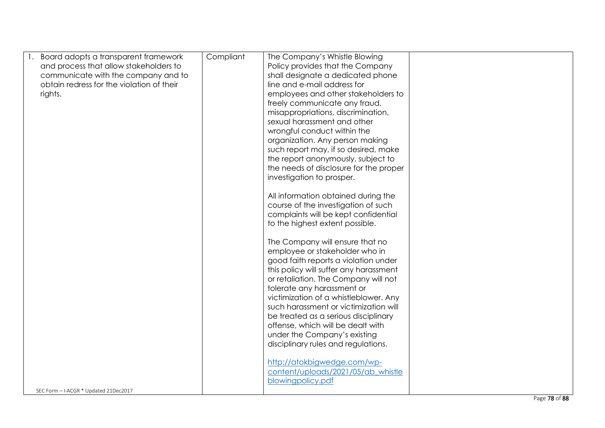| Board adopts a transparent framework      | Compliant | The Company's Whistle Blowing          |  |
|-------------------------------------------|-----------|----------------------------------------|--|
| and process that allow stakeholders to    |           | Policy provides that the Company       |  |
| communicate with the company and to       |           | shall designate a dedicated phone      |  |
| obtain redress for the violation of their |           | line and e-mail address for            |  |
| rights.                                   |           | employees and other stakeholders to    |  |
|                                           |           | freely communicate any fraud,          |  |
|                                           |           | misappropriations, discrimination,     |  |
|                                           |           | sexual harassment and other            |  |
|                                           |           | wrongful conduct within the            |  |
|                                           |           | organization. Any person making        |  |
|                                           |           | such report may, if so desired, make   |  |
|                                           |           | the report anonymously, subject to     |  |
|                                           |           | the needs of disclosure for the proper |  |
|                                           |           | investigation to prosper.              |  |
|                                           |           |                                        |  |
|                                           |           | All information obtained during the    |  |
|                                           |           | course of the investigation of such    |  |
|                                           |           | complaints will be kept confidential   |  |
|                                           |           | to the highest extent possible.        |  |
|                                           |           | The Company will ensure that no        |  |
|                                           |           | employee or stakeholder who in         |  |
|                                           |           | good faith reports a violation under   |  |
|                                           |           | this policy will suffer any harassment |  |
|                                           |           | or retaliation. The Company will not   |  |
|                                           |           | tolerate any harassment or             |  |
|                                           |           | victimization of a whistleblower. Any  |  |
|                                           |           | such harassment or victimization will  |  |
|                                           |           | be treated as a serious disciplinary   |  |
|                                           |           | offense, which will be dealt with      |  |
|                                           |           | under the Company's existing           |  |
|                                           |           | disciplinary rules and regulations.    |  |
|                                           |           |                                        |  |
|                                           |           | http://atokbigwedge.com/wp-            |  |
|                                           |           | content/uploads/2021/05/ab whistle     |  |
|                                           |           | blowingpolicy.pdf                      |  |
| SEC Form - I-ACGR * Updated 21Dec2017     |           |                                        |  |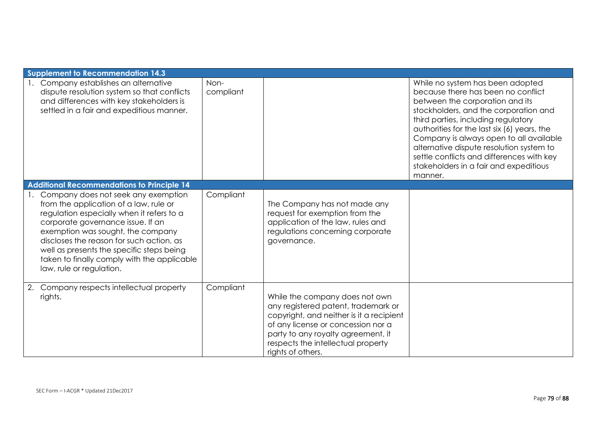|    | Supplement to Recommendation 14.3                                                                                                                                                                                                                                                                                                                                        |                   |                                                                                                                                                                                                                                                          |                                                                                                                                                                                                                                                                                                                                                                                                                                   |
|----|--------------------------------------------------------------------------------------------------------------------------------------------------------------------------------------------------------------------------------------------------------------------------------------------------------------------------------------------------------------------------|-------------------|----------------------------------------------------------------------------------------------------------------------------------------------------------------------------------------------------------------------------------------------------------|-----------------------------------------------------------------------------------------------------------------------------------------------------------------------------------------------------------------------------------------------------------------------------------------------------------------------------------------------------------------------------------------------------------------------------------|
|    | Company establishes an alternative<br>dispute resolution system so that conflicts<br>and differences with key stakeholders is<br>settled in a fair and expeditious manner.                                                                                                                                                                                               | Non-<br>compliant |                                                                                                                                                                                                                                                          | While no system has been adopted<br>because there has been no conflict<br>between the corporation and its<br>stockholders, and the corporation and<br>third parties, including regulatory<br>authorities for the last six (6) years, the<br>Company is always open to all available<br>alternative dispute resolution system to<br>settle conflicts and differences with key<br>stakeholders in a fair and expeditious<br>manner. |
|    | Additional Recommendations to Principle 14                                                                                                                                                                                                                                                                                                                               |                   |                                                                                                                                                                                                                                                          |                                                                                                                                                                                                                                                                                                                                                                                                                                   |
|    | Company does not seek any exemption<br>from the application of a law, rule or<br>regulation especially when it refers to a<br>corporate governance issue. If an<br>exemption was sought, the company<br>discloses the reason for such action, as<br>well as presents the specific steps being<br>taken to finally comply with the applicable<br>law, rule or regulation. | Compliant         | The Company has not made any<br>request for exemption from the<br>application of the law, rules and<br>regulations concerning corporate<br>governance.                                                                                                   |                                                                                                                                                                                                                                                                                                                                                                                                                                   |
| 2. | Company respects intellectual property<br>rights.                                                                                                                                                                                                                                                                                                                        | Compliant         | While the company does not own<br>any registered patent, trademark or<br>copyright, and neither is it a recipient<br>of any license or concession nor a<br>party to any royalty agreement, it<br>respects the intellectual property<br>rights of others. |                                                                                                                                                                                                                                                                                                                                                                                                                                   |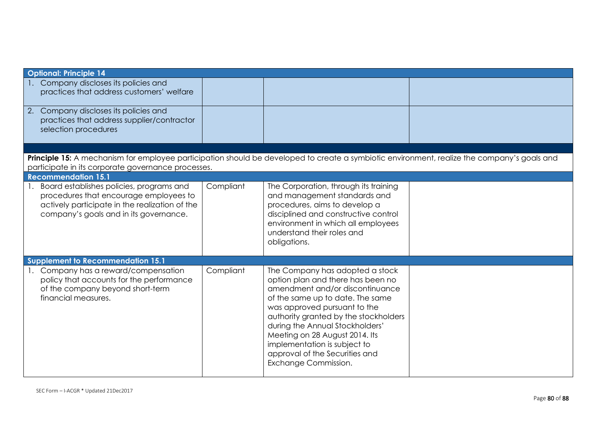| <b>Optional: Principle 14</b>                                                                                                                                                                     |           |                                                                                                                                                                                                                                                                                                                                                                                     |  |
|---------------------------------------------------------------------------------------------------------------------------------------------------------------------------------------------------|-----------|-------------------------------------------------------------------------------------------------------------------------------------------------------------------------------------------------------------------------------------------------------------------------------------------------------------------------------------------------------------------------------------|--|
| 1. Company discloses its policies and<br>practices that address customers' welfare                                                                                                                |           |                                                                                                                                                                                                                                                                                                                                                                                     |  |
| 2. Company discloses its policies and<br>practices that address supplier/contractor<br>selection procedures                                                                                       |           |                                                                                                                                                                                                                                                                                                                                                                                     |  |
|                                                                                                                                                                                                   |           |                                                                                                                                                                                                                                                                                                                                                                                     |  |
| Principle 15: A mechanism for employee participation should be developed to create a symbiotic environment, realize the company's goals and<br>participate in its corporate governance processes. |           |                                                                                                                                                                                                                                                                                                                                                                                     |  |
| <b>Recommendation 15.1</b>                                                                                                                                                                        |           |                                                                                                                                                                                                                                                                                                                                                                                     |  |
| Board establishes policies, programs and<br>procedures that encourage employees to<br>actively participate in the realization of the<br>company's goals and in its governance.                    | Compliant | The Corporation, through its training<br>and management standards and<br>procedures, aims to develop a<br>disciplined and constructive control<br>environment in which all employees<br>understand their roles and<br>obligations.                                                                                                                                                  |  |
| <b>Supplement to Recommendation 15.1</b>                                                                                                                                                          |           |                                                                                                                                                                                                                                                                                                                                                                                     |  |
| 1. Company has a reward/compensation<br>policy that accounts for the performance<br>of the company beyond short-term<br>financial measures.                                                       | Compliant | The Company has adopted a stock<br>option plan and there has been no<br>amendment and/or discontinuance<br>of the same up to date. The same<br>was approved pursuant to the<br>authority granted by the stockholders<br>during the Annual Stockholders'<br>Meeting on 28 August 2014. Its<br>implementation is subject to<br>approval of the Securities and<br>Exchange Commission. |  |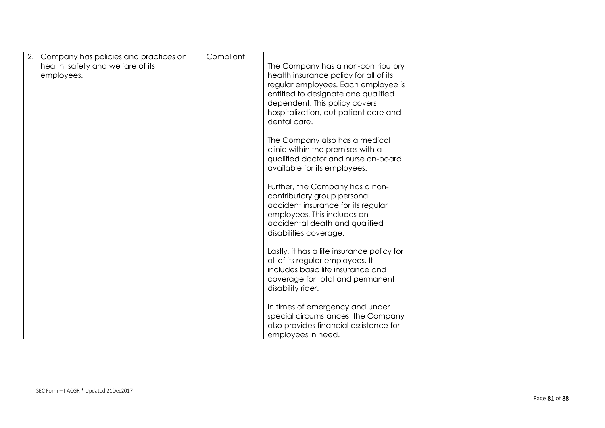| 2. Company has policies and practices on<br>health, safety and welfare of its<br>employees. | Compliant | The Company has a non-contributory<br>health insurance policy for all of its<br>regular employees. Each employee is<br>entitled to designate one qualified<br>dependent. This policy covers<br>hospitalization, out-patient care and<br>dental care. |  |
|---------------------------------------------------------------------------------------------|-----------|------------------------------------------------------------------------------------------------------------------------------------------------------------------------------------------------------------------------------------------------------|--|
|                                                                                             |           | The Company also has a medical<br>clinic within the premises with a<br>qualified doctor and nurse on-board<br>available for its employees.                                                                                                           |  |
|                                                                                             |           | Further, the Company has a non-<br>contributory group personal<br>accident insurance for its regular<br>employees. This includes an<br>accidental death and qualified<br>disabilities coverage.                                                      |  |
|                                                                                             |           | Lastly, it has a life insurance policy for<br>all of its regular employees. It<br>includes basic life insurance and<br>coverage for total and permanent<br>disability rider.                                                                         |  |
|                                                                                             |           | In times of emergency and under<br>special circumstances, the Company<br>also provides financial assistance for<br>employees in need.                                                                                                                |  |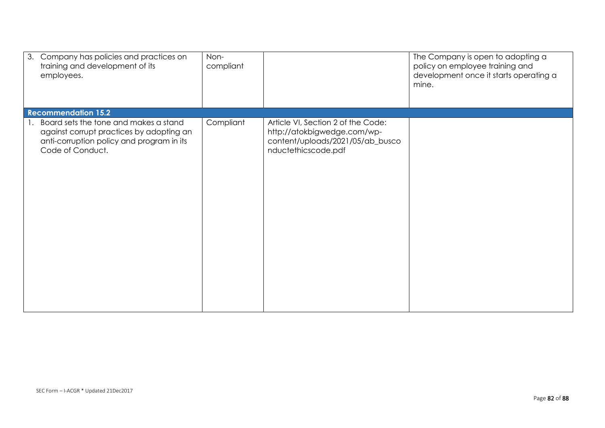| 3. Company has policies and practices on<br>training and development of its<br>employees.                                                          | Non-<br>compliant |                                                                                                                              | The Company is open to adopting a<br>policy on employee training and<br>development once it starts operating a<br>mine. |
|----------------------------------------------------------------------------------------------------------------------------------------------------|-------------------|------------------------------------------------------------------------------------------------------------------------------|-------------------------------------------------------------------------------------------------------------------------|
| <b>Recommendation 15.2</b>                                                                                                                         |                   |                                                                                                                              |                                                                                                                         |
| Board sets the tone and makes a stand<br>against corrupt practices by adopting an<br>anti-corruption policy and program in its<br>Code of Conduct. | Compliant         | Article VI, Section 2 of the Code:<br>http://atokbigwedge.com/wp-<br>content/uploads/2021/05/ab_busco<br>nductethicscode.pdf |                                                                                                                         |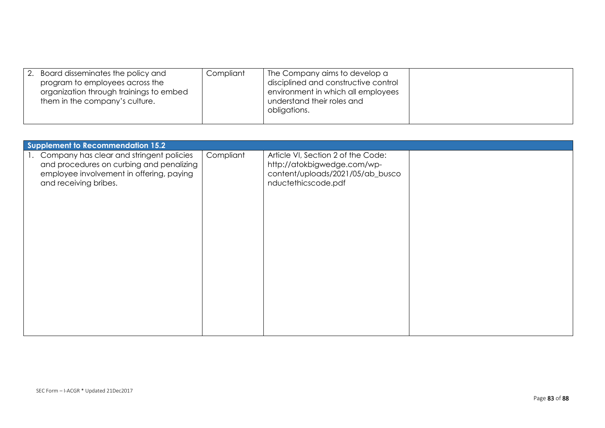| 2. | Board disseminates the policy and<br>program to employees across the<br>organization through trainings to embed<br>them in the company's culture. | Compliant | The Company aims to develop a<br>disciplined and constructive control<br>environment in which all employees<br>understand their roles and<br>obligations. |  |
|----|---------------------------------------------------------------------------------------------------------------------------------------------------|-----------|-----------------------------------------------------------------------------------------------------------------------------------------------------------|--|
|----|---------------------------------------------------------------------------------------------------------------------------------------------------|-----------|-----------------------------------------------------------------------------------------------------------------------------------------------------------|--|

| Supplement to Recommendation 15.2                                                                                                                            |           |                                                                                                                              |  |
|--------------------------------------------------------------------------------------------------------------------------------------------------------------|-----------|------------------------------------------------------------------------------------------------------------------------------|--|
| 1. Company has clear and stringent policies<br>and procedures on curbing and penalizing<br>employee involvement in offering, paying<br>and receiving bribes. | Compliant | Article VI, Section 2 of the Code:<br>http://atokbigwedge.com/wp-<br>content/uploads/2021/05/ab_busco<br>nductethicscode.pdf |  |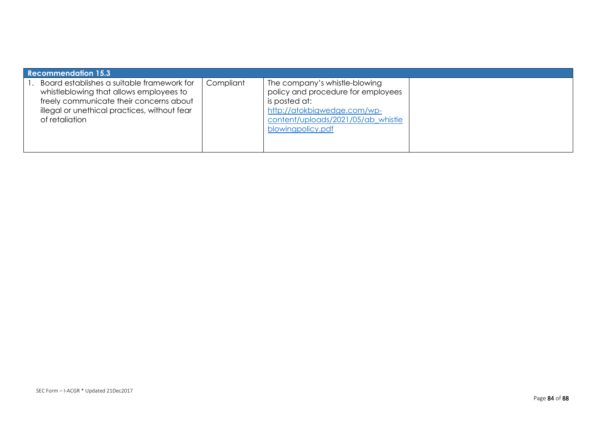| <b>Recommendation 15.3</b>                                                                                                                                                                         |           |                                                                                                                                                                                |  |
|----------------------------------------------------------------------------------------------------------------------------------------------------------------------------------------------------|-----------|--------------------------------------------------------------------------------------------------------------------------------------------------------------------------------|--|
| Board establishes a suitable framework for<br>whistleblowing that allows employees to<br>freely communicate their concerns about<br>illegal or unethical practices, without fear<br>of retaliation | Compliant | The company's whistle-blowing<br>policy and procedure for employees<br>is posted at:<br>http://atokbigwedge.com/wp-<br>content/uploads/2021/05/ab whistle<br>blowingpolicy.pdf |  |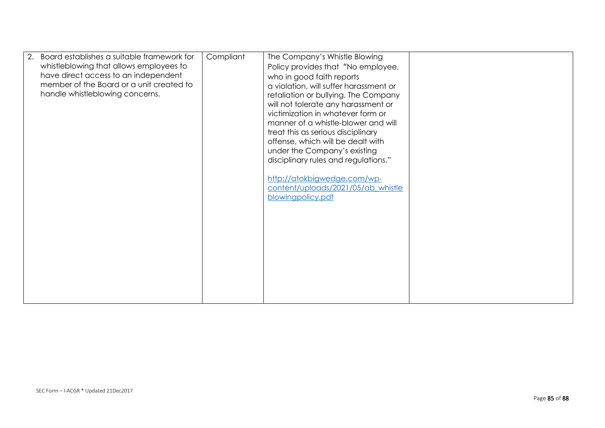| Board establishes a suitable framework for<br>whistleblowing that allows employees to<br>have direct access to an independent<br>member of the Board or a unit created to<br>handle whistleblowing concerns. | Compliant | The Company's Whistle Blowing<br>Policy provides that "No employee,<br>who in good faith reports<br>a violation, will suffer harassment or<br>retaliation or bullying. The Company<br>will not tolerate any harassment or<br>victimization in whatever form or<br>manner of a whistle-blower and will<br>treat this as serious disciplinary<br>offense, which will be dealt with<br>under the Company's existing<br>disciplinary rules and regulations."<br>http://atokbigwedge.com/wp- |  |
|--------------------------------------------------------------------------------------------------------------------------------------------------------------------------------------------------------------|-----------|-----------------------------------------------------------------------------------------------------------------------------------------------------------------------------------------------------------------------------------------------------------------------------------------------------------------------------------------------------------------------------------------------------------------------------------------------------------------------------------------|--|
|                                                                                                                                                                                                              |           | content/uploads/2021/05/ab_whistle<br>blowingpolicy.pdf                                                                                                                                                                                                                                                                                                                                                                                                                                 |  |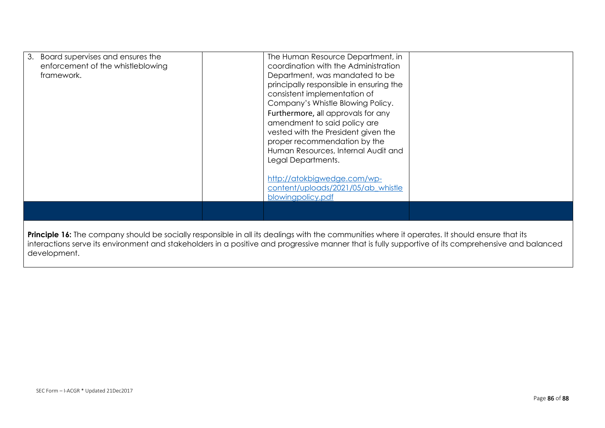| Board supervises and ensures the<br>3.<br>enforcement of the whistleblowing<br>framework.                                                      | The Human Resource Department, in<br>coordination with the Administration<br>Department, was mandated to be<br>principally responsible in ensuring the<br>consistent implementation of<br>Company's Whistle Blowing Policy.<br>Furthermore, all approvals for any<br>amendment to said policy are<br>vested with the President given the<br>proper recommendation by the<br>Human Resources, Internal Audit and<br>Legal Departments. |  |  |
|------------------------------------------------------------------------------------------------------------------------------------------------|---------------------------------------------------------------------------------------------------------------------------------------------------------------------------------------------------------------------------------------------------------------------------------------------------------------------------------------------------------------------------------------------------------------------------------------|--|--|
|                                                                                                                                                | http://atokbigwedge.com/wp-<br>content/uploads/2021/05/ab_whistle<br>blowingpolicy.pdf                                                                                                                                                                                                                                                                                                                                                |  |  |
| Principle 16: The company should be socially responsible in all its dealings with the communities where it operates. It should ensure that its |                                                                                                                                                                                                                                                                                                                                                                                                                                       |  |  |

interactions serve its environment and stakeholders in a positive and progressive manner that is fully supportive of its comprehensive and balanced development.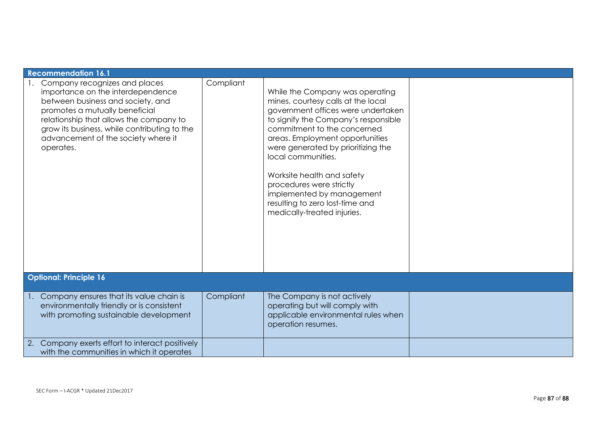| <b>Recommendation 16.1</b>                                                                                                                                                                                                                                                               |           |                                                                                                                                                                                                                                                                                                                                                                                                                                            |  |
|------------------------------------------------------------------------------------------------------------------------------------------------------------------------------------------------------------------------------------------------------------------------------------------|-----------|--------------------------------------------------------------------------------------------------------------------------------------------------------------------------------------------------------------------------------------------------------------------------------------------------------------------------------------------------------------------------------------------------------------------------------------------|--|
| Company recognizes and places<br>importance on the interdependence<br>between business and society, and<br>promotes a mutually beneficial<br>relationship that allows the company to<br>grow its business, while contributing to the<br>advancement of the society where it<br>operates. | Compliant | While the Company was operating<br>mines, courtesy calls at the local<br>government offices were undertaken<br>to signify the Company's responsible<br>commitment to the concerned<br>areas. Employment opportunities<br>were generated by prioritizing the<br>local communities.<br>Worksite health and safety<br>procedures were strictly<br>implemented by management<br>resulting to zero lost-time and<br>medically-treated injuries. |  |
| <b>Optional: Principle 16</b>                                                                                                                                                                                                                                                            |           |                                                                                                                                                                                                                                                                                                                                                                                                                                            |  |
| Company ensures that its value chain is<br>environmentally friendly or is consistent<br>with promoting sustainable development                                                                                                                                                           | Compliant | The Company is not actively<br>operating but will comply with<br>applicable environmental rules when<br>operation resumes.                                                                                                                                                                                                                                                                                                                 |  |
| Company exerts effort to interact positively<br>2.<br>with the communities in which it operates                                                                                                                                                                                          |           |                                                                                                                                                                                                                                                                                                                                                                                                                                            |  |